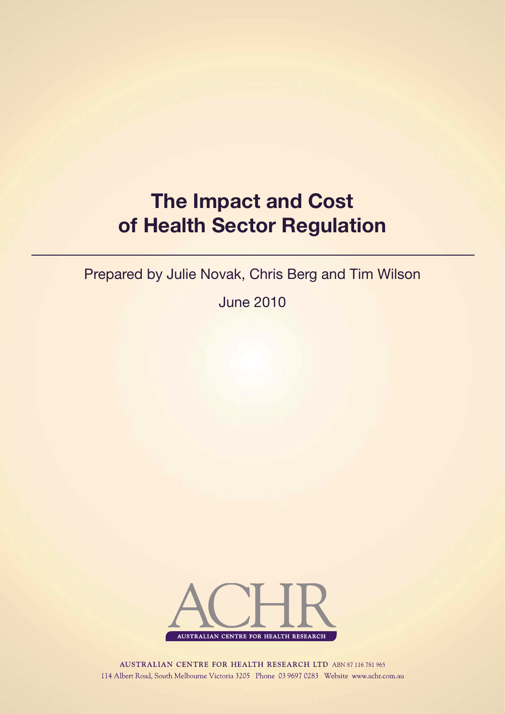# **The Impact and Cost of Health Sector Regulation**

Prepared by Julie Novak, Chris Berg and Tim Wilson

June 2010



**AUSTRALIAN CENTRE FOR HEALTH RESEARCH LTD ABN 87 116 781 965** 114 Albert Road, South Melbourne Victoria 3205 Phone 03 9697 0283 Website www.achr.com.au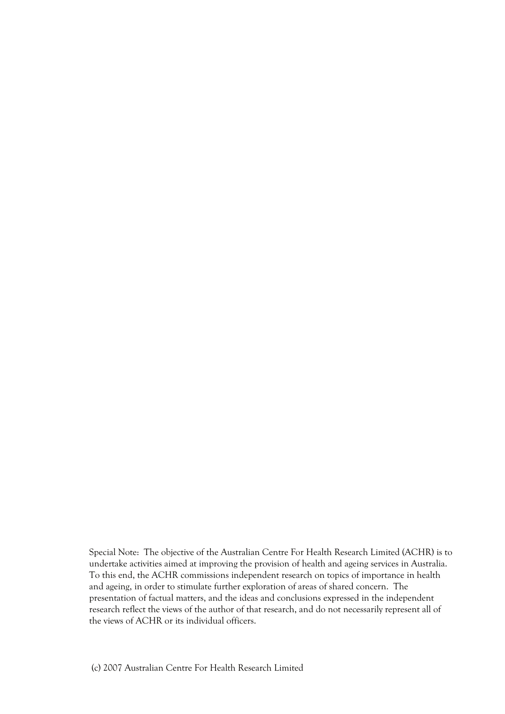Special Note: The objective of the Australian Centre For Health Research Limited (ACHR) is to undertake activities aimed at improving the provision of health and ageing services in Australia. To this end, the ACHR commissions independent research on topics of importance in health and ageing, in order to stimulate further exploration of areas of shared concern. The presentation of factual matters, and the ideas and conclusions expressed in the independent research reflect the views of the author of that research, and do not necessarily represent all of the views of ACHR or its individual officers.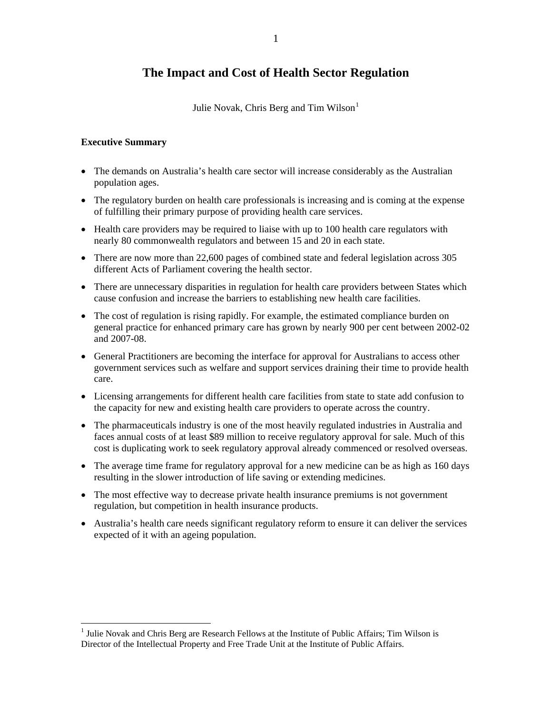# **The Impact and Cost of Health Sector Regulation**

Julie Novak, Chris Berg and Tim Wilson $<sup>1</sup>$  $<sup>1</sup>$  $<sup>1</sup>$ </sup>

# **Executive Summary**

- The demands on Australia's health care sector will increase considerably as the Australian population ages.
- The regulatory burden on health care professionals is increasing and is coming at the expense of fulfilling their primary purpose of providing health care services.
- Health care providers may be required to liaise with up to 100 health care regulators with nearly 80 commonwealth regulators and between 15 and 20 in each state.
- There are now more than 22,600 pages of combined state and federal legislation across 305 different Acts of Parliament covering the health sector.
- There are unnecessary disparities in regulation for health care providers between States which cause confusion and increase the barriers to establishing new health care facilities.
- The cost of regulation is rising rapidly. For example, the estimated compliance burden on general practice for enhanced primary care has grown by nearly 900 per cent between 2002-02 and 2007-08.
- General Practitioners are becoming the interface for approval for Australians to access other government services such as welfare and support services draining their time to provide health care.
- Licensing arrangements for different health care facilities from state to state add confusion to the capacity for new and existing health care providers to operate across the country.
- The pharmaceuticals industry is one of the most heavily regulated industries in Australia and faces annual costs of at least \$89 million to receive regulatory approval for sale. Much of this cost is duplicating work to seek regulatory approval already commenced or resolved overseas.
- The average time frame for regulatory approval for a new medicine can be as high as 160 days resulting in the slower introduction of life saving or extending medicines.
- The most effective way to decrease private health insurance premiums is not government regulation, but competition in health insurance products.
- Australia's health care needs significant regulatory reform to ensure it can deliver the services expected of it with an ageing population.

<span id="page-2-0"></span><sup>&</sup>lt;sup>1</sup> Julie Novak and Chris Berg are Research Fellows at the Institute of Public Affairs; Tim Wilson is Director of the Intellectual Property and Free Trade Unit at the Institute of Public Affairs.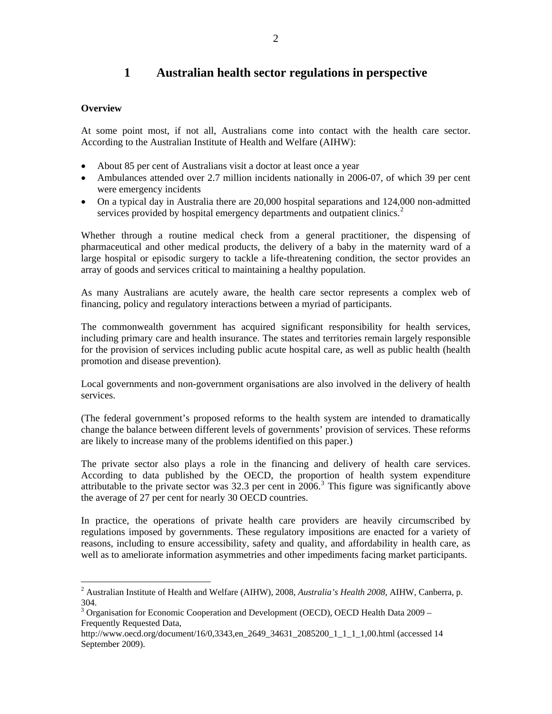# **1 Australian health sector regulations in perspective**

# **Overview**

At some point most, if not all, Australians come into contact with the health care sector. According to the Australian Institute of Health and Welfare (AIHW):

- About 85 per cent of Australians visit a doctor at least once a year
- Ambulances attended over 2.7 million incidents nationally in 2006-07, of which 39 per cent were emergency incidents
- On a typical day in Australia there are 20,000 hospital separations and 124,000 non-admitted services provided by hospital emergency departments and outpatient clinics.<sup>[2](#page-3-0)</sup>

Whether through a routine medical check from a general practitioner, the dispensing of pharmaceutical and other medical products, the delivery of a baby in the maternity ward of a large hospital or episodic surgery to tackle a life-threatening condition, the sector provides an array of goods and services critical to maintaining a healthy population.

As many Australians are acutely aware, the health care sector represents a complex web of financing, policy and regulatory interactions between a myriad of participants.

The commonwealth government has acquired significant responsibility for health services, including primary care and health insurance. The states and territories remain largely responsible for the provision of services including public acute hospital care, as well as public health (health promotion and disease prevention).

Local governments and non-government organisations are also involved in the delivery of health services.

(The federal government's proposed reforms to the health system are intended to dramatically change the balance between different levels of governments' provision of services. These reforms are likely to increase many of the problems identified on this paper.)

The private sector also plays a role in the financing and delivery of health care services. According to data published by the OECD, the proportion of health system expenditure attributable to the private sector was  $32.3$  $32.3$  per cent in  $2006$ .<sup>3</sup> This figure was significantly above the average of 27 per cent for nearly 30 OECD countries.

In practice, the operations of private health care providers are heavily circumscribed by regulations imposed by governments. These regulatory impositions are enacted for a variety of reasons, including to ensure accessibility, safety and quality, and affordability in health care, as well as to ameliorate information asymmetries and other impediments facing market participants.

<span id="page-3-0"></span> 2 Australian Institute of Health and Welfare (AIHW), 2008, *Australia's Health 2008*, AIHW, Canberra, p. 304.

<span id="page-3-1"></span><sup>&</sup>lt;sup>3</sup> Organisation for Economic Cooperation and Development (OECD), OECD Health Data 2009 – Frequently Requested Data,

http://www.oecd.org/document/16/0,3343,en\_2649\_34631\_2085200\_1\_1\_1\_1,00.html (accessed 14 September 2009).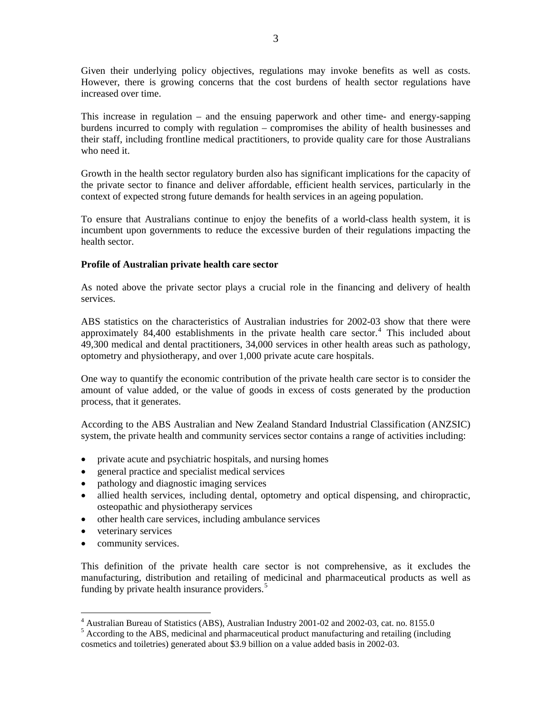Given their underlying policy objectives, regulations may invoke benefits as well as costs. However, there is growing concerns that the cost burdens of health sector regulations have increased over time.

This increase in regulation – and the ensuing paperwork and other time- and energy-sapping burdens incurred to comply with regulation – compromises the ability of health businesses and their staff, including frontline medical practitioners, to provide quality care for those Australians who need it.

Growth in the health sector regulatory burden also has significant implications for the capacity of the private sector to finance and deliver affordable, efficient health services, particularly in the context of expected strong future demands for health services in an ageing population.

To ensure that Australians continue to enjoy the benefits of a world-class health system, it is incumbent upon governments to reduce the excessive burden of their regulations impacting the health sector.

## **Profile of Australian private health care sector**

As noted above the private sector plays a crucial role in the financing and delivery of health services.

ABS statistics on the characteristics of Australian industries for 2002-03 show that there were approximately  $84,400$  $84,400$  $84,400$  establishments in the private health care sector.<sup>4</sup> This included about 49,300 medical and dental practitioners, 34,000 services in other health areas such as pathology, optometry and physiotherapy, and over 1,000 private acute care hospitals.

One way to quantify the economic contribution of the private health care sector is to consider the amount of value added, or the value of goods in excess of costs generated by the production process, that it generates.

According to the ABS Australian and New Zealand Standard Industrial Classification (ANZSIC) system, the private health and community services sector contains a range of activities including:

- private acute and psychiatric hospitals, and nursing homes
- general practice and specialist medical services
- pathology and diagnostic imaging services
- allied health services, including dental, optometry and optical dispensing, and chiropractic, osteopathic and physiotherapy services
- other health care services, including ambulance services
- veterinary services

 $\overline{a}$ 

• community services.

This definition of the private health care sector is not comprehensive, as it excludes the manufacturing, distribution and retailing of medicinal and pharmaceutical products as well as funding by private health insurance providers. $5$ 

<span id="page-4-0"></span><sup>&</sup>lt;sup>4</sup> Australian Bureau of Statistics (ABS), Australian Industry 2001-02 and 2002-03, cat. no. 8155.0

<span id="page-4-1"></span><sup>&</sup>lt;sup>5</sup> According to the ABS, medicinal and pharmaceutical product manufacturing and retailing (including cosmetics and toiletries) generated about \$3.9 billion on a value added basis in 2002-03.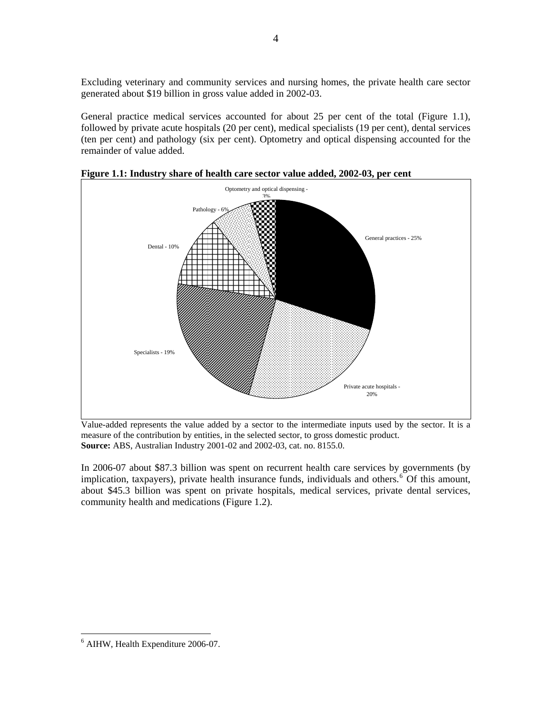Excluding veterinary and community services and nursing homes, the private health care sector generated about \$19 billion in gross value added in 2002-03.

General practice medical services accounted for about 25 per cent of the total (Figure 1.1), followed by private acute hospitals (20 per cent), medical specialists (19 per cent), dental services (ten per cent) and pathology (six per cent). Optometry and optical dispensing accounted for the remainder of value added.



**Figure 1.1: Industry share of health care sector value added, 2002-03, per cent** 

Value-added represents the value added by a sector to the intermediate inputs used by the sector. It is a measure of the contribution by entities, in the selected sector, to gross domestic product. **Source:** ABS, Australian Industry 2001-02 and 2002-03, cat. no. 8155.0.

In 2006-07 about \$87.3 billion was spent on recurrent health care services by governments (by implication, taxpayers), private health insurance funds, individuals and others.<sup>[6](#page-5-0)</sup> Of this amount, about \$45.3 billion was spent on private hospitals, medical services, private dental services, community health and medications (Figure 1.2).

<span id="page-5-0"></span><sup>6</sup> AIHW, Health Expenditure 2006-07.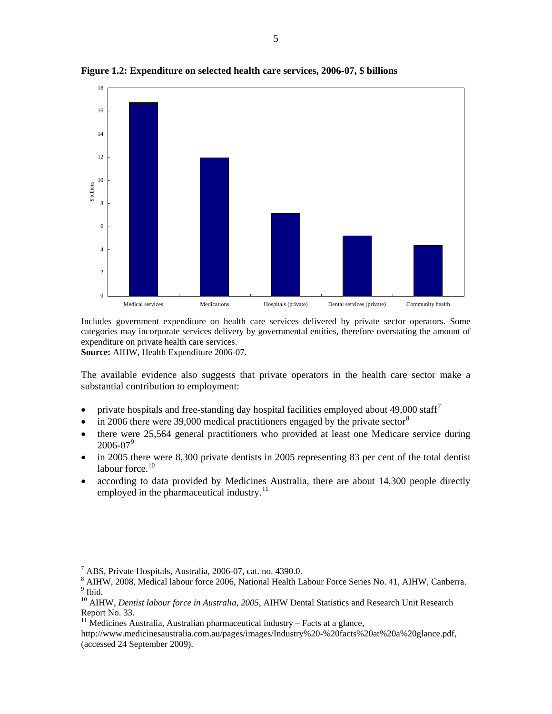

**Figure 1.2: Expenditure on selected health care services, 2006-07, \$ billions** 

Includes government expenditure on health care services delivered by private sector operators. Some categories may incorporate services delivery by governmental entities, therefore overstating the amount of expenditure on private health care services.

**Source:** AIHW, Health Expenditure 2006-07.

The available evidence also suggests that private operators in the health care sector make a substantial contribution to employment:

- private hospitals and free-standing day hospital facilities employed about  $49,000$  staff<sup>[7](#page-6-0)</sup>
- in 2006 there were 39,000 medical practitioners engaged by the private sector  $8$
- there were 25,564 general practitioners who provided at least one Medicare service during  $2006 - 07<sup>9</sup>$  $2006 - 07<sup>9</sup>$  $2006 - 07<sup>9</sup>$
- in 2005 there were 8,300 private dentists in 2005 representing 83 per cent of the total dentist labour force. $10$
- according to data provided by Medicines Australia, there are about 14,300 people directly employed in the pharmaceutical industry. $^{11}$  $^{11}$  $^{11}$

<span id="page-6-0"></span><sup>7</sup> ABS, Private Hospitals, Australia, 2006-07, cat. no. 4390.0.

<span id="page-6-1"></span><sup>8</sup> AIHW, 2008, Medical labour force 2006, National Health Labour Force Series No. 41, AIHW, Canberra. <sup>9</sup> Ibid.

<span id="page-6-3"></span><span id="page-6-2"></span><sup>&</sup>lt;sup>10</sup> AIHW, *Dentist labour force in Australia, 2005*, AIHW Dental Statistics and Research Unit Research Report No. 33.

<span id="page-6-4"></span> $11$  Medicines Australia, Australian pharmaceutical industry – Facts at a glance,

http://www.medicinesaustralia.com.au/pages/images/Industry%20-%20facts%20at%20a%20glance.pdf, (accessed 24 September 2009).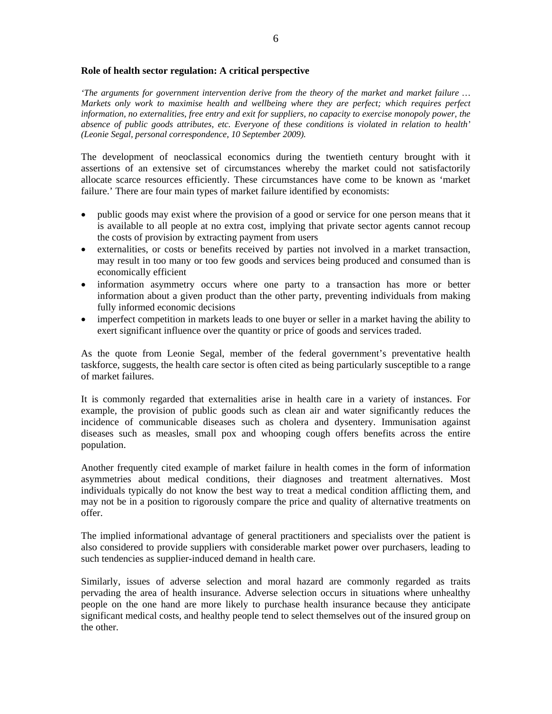#### **Role of health sector regulation: A critical perspective**

*'The arguments for government intervention derive from the theory of the market and market failure … Markets only work to maximise health and wellbeing where they are perfect; which requires perfect information, no externalities, free entry and exit for suppliers, no capacity to exercise monopoly power, the absence of public goods attributes, etc. Everyone of these conditions is violated in relation to health' (Leonie Segal, personal correspondence, 10 September 2009).* 

The development of neoclassical economics during the twentieth century brought with it assertions of an extensive set of circumstances whereby the market could not satisfactorily allocate scarce resources efficiently. These circumstances have come to be known as 'market failure.' There are four main types of market failure identified by economists:

- public goods may exist where the provision of a good or service for one person means that it is available to all people at no extra cost, implying that private sector agents cannot recoup the costs of provision by extracting payment from users
- externalities, or costs or benefits received by parties not involved in a market transaction, may result in too many or too few goods and services being produced and consumed than is economically efficient
- information asymmetry occurs where one party to a transaction has more or better information about a given product than the other party, preventing individuals from making fully informed economic decisions
- imperfect competition in markets leads to one buyer or seller in a market having the ability to exert significant influence over the quantity or price of goods and services traded.

As the quote from Leonie Segal, member of the federal government's preventative health taskforce, suggests, the health care sector is often cited as being particularly susceptible to a range of market failures.

It is commonly regarded that externalities arise in health care in a variety of instances. For example, the provision of public goods such as clean air and water significantly reduces the incidence of communicable diseases such as cholera and dysentery. Immunisation against diseases such as measles, small pox and whooping cough offers benefits across the entire population.

Another frequently cited example of market failure in health comes in the form of information asymmetries about medical conditions, their diagnoses and treatment alternatives. Most individuals typically do not know the best way to treat a medical condition afflicting them, and may not be in a position to rigorously compare the price and quality of alternative treatments on offer.

The implied informational advantage of general practitioners and specialists over the patient is also considered to provide suppliers with considerable market power over purchasers, leading to such tendencies as supplier-induced demand in health care.

Similarly, issues of adverse selection and moral hazard are commonly regarded as traits pervading the area of health insurance. Adverse selection occurs in situations where unhealthy people on the one hand are more likely to purchase health insurance because they anticipate significant medical costs, and healthy people tend to select themselves out of the insured group on the other.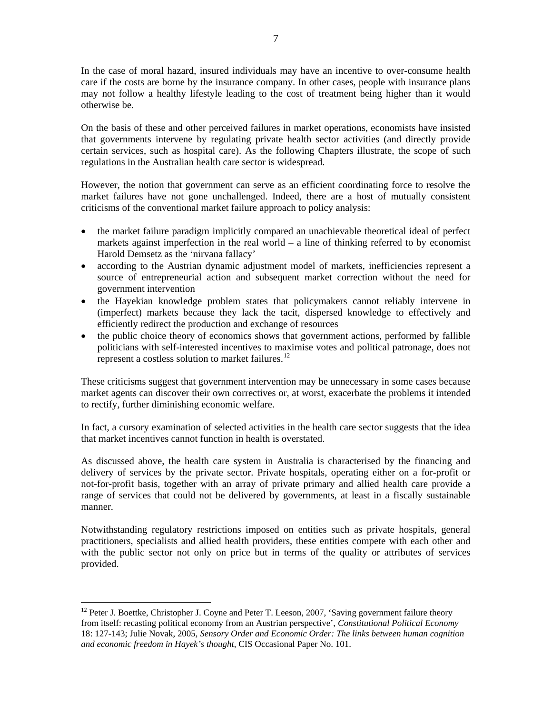In the case of moral hazard, insured individuals may have an incentive to over-consume health care if the costs are borne by the insurance company. In other cases, people with insurance plans may not follow a healthy lifestyle leading to the cost of treatment being higher than it would otherwise be.

On the basis of these and other perceived failures in market operations, economists have insisted that governments intervene by regulating private health sector activities (and directly provide certain services, such as hospital care). As the following Chapters illustrate, the scope of such regulations in the Australian health care sector is widespread.

However, the notion that government can serve as an efficient coordinating force to resolve the market failures have not gone unchallenged. Indeed, there are a host of mutually consistent criticisms of the conventional market failure approach to policy analysis:

- the market failure paradigm implicitly compared an unachievable theoretical ideal of perfect markets against imperfection in the real world  $-$  a line of thinking referred to by economist Harold Demsetz as the 'nirvana fallacy'
- according to the Austrian dynamic adjustment model of markets, inefficiencies represent a source of entrepreneurial action and subsequent market correction without the need for government intervention
- the Hayekian knowledge problem states that policymakers cannot reliably intervene in (imperfect) markets because they lack the tacit, dispersed knowledge to effectively and efficiently redirect the production and exchange of resources
- the public choice theory of economics shows that government actions, performed by fallible politicians with self-interested incentives to maximise votes and political patronage, does not represent a costless solution to market failures. $^{12}$  $^{12}$  $^{12}$

These criticisms suggest that government intervention may be unnecessary in some cases because market agents can discover their own correctives or, at worst, exacerbate the problems it intended to rectify, further diminishing economic welfare.

In fact, a cursory examination of selected activities in the health care sector suggests that the idea that market incentives cannot function in health is overstated.

As discussed above, the health care system in Australia is characterised by the financing and delivery of services by the private sector. Private hospitals, operating either on a for-profit or not-for-profit basis, together with an array of private primary and allied health care provide a range of services that could not be delivered by governments, at least in a fiscally sustainable manner.

Notwithstanding regulatory restrictions imposed on entities such as private hospitals, general practitioners, specialists and allied health providers, these entities compete with each other and with the public sector not only on price but in terms of the quality or attributes of services provided.

<span id="page-8-0"></span><sup>&</sup>lt;sup>12</sup> Peter J. Boettke, Christopher J. Coyne and Peter T. Leeson, 2007, 'Saving government failure theory from itself: recasting political economy from an Austrian perspective', *Constitutional Political Economy* 18: 127-143; Julie Novak, 2005, *Sensory Order and Economic Order: The links between human cognition and economic freedom in Hayek's thought*, CIS Occasional Paper No. 101.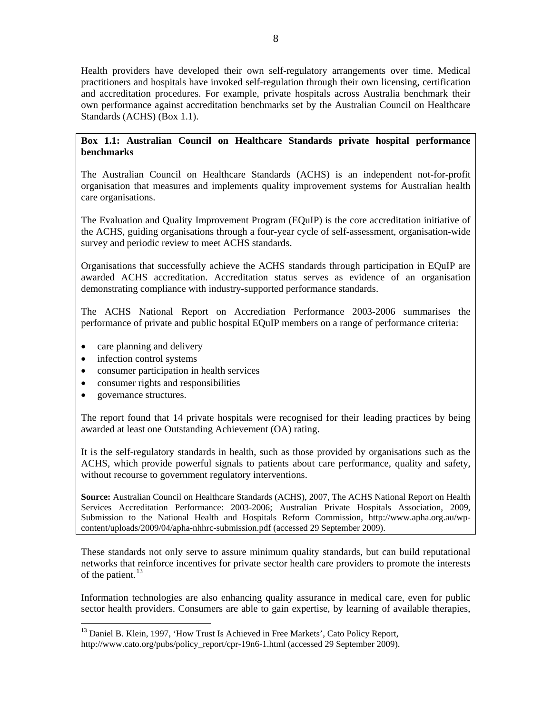Health providers have developed their own self-regulatory arrangements over time. Medical practitioners and hospitals have invoked self-regulation through their own licensing, certification and accreditation procedures. For example, private hospitals across Australia benchmark their own performance against accreditation benchmarks set by the Australian Council on Healthcare Standards (ACHS) (Box 1.1).

# **Box 1.1: Australian Council on Healthcare Standards private hospital performance benchmarks**

The Australian Council on Healthcare Standards (ACHS) is an independent not-for-profit organisation that measures and implements quality improvement systems for Australian health care organisations.

The Evaluation and Quality Improvement Program (EQuIP) is the core accreditation initiative of the ACHS, guiding organisations through a four-year cycle of self-assessment, organisation-wide survey and periodic review to meet ACHS standards.

Organisations that successfully achieve the ACHS standards through participation in EQuIP are awarded ACHS accreditation. Accreditation status serves as evidence of an organisation demonstrating compliance with industry-supported performance standards.

The ACHS National Report on Accrediation Performance 2003-2006 summarises the performance of private and public hospital EQuIP members on a range of performance criteria:

- care planning and delivery
- infection control systems
- consumer participation in health services
- consumer rights and responsibilities
- governance structures.

 $\overline{a}$ 

The report found that 14 private hospitals were recognised for their leading practices by being awarded at least one Outstanding Achievement (OA) rating.

It is the self-regulatory standards in health, such as those provided by organisations such as the ACHS, which provide powerful signals to patients about care performance, quality and safety, without recourse to government regulatory interventions.

**Source:** Australian Council on Healthcare Standards (ACHS), 2007, The ACHS National Report on Health Services Accreditation Performance: 2003-2006; Australian Private Hospitals Association, 2009, Submission to the National Health and Hospitals Reform Commission, http://www.apha.org.au/wpcontent/uploads/2009/04/apha-nhhrc-submission.pdf (accessed 29 September 2009).

These standards not only serve to assure minimum quality standards, but can build reputational networks that reinforce incentives for private sector health care providers to promote the interests of the patient.<sup>[13](#page-9-0)</sup>

Information technologies are also enhancing quality assurance in medical care, even for public sector health providers. Consumers are able to gain expertise, by learning of available therapies,

<sup>&</sup>lt;sup>13</sup> Daniel B. Klein, 1997, 'How Trust Is Achieved in Free Markets', Cato Policy Report,

<span id="page-9-0"></span>http://www.cato.org/pubs/policy\_report/cpr-19n6-1.html (accessed 29 September 2009).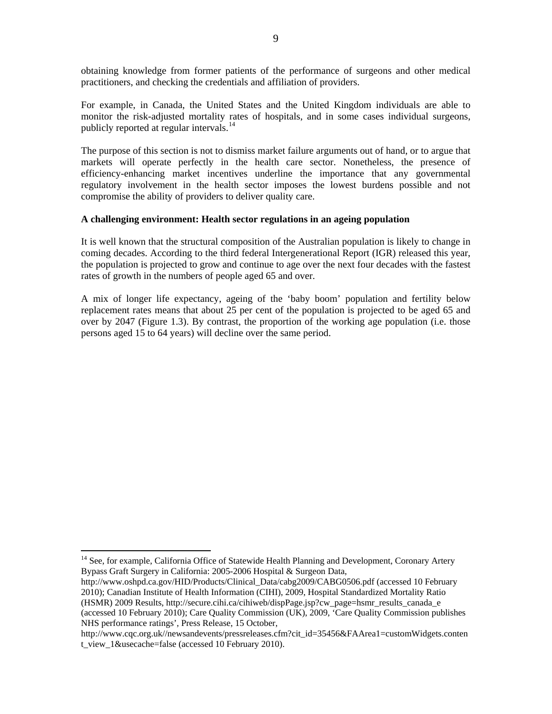obtaining knowledge from former patients of the performance of surgeons and other medical practitioners, and checking the credentials and affiliation of providers.

For example, in Canada, the United States and the United Kingdom individuals are able to monitor the risk-adjusted mortality rates of hospitals, and in some cases individual surgeons, publicly reported at regular intervals.<sup>[14](#page-10-0)</sup>

The purpose of this section is not to dismiss market failure arguments out of hand, or to argue that markets will operate perfectly in the health care sector. Nonetheless, the presence of efficiency-enhancing market incentives underline the importance that any governmental regulatory involvement in the health sector imposes the lowest burdens possible and not compromise the ability of providers to deliver quality care.

## **A challenging environment: Health sector regulations in an ageing population**

It is well known that the structural composition of the Australian population is likely to change in coming decades. According to the third federal Intergenerational Report (IGR) released this year, the population is projected to grow and continue to age over the next four decades with the fastest rates of growth in the numbers of people aged 65 and over.

A mix of longer life expectancy, ageing of the 'baby boom' population and fertility below replacement rates means that about 25 per cent of the population is projected to be aged 65 and over by 2047 (Figure 1.3). By contrast, the proportion of the working age population (i.e. those persons aged 15 to 64 years) will decline over the same period.

<span id="page-10-0"></span><sup>&</sup>lt;sup>14</sup> See, for example, California Office of Statewide Health Planning and Development, Coronary Artery Bypass Graft Surgery in California: 2005-2006 Hospital & Surgeon Data,

http://www.oshpd.ca.gov/HID/Products/Clinical\_Data/cabg2009/CABG0506.pdf (accessed 10 February 2010); Canadian Institute of Health Information (CIHI), 2009, Hospital Standardized Mortality Ratio (HSMR) 2009 Results, http://secure.cihi.ca/cihiweb/dispPage.jsp?cw\_page=hsmr\_results\_canada\_e (accessed 10 February 2010); Care Quality Commission (UK), 2009, 'Care Quality Commission publishes NHS performance ratings', Press Release, 15 October,

http://www.cqc.org.uk//newsandevents/pressreleases.cfm?cit\_id=35456&FAArea1=customWidgets.conten t\_view\_1&usecache=false (accessed 10 February 2010).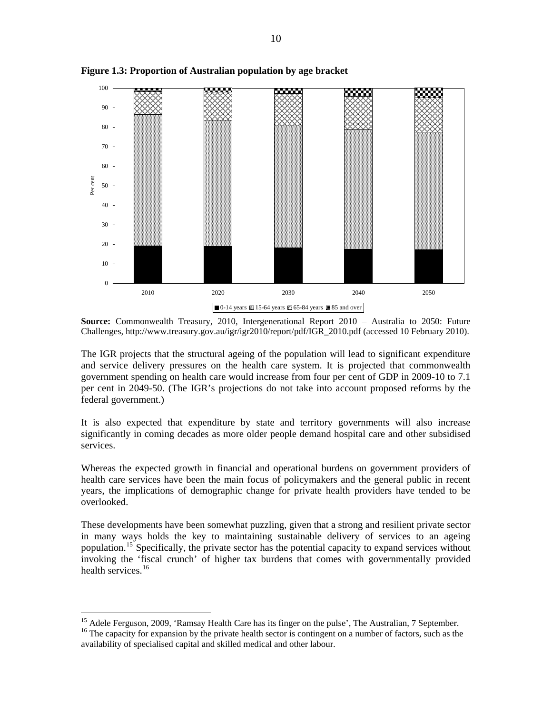

**Figure 1.3: Proportion of Australian population by age bracket** 

**Source:** Commonwealth Treasury, 2010, Intergenerational Report 2010 – Australia to 2050: Future Challenges, http://www.treasury.gov.au/igr/igr2010/report/pdf/IGR\_2010.pdf (accessed 10 February 2010).

The IGR projects that the structural ageing of the population will lead to significant expenditure and service delivery pressures on the health care system. It is projected that commonwealth government spending on health care would increase from four per cent of GDP in 2009-10 to 7.1 per cent in 2049-50. (The IGR's projections do not take into account proposed reforms by the federal government.)

It is also expected that expenditure by state and territory governments will also increase significantly in coming decades as more older people demand hospital care and other subsidised services.

Whereas the expected growth in financial and operational burdens on government providers of health care services have been the main focus of policymakers and the general public in recent years, the implications of demographic change for private health providers have tended to be overlooked.

These developments have been somewhat puzzling, given that a strong and resilient private sector in many ways holds the key to maintaining sustainable delivery of services to an ageing population.<sup>[15](#page-11-0)</sup> Specifically, the private sector has the potential capacity to expand services without invoking the 'fiscal crunch' of higher tax burdens that comes with governmentally provided health services.<sup>[16](#page-11-1)</sup>

<span id="page-11-1"></span><span id="page-11-0"></span><sup>&</sup>lt;sup>15</sup> Adele Ferguson, 2009, 'Ramsay Health Care has its finger on the pulse', The Australian, 7 September. <sup>16</sup> The capacity for expansion by the private health sector is contingent on a number of factors, such as the availability of specialised capital and skilled medical and other labour.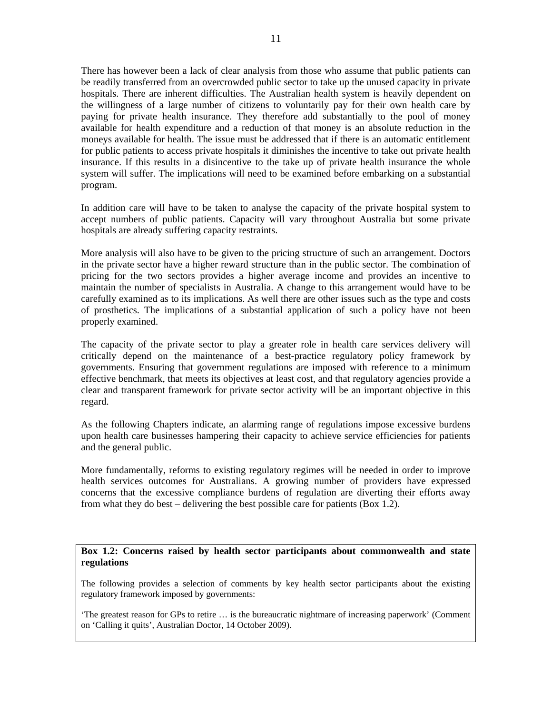There has however been a lack of clear analysis from those who assume that public patients can be readily transferred from an overcrowded public sector to take up the unused capacity in private hospitals. There are inherent difficulties. The Australian health system is heavily dependent on the willingness of a large number of citizens to voluntarily pay for their own health care by paying for private health insurance. They therefore add substantially to the pool of money available for health expenditure and a reduction of that money is an absolute reduction in the moneys available for health. The issue must be addressed that if there is an automatic entitlement for public patients to access private hospitals it diminishes the incentive to take out private health insurance. If this results in a disincentive to the take up of private health insurance the whole system will suffer. The implications will need to be examined before embarking on a substantial program.

In addition care will have to be taken to analyse the capacity of the private hospital system to accept numbers of public patients. Capacity will vary throughout Australia but some private hospitals are already suffering capacity restraints.

More analysis will also have to be given to the pricing structure of such an arrangement. Doctors in the private sector have a higher reward structure than in the public sector. The combination of pricing for the two sectors provides a higher average income and provides an incentive to maintain the number of specialists in Australia. A change to this arrangement would have to be carefully examined as to its implications. As well there are other issues such as the type and costs of prosthetics. The implications of a substantial application of such a policy have not been properly examined.

The capacity of the private sector to play a greater role in health care services delivery will critically depend on the maintenance of a best-practice regulatory policy framework by governments. Ensuring that government regulations are imposed with reference to a minimum effective benchmark, that meets its objectives at least cost, and that regulatory agencies provide a clear and transparent framework for private sector activity will be an important objective in this regard.

As the following Chapters indicate, an alarming range of regulations impose excessive burdens upon health care businesses hampering their capacity to achieve service efficiencies for patients and the general public.

More fundamentally, reforms to existing regulatory regimes will be needed in order to improve health services outcomes for Australians. A growing number of providers have expressed concerns that the excessive compliance burdens of regulation are diverting their efforts away from what they do best – delivering the best possible care for patients (Box 1.2).

**Box 1.2: Concerns raised by health sector participants about commonwealth and state regulations** 

The following provides a selection of comments by key health sector participants about the existing regulatory framework imposed by governments:

'The greatest reason for GPs to retire … is the bureaucratic nightmare of increasing paperwork' (Comment on 'Calling it quits', Australian Doctor, 14 October 2009).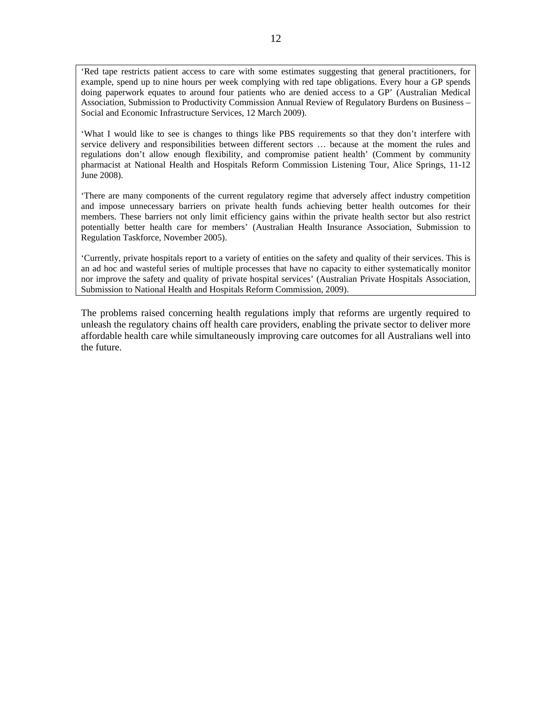'Red tape restricts patient access to care with some estimates suggesting that general practitioners, for example, spend up to nine hours per week complying with red tape obligations. Every hour a GP spends doing paperwork equates to around four patients who are denied access to a GP' (Australian Medical Association, Submission to Productivity Commission Annual Review of Regulatory Burdens on Business – Social and Economic Infrastructure Services, 12 March 2009).

'What I would like to see is changes to things like PBS requirements so that they don't interfere with service delivery and responsibilities between different sectors … because at the moment the rules and regulations don't allow enough flexibility, and compromise patient health' (Comment by community pharmacist at National Health and Hospitals Reform Commission Listening Tour, Alice Springs, 11-12 June 2008).

'There are many components of the current regulatory regime that adversely affect industry competition and impose unnecessary barriers on private health funds achieving better health outcomes for their members. These barriers not only limit efficiency gains within the private health sector but also restrict potentially better health care for members' (Australian Health Insurance Association, Submission to Regulation Taskforce, November 2005).

'Currently, private hospitals report to a variety of entities on the safety and quality of their services. This is an ad hoc and wasteful series of multiple processes that have no capacity to either systematically monitor nor improve the safety and quality of private hospital services' (Australian Private Hospitals Association, Submission to National Health and Hospitals Reform Commission, 2009).

The problems raised concerning health regulations imply that reforms are urgently required to unleash the regulatory chains off health care providers, enabling the private sector to deliver more affordable health care while simultaneously improving care outcomes for all Australians well into the future.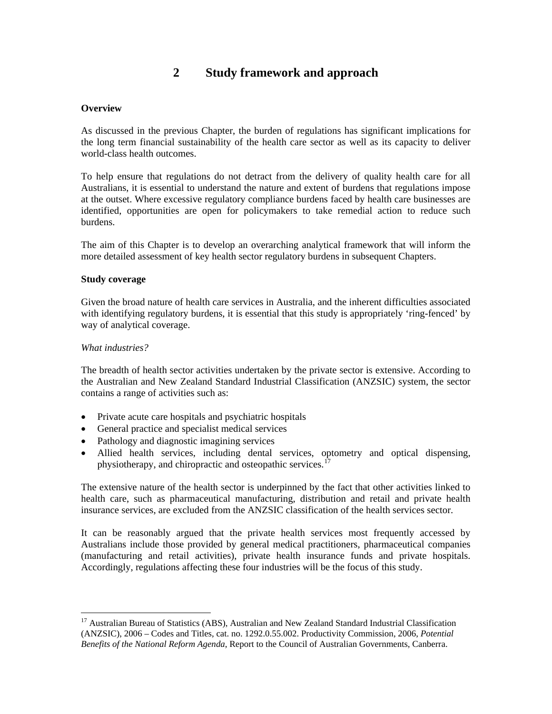# **2 Study framework and approach**

# **Overview**

As discussed in the previous Chapter, the burden of regulations has significant implications for the long term financial sustainability of the health care sector as well as its capacity to deliver world-class health outcomes.

To help ensure that regulations do not detract from the delivery of quality health care for all Australians, it is essential to understand the nature and extent of burdens that regulations impose at the outset. Where excessive regulatory compliance burdens faced by health care businesses are identified, opportunities are open for policymakers to take remedial action to reduce such burdens.

The aim of this Chapter is to develop an overarching analytical framework that will inform the more detailed assessment of key health sector regulatory burdens in subsequent Chapters.

#### **Study coverage**

Given the broad nature of health care services in Australia, and the inherent difficulties associated with identifying regulatory burdens, it is essential that this study is appropriately 'ring-fenced' by way of analytical coverage.

#### *What industries?*

 $\overline{a}$ 

The breadth of health sector activities undertaken by the private sector is extensive. According to the Australian and New Zealand Standard Industrial Classification (ANZSIC) system, the sector contains a range of activities such as:

- Private acute care hospitals and psychiatric hospitals
- General practice and specialist medical services
- Pathology and diagnostic imagining services
- Allied health services, including dental services, optometry and optical dispensing, physiotherapy, and chiropractic and osteopathic services.<sup>1</sup>

The extensive nature of the health sector is underpinned by the fact that other activities linked to health care, such as pharmaceutical manufacturing, distribution and retail and private health insurance services, are excluded from the ANZSIC classification of the health services sector.

It can be reasonably argued that the private health services most frequently accessed by Australians include those provided by general medical practitioners, pharmaceutical companies (manufacturing and retail activities), private health insurance funds and private hospitals. Accordingly, regulations affecting these four industries will be the focus of this study.

<span id="page-14-0"></span><sup>&</sup>lt;sup>17</sup> Australian Bureau of Statistics (ABS), Australian and New Zealand Standard Industrial Classification (ANZSIC), 2006 – Codes and Titles, cat. no. 1292.0.55.002. Productivity Commission, 2006, *Potential Benefits of the National Reform Agenda*, Report to the Council of Australian Governments, Canberra.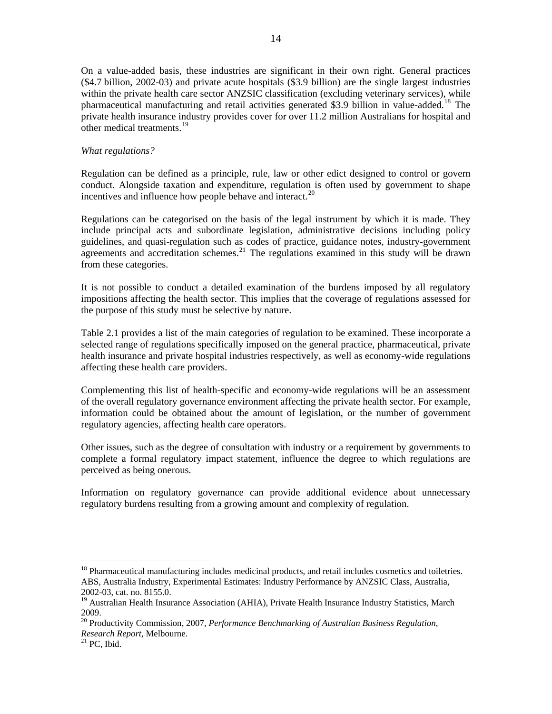<span id="page-15-0"></span>On a value-added basis, these industries are significant in their own right. General practices (\$4.7 billion, 2002-03) and private acute hospitals (\$3.9 billion) are the single largest industries within the private health care sector ANZSIC classification (excluding veterinary services), while pharmaceutical manufacturing and retail activities generated \$3.9 billion in value-added.<sup>[18](#page-15-0)</sup> The private health insurance industry provides cover for over 11.2 million Australians for hospital and other medical treatments.[19](#page-15-0)

#### *What regulations?*

Regulation can be defined as a principle, rule, law or other edict designed to control or govern conduct. Alongside taxation and expenditure, regulation is often used by government to shape incentives and influence how people behave and interact.<sup>[20](#page-15-0)</sup>

Regulations can be categorised on the basis of the legal instrument by which it is made. They include principal acts and subordinate legislation, administrative decisions including policy guidelines, and quasi-regulation such as codes of practice, guidance notes, industry-government agreements and accreditation schemes.<sup>[21](#page-15-0)</sup> The regulations examined in this study will be drawn from these categories.

It is not possible to conduct a detailed examination of the burdens imposed by all regulatory impositions affecting the health sector. This implies that the coverage of regulations assessed for the purpose of this study must be selective by nature.

Table 2.1 provides a list of the main categories of regulation to be examined. These incorporate a selected range of regulations specifically imposed on the general practice, pharmaceutical, private health insurance and private hospital industries respectively, as well as economy-wide regulations affecting these health care providers.

Complementing this list of health-specific and economy-wide regulations will be an assessment of the overall regulatory governance environment affecting the private health sector. For example, information could be obtained about the amount of legislation, or the number of government regulatory agencies, affecting health care operators.

Other issues, such as the degree of consultation with industry or a requirement by governments to complete a formal regulatory impact statement, influence the degree to which regulations are perceived as being onerous.

Information on regulatory governance can provide additional evidence about unnecessary regulatory burdens resulting from a growing amount and complexity of regulation.

<sup>&</sup>lt;sup>18</sup> Pharmaceutical manufacturing includes medicinal products, and retail includes cosmetics and toiletries. ABS, Australia Industry, Experimental Estimates: Industry Performance by ANZSIC Class, Australia, 2002-03, cat. no. 8155.0.

<sup>19</sup> Australian Health Insurance Association (AHIA), Private Health Insurance Industry Statistics, March 2009.

<sup>20</sup> Productivity Commission, 2007, *Performance Benchmarking of Australian Business Regulation, Research Report*, Melbourne. 21 PC, Ibid.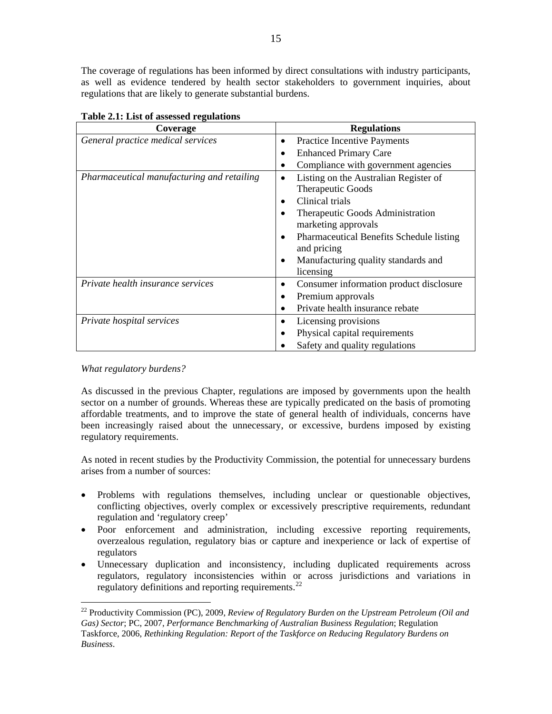<span id="page-16-0"></span>The coverage of regulations has been informed by direct consultations with industry participants, as well as evidence tendered by health sector stakeholders to government inquiries, about regulations that are likely to generate substantial burdens.

| Coverage                                   | <b>Regulations</b>                                    |
|--------------------------------------------|-------------------------------------------------------|
| General practice medical services          | <b>Practice Incentive Payments</b><br>$\bullet$       |
|                                            | <b>Enhanced Primary Care</b><br>٠                     |
|                                            | Compliance with government agencies<br>٠              |
| Pharmaceutical manufacturing and retailing | Listing on the Australian Register of<br>$\bullet$    |
|                                            | Therapeutic Goods                                     |
|                                            | Clinical trials                                       |
|                                            | Therapeutic Goods Administration<br>$\bullet$         |
|                                            | marketing approvals                                   |
|                                            | Pharmaceutical Benefits Schedule listing<br>$\bullet$ |
|                                            | and pricing                                           |
|                                            | Manufacturing quality standards and<br>$\bullet$      |
|                                            | licensing                                             |
| Private health insurance services          | Consumer information product disclosure<br>٠          |
|                                            | Premium approvals<br>٠                                |
|                                            | Private health insurance rebate                       |
| Private hospital services                  | Licensing provisions<br>٠                             |
|                                            | Physical capital requirements<br>$\bullet$            |
|                                            | Safety and quality regulations                        |

**Table 2.1: List of assessed regulations** 

*What regulatory burdens?* 

 $\overline{a}$ 

As discussed in the previous Chapter, regulations are imposed by governments upon the health sector on a number of grounds. Whereas these are typically predicated on the basis of promoting affordable treatments, and to improve the state of general health of individuals, concerns have been increasingly raised about the unnecessary, or excessive, burdens imposed by existing regulatory requirements.

As noted in recent studies by the Productivity Commission, the potential for unnecessary burdens arises from a number of sources:

- Problems with regulations themselves, including unclear or questionable objectives, conflicting objectives, overly complex or excessively prescriptive requirements, redundant regulation and 'regulatory creep'
- Poor enforcement and administration, including excessive reporting requirements, overzealous regulation, regulatory bias or capture and inexperience or lack of expertise of regulators
- Unnecessary duplication and inconsistency, including duplicated requirements across regulators, regulatory inconsistencies within or across jurisdictions and variations in regulatory definitions and reporting requirements.<sup>[22](#page-16-0)</sup>

<sup>22</sup> Productivity Commission (PC), 2009, *Review of Regulatory Burden on the Upstream Petroleum (Oil and Gas) Sector*; PC, 2007, *Performance Benchmarking of Australian Business Regulation*; Regulation Taskforce, 2006, *Rethinking Regulation: Report of the Taskforce on Reducing Regulatory Burdens on Business*.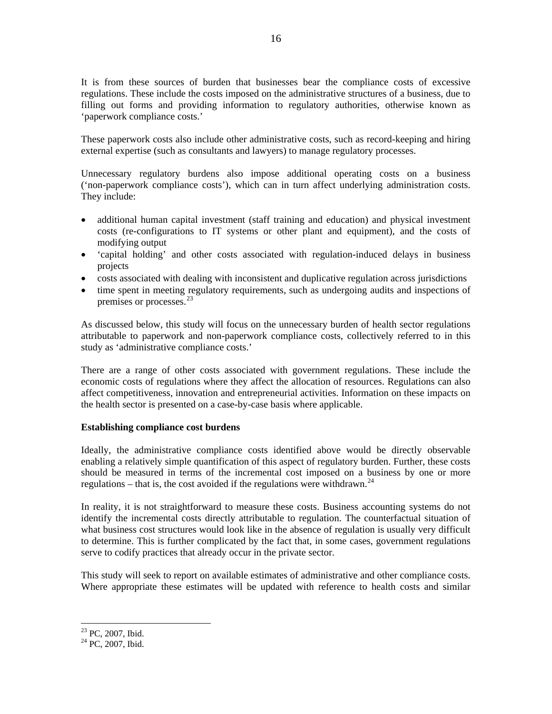<span id="page-17-0"></span>It is from these sources of burden that businesses bear the compliance costs of excessive regulations. These include the costs imposed on the administrative structures of a business, due to filling out forms and providing information to regulatory authorities, otherwise known as 'paperwork compliance costs.'

These paperwork costs also include other administrative costs, such as record-keeping and hiring external expertise (such as consultants and lawyers) to manage regulatory processes.

Unnecessary regulatory burdens also impose additional operating costs on a business ('non-paperwork compliance costs'), which can in turn affect underlying administration costs. They include:

- additional human capital investment (staff training and education) and physical investment costs (re-configurations to IT systems or other plant and equipment), and the costs of modifying output
- 'capital holding' and other costs associated with regulation-induced delays in business projects
- costs associated with dealing with inconsistent and duplicative regulation across jurisdictions
- time spent in meeting regulatory requirements, such as undergoing audits and inspections of premises or processes.<sup>[23](#page-17-0)</sup>

As discussed below, this study will focus on the unnecessary burden of health sector regulations attributable to paperwork and non-paperwork compliance costs, collectively referred to in this study as 'administrative compliance costs.'

There are a range of other costs associated with government regulations. These include the economic costs of regulations where they affect the allocation of resources. Regulations can also affect competitiveness, innovation and entrepreneurial activities. Information on these impacts on the health sector is presented on a case-by-case basis where applicable.

# **Establishing compliance cost burdens**

Ideally, the administrative compliance costs identified above would be directly observable enabling a relatively simple quantification of this aspect of regulatory burden. Further, these costs should be measured in terms of the incremental cost imposed on a business by one or more regulations – that is, the cost avoided if the regulations were withdrawn.<sup>[24](#page-17-0)</sup>

In reality, it is not straightforward to measure these costs. Business accounting systems do not identify the incremental costs directly attributable to regulation. The counterfactual situation of what business cost structures would look like in the absence of regulation is usually very difficult to determine. This is further complicated by the fact that, in some cases, government regulations serve to codify practices that already occur in the private sector.

This study will seek to report on available estimates of administrative and other compliance costs. Where appropriate these estimates will be updated with reference to health costs and similar

<sup>&</sup>lt;sup>23</sup> PC, 2007, Ibid.

<sup>&</sup>lt;sup>24</sup> PC, 2007, Ibid.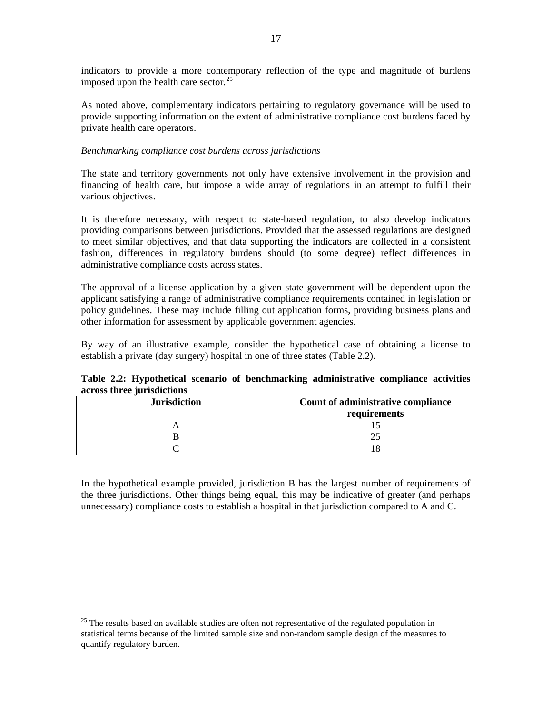<span id="page-18-0"></span>indicators to provide a more contemporary reflection of the type and magnitude of burdens imposed upon the health care sector. $25$ 

As noted above, complementary indicators pertaining to regulatory governance will be used to provide supporting information on the extent of administrative compliance cost burdens faced by private health care operators.

#### *Benchmarking compliance cost burdens across jurisdictions*

The state and territory governments not only have extensive involvement in the provision and financing of health care, but impose a wide array of regulations in an attempt to fulfill their various objectives.

It is therefore necessary, with respect to state-based regulation, to also develop indicators providing comparisons between jurisdictions. Provided that the assessed regulations are designed to meet similar objectives, and that data supporting the indicators are collected in a consistent fashion, differences in regulatory burdens should (to some degree) reflect differences in administrative compliance costs across states.

The approval of a license application by a given state government will be dependent upon the applicant satisfying a range of administrative compliance requirements contained in legislation or policy guidelines. These may include filling out application forms, providing business plans and other information for assessment by applicable government agencies.

By way of an illustrative example, consider the hypothetical case of obtaining a license to establish a private (day surgery) hospital in one of three states (Table 2.2).

|  |                            |  | Table 2.2: Hypothetical scenario of benchmarking administrative compliance activities |  |
|--|----------------------------|--|---------------------------------------------------------------------------------------|--|
|  | across three jurisdictions |  |                                                                                       |  |

| <b>Jurisdiction</b> | Count of administrative compliance<br>requirements |
|---------------------|----------------------------------------------------|
|                     |                                                    |
|                     |                                                    |
|                     |                                                    |

In the hypothetical example provided, jurisdiction B has the largest number of requirements of the three jurisdictions. Other things being equal, this may be indicative of greater (and perhaps unnecessary) compliance costs to establish a hospital in that jurisdiction compared to A and C.

<sup>&</sup>lt;sup>25</sup> The results based on available studies are often not representative of the regulated population in statistical terms because of the limited sample size and non-random sample design of the measures to quantify regulatory burden.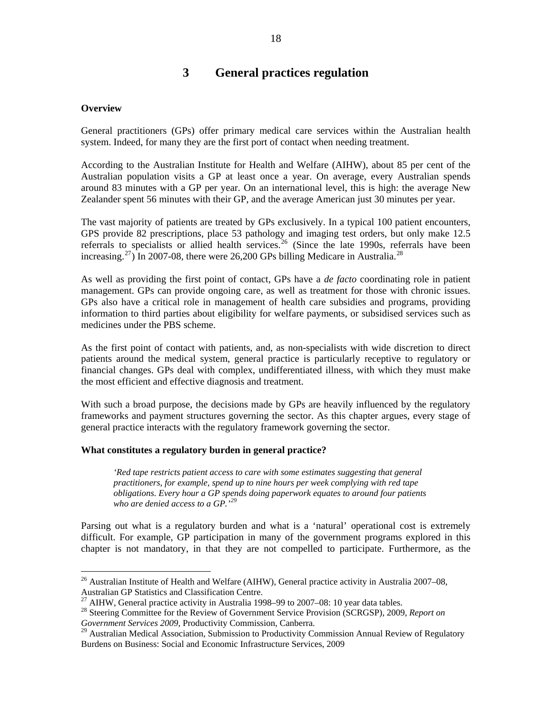# **3 General practices regulation**

#### <span id="page-19-0"></span>**Overview**

 $\overline{a}$ 

General practitioners (GPs) offer primary medical care services within the Australian health system. Indeed, for many they are the first port of contact when needing treatment.

According to the Australian Institute for Health and Welfare (AIHW), about 85 per cent of the Australian population visits a GP at least once a year. On average, every Australian spends around 83 minutes with a GP per year. On an international level, this is high: the average New Zealander spent 56 minutes with their GP, and the average American just 30 minutes per year.

The vast majority of patients are treated by GPs exclusively. In a typical 100 patient encounters, GPS provide 82 prescriptions, place 53 pathology and imaging test orders, but only make 12.5 referrals to specialists or allied health services.<sup>[26](#page-19-0)</sup> (Since the late 1990s, referrals have been increasing.<sup>[27](#page-19-0)</sup>) In 2007-08, there were 26,200 GPs billing Medicare in Australia.<sup>[28](#page-19-0)</sup>

As well as providing the first point of contact, GPs have a *de facto* coordinating role in patient management. GPs can provide ongoing care, as well as treatment for those with chronic issues. GPs also have a critical role in management of health care subsidies and programs, providing information to third parties about eligibility for welfare payments, or subsidised services such as medicines under the PBS scheme.

As the first point of contact with patients, and, as non-specialists with wide discretion to direct patients around the medical system, general practice is particularly receptive to regulatory or financial changes. GPs deal with complex, undifferentiated illness, with which they must make the most efficient and effective diagnosis and treatment.

With such a broad purpose, the decisions made by GPs are heavily influenced by the regulatory frameworks and payment structures governing the sector. As this chapter argues, every stage of general practice interacts with the regulatory framework governing the sector.

## **What constitutes a regulatory burden in general practice?**

*'Red tape restricts patient access to care with some estimates suggesting that general practitioners, for example, spend up to nine hours per week complying with red tape obligations. Every hour a GP spends doing paperwork equates to around four patients who are denied access to a GP.'[29](#page-19-0)*

Parsing out what is a regulatory burden and what is a 'natural' operational cost is extremely difficult. For example, GP participation in many of the government programs explored in this chapter is not mandatory, in that they are not compelled to participate. Furthermore, as the

<sup>&</sup>lt;sup>26</sup> Australian Institute of Health and Welfare (AIHW), General practice activity in Australia 2007–08, Australian GP Statistics and Classification Centre.

 $27$  AIHW, General practice activity in Australia 1998–99 to 2007–08: 10 year data tables.

<sup>28</sup> Steering Committee for the Review of Government Service Provision (SCRGSP), 2009, *Report on Government Services 2009*, Productivity Commission, Canberra.

<sup>&</sup>lt;sup>29</sup> Australian Medical Association, Submission to Productivity Commission Annual Review of Regulatory Burdens on Business: Social and Economic Infrastructure Services, 2009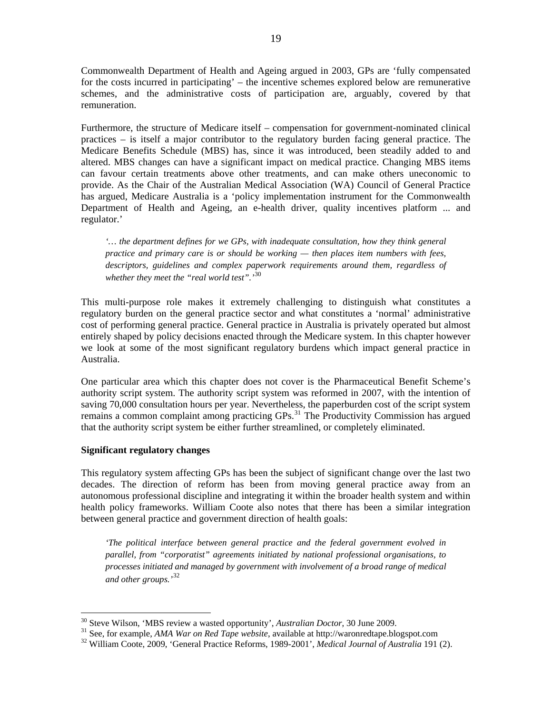<span id="page-20-0"></span>Commonwealth Department of Health and Ageing argued in 2003, GPs are 'fully compensated for the costs incurred in participating' – the incentive schemes explored below are remunerative schemes, and the administrative costs of participation are, arguably, covered by that remuneration.

Furthermore, the structure of Medicare itself – compensation for government-nominated clinical practices – is itself a major contributor to the regulatory burden facing general practice. The Medicare Benefits Schedule (MBS) has, since it was introduced, been steadily added to and altered. MBS changes can have a significant impact on medical practice. Changing MBS items can favour certain treatments above other treatments, and can make others uneconomic to provide. As the Chair of the Australian Medical Association (WA) Council of General Practice has argued, Medicare Australia is a 'policy implementation instrument for the Commonwealth Department of Health and Ageing, an e-health driver, quality incentives platform ... and regulator.'

*'… the department defines for we GPs, with inadequate consultation, how they think general practice and primary care is or should be working — then places item numbers with fees, descriptors, guidelines and complex paperwork requirements around them, regardless of whether they meet the "real world test".'*[30](#page-20-0)

This multi-purpose role makes it extremely challenging to distinguish what constitutes a regulatory burden on the general practice sector and what constitutes a 'normal' administrative cost of performing general practice. General practice in Australia is privately operated but almost entirely shaped by policy decisions enacted through the Medicare system. In this chapter however we look at some of the most significant regulatory burdens which impact general practice in Australia.

One particular area which this chapter does not cover is the Pharmaceutical Benefit Scheme's authority script system. The authority script system was reformed in 2007, with the intention of saving 70,000 consultation hours per year. Nevertheless, the paperburden cost of the script system remains a common complaint among practicing GPs.<sup>[31](#page-20-0)</sup> The Productivity Commission has argued that the authority script system be either further streamlined, or completely eliminated.

#### **Significant regulatory changes**

 $\overline{a}$ 

This regulatory system affecting GPs has been the subject of significant change over the last two decades. The direction of reform has been from moving general practice away from an autonomous professional discipline and integrating it within the broader health system and within health policy frameworks. William Coote also notes that there has been a similar integration between general practice and government direction of health goals:

*'The political interface between general practice and the federal government evolved in parallel, from "corporatist" agreements initiated by national professional organisations, to processes initiated and managed by government with involvement of a broad range of medical and other groups.'*[32](#page-20-0)

<sup>&</sup>lt;sup>30</sup> Steve Wilson, 'MBS review a wasted opportunity', *Australian Doctor*, 30 June 2009.<br><sup>31</sup> See, for example, *AMA War on Red Tape website*, available at http://waronredtape.blogspot.com<br><sup>32</sup> William Coote, 2009, 'Gener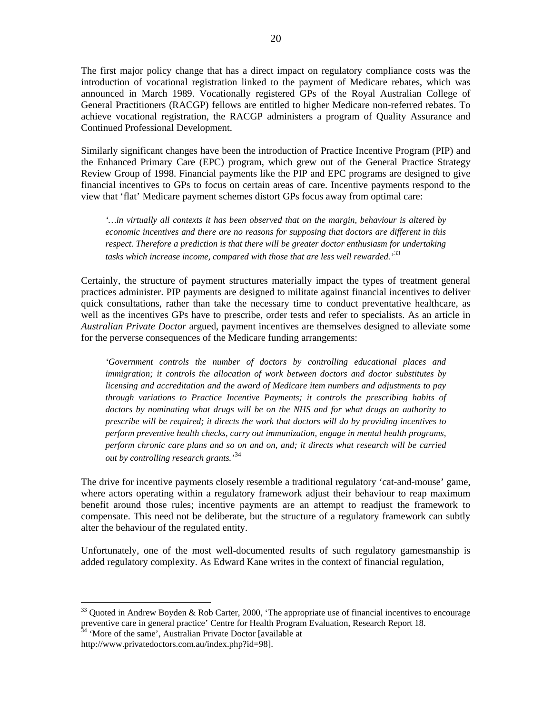<span id="page-21-0"></span>The first major policy change that has a direct impact on regulatory compliance costs was the introduction of vocational registration linked to the payment of Medicare rebates, which was announced in March 1989. Vocationally registered GPs of the Royal Australian College of General Practitioners (RACGP) fellows are entitled to higher Medicare non-referred rebates. To achieve vocational registration, the RACGP administers a program of Quality Assurance and Continued Professional Development.

Similarly significant changes have been the introduction of Practice Incentive Program (PIP) and the Enhanced Primary Care (EPC) program, which grew out of the General Practice Strategy Review Group of 1998. Financial payments like the PIP and EPC programs are designed to give financial incentives to GPs to focus on certain areas of care. Incentive payments respond to the view that 'flat' Medicare payment schemes distort GPs focus away from optimal care:

*'…in virtually all contexts it has been observed that on the margin, behaviour is altered by economic incentives and there are no reasons for supposing that doctors are different in this respect. Therefore a prediction is that there will be greater doctor enthusiasm for undertaking tasks which increase income, compared with those that are less well rewarded.'*[33](#page-21-0)

Certainly, the structure of payment structures materially impact the types of treatment general practices administer. PIP payments are designed to militate against financial incentives to deliver quick consultations, rather than take the necessary time to conduct preventative healthcare, as well as the incentives GPs have to prescribe, order tests and refer to specialists. As an article in *Australian Private Doctor* argued, payment incentives are themselves designed to alleviate some for the perverse consequences of the Medicare funding arrangements:

*'Government controls the number of doctors by controlling educational places and immigration; it controls the allocation of work between doctors and doctor substitutes by licensing and accreditation and the award of Medicare item numbers and adjustments to pay through variations to Practice Incentive Payments; it controls the prescribing habits of doctors by nominating what drugs will be on the NHS and for what drugs an authority to prescribe will be required; it directs the work that doctors will do by providing incentives to perform preventive health checks, carry out immunization, engage in mental health programs, perform chronic care plans and so on and on, and; it directs what research will be carried out by controlling research grants.'*[34](#page-21-0)

The drive for incentive payments closely resemble a traditional regulatory 'cat-and-mouse' game, where actors operating within a regulatory framework adjust their behaviour to reap maximum benefit around those rules; incentive payments are an attempt to readjust the framework to compensate. This need not be deliberate, but the structure of a regulatory framework can subtly alter the behaviour of the regulated entity.

Unfortunately, one of the most well-documented results of such regulatory gamesmanship is added regulatory complexity. As Edward Kane writes in the context of financial regulation,

 $33$  Quoted in Andrew Boyden & Rob Carter, 2000, 'The appropriate use of financial incentives to encourage preventive care in general practice' Centre for Health Program Evaluation, Research Report 18. <sup>34</sup> 'More of the same', Australian Private Doctor [available at

http://www.privatedoctors.com.au/index.php?id=98].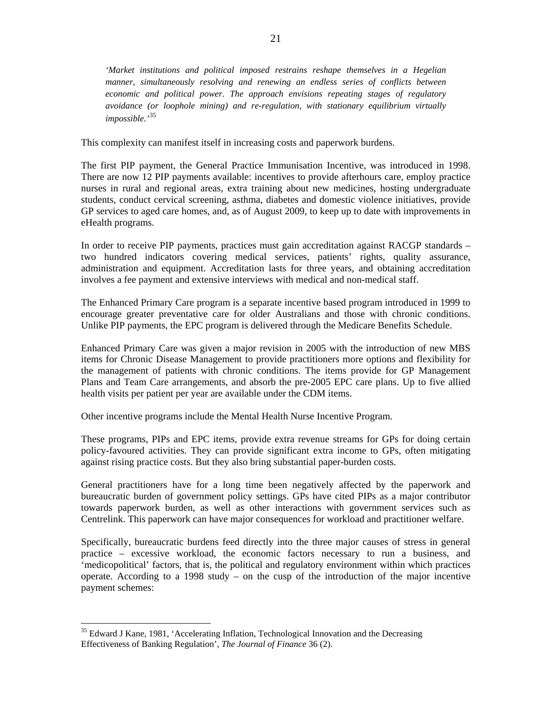<span id="page-22-0"></span>*'Market institutions and political imposed restrains reshape themselves in a Hegelian manner, simultaneously resolving and renewing an endless series of conflicts between economic and political power. The approach envisions repeating stages of regulatory avoidance (or loophole mining) and re-regulation, with stationary equilibrium virtually impossible.'*[35](#page-22-0)

This complexity can manifest itself in increasing costs and paperwork burdens.

The first PIP payment, the General Practice Immunisation Incentive, was introduced in 1998. There are now 12 PIP payments available: incentives to provide afterhours care, employ practice nurses in rural and regional areas, extra training about new medicines, hosting undergraduate students, conduct cervical screening, asthma, diabetes and domestic violence initiatives, provide GP services to aged care homes, and, as of August 2009, to keep up to date with improvements in eHealth programs.

In order to receive PIP payments, practices must gain accreditation against RACGP standards – two hundred indicators covering medical services, patients' rights, quality assurance, administration and equipment. Accreditation lasts for three years, and obtaining accreditation involves a fee payment and extensive interviews with medical and non-medical staff.

The Enhanced Primary Care program is a separate incentive based program introduced in 1999 to encourage greater preventative care for older Australians and those with chronic conditions. Unlike PIP payments, the EPC program is delivered through the Medicare Benefits Schedule.

Enhanced Primary Care was given a major revision in 2005 with the introduction of new MBS items for Chronic Disease Management to provide practitioners more options and flexibility for the management of patients with chronic conditions. The items provide for GP Management Plans and Team Care arrangements, and absorb the pre-2005 EPC care plans. Up to five allied health visits per patient per year are available under the CDM items.

Other incentive programs include the Mental Health Nurse Incentive Program.

These programs, PIPs and EPC items, provide extra revenue streams for GPs for doing certain policy-favoured activities. They can provide significant extra income to GPs, often mitigating against rising practice costs. But they also bring substantial paper-burden costs.

General practitioners have for a long time been negatively affected by the paperwork and bureaucratic burden of government policy settings. GPs have cited PIPs as a major contributor towards paperwork burden, as well as other interactions with government services such as Centrelink. This paperwork can have major consequences for workload and practitioner welfare.

Specifically, bureaucratic burdens feed directly into the three major causes of stress in general practice – excessive workload, the economic factors necessary to run a business, and 'medicopolitical' factors, that is, the political and regulatory environment within which practices operate. According to a 1998 study – on the cusp of the introduction of the major incentive payment schemes:

 $35$  Edward J Kane, 1981, 'Accelerating Inflation, Technological Innovation and the Decreasing Effectiveness of Banking Regulation', *The Journal of Finance* 36 (2).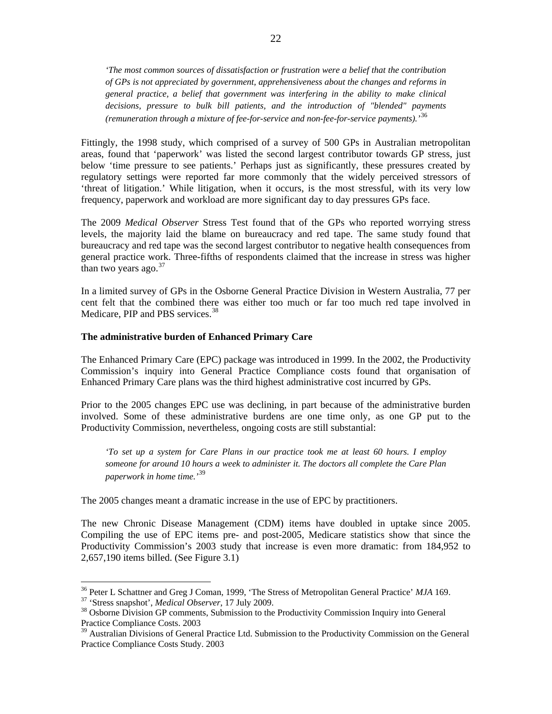<span id="page-23-0"></span>*'The most common sources of dissatisfaction or frustration were a belief that the contribution of GPs is not appreciated by government, apprehensiveness about the changes and reforms in general practice, a belief that government was interfering in the ability to make clinical decisions, pressure to bulk bill patients, and the introduction of "blended" payments (remuneration through a mixture of fee-for-service and non-fee-for-service payments).'*[36](#page-23-0)

Fittingly, the 1998 study, which comprised of a survey of 500 GPs in Australian metropolitan areas, found that 'paperwork' was listed the second largest contributor towards GP stress, just below 'time pressure to see patients.' Perhaps just as significantly, these pressures created by regulatory settings were reported far more commonly that the widely perceived stressors of 'threat of litigation.' While litigation, when it occurs, is the most stressful, with its very low frequency, paperwork and workload are more significant day to day pressures GPs face.

The 2009 *Medical Observer* Stress Test found that of the GPs who reported worrying stress levels, the majority laid the blame on bureaucracy and red tape. The same study found that bureaucracy and red tape was the second largest contributor to negative health consequences from general practice work. Three-fifths of respondents claimed that the increase in stress was higher than two years ago. $37$ 

In a limited survey of GPs in the Osborne General Practice Division in Western Australia, 77 per cent felt that the combined there was either too much or far too much red tape involved in Medicare, PIP and PBS services.<sup>[38](#page-23-0)</sup>

## **The administrative burden of Enhanced Primary Care**

The Enhanced Primary Care (EPC) package was introduced in 1999. In the 2002, the Productivity Commission's inquiry into General Practice Compliance costs found that organisation of Enhanced Primary Care plans was the third highest administrative cost incurred by GPs.

Prior to the 2005 changes EPC use was declining, in part because of the administrative burden involved. Some of these administrative burdens are one time only, as one GP put to the Productivity Commission, nevertheless, ongoing costs are still substantial:

*'To set up a system for Care Plans in our practice took me at least 60 hours. I employ someone for around 10 hours a week to administer it. The doctors all complete the Care Plan paperwork in home time.'*[39](#page-23-0)

The 2005 changes meant a dramatic increase in the use of EPC by practitioners.

The new Chronic Disease Management (CDM) items have doubled in uptake since 2005. Compiling the use of EPC items pre- and post-2005, Medicare statistics show that since the Productivity Commission's 2003 study that increase is even more dramatic: from 184,952 to 2,657,190 items billed. (See Figure 3.1)

<sup>&</sup>lt;sup>36</sup> Peter L Schattner and Greg J Coman, 1999, 'The Stress of Metropolitan General Practice' MJA 169.

<sup>&</sup>lt;sup>37</sup> 'Stress snapshot', *Medical Observer*, 17 July 2009.<br><sup>38</sup> Osborne Division GP comments, Submission to the Productivity Commission Inquiry into General Practice Compliance Costs. 2003

<sup>&</sup>lt;sup>39</sup> Australian Divisions of General Practice Ltd. Submission to the Productivity Commission on the General Practice Compliance Costs Study. 2003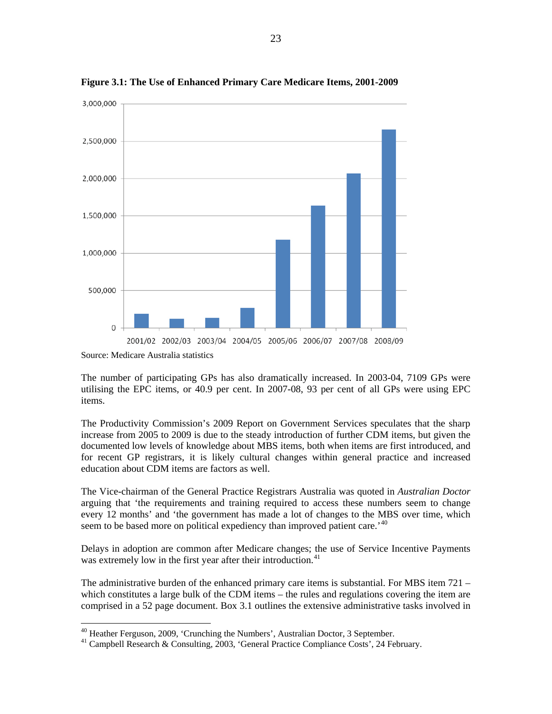

<span id="page-24-0"></span>**Figure 3.1: The Use of Enhanced Primary Care Medicare Items, 2001-2009** 

Source: Medicare Australia statistics

 $\overline{a}$ 

The number of participating GPs has also dramatically increased. In 2003-04, 7109 GPs were utilising the EPC items, or 40.9 per cent. In 2007-08, 93 per cent of all GPs were using EPC items.

The Productivity Commission's 2009 Report on Government Services speculates that the sharp increase from 2005 to 2009 is due to the steady introduction of further CDM items, but given the documented low levels of knowledge about MBS items, both when items are first introduced, and for recent GP registrars, it is likely cultural changes within general practice and increased education about CDM items are factors as well.

The Vice-chairman of the General Practice Registrars Australia was quoted in *Australian Doctor* arguing that 'the requirements and training required to access these numbers seem to change every 12 months' and 'the government has made a lot of changes to the MBS over time, which seem to be based more on political expediency than improved patient care.<sup>'[40](#page-24-0)</sup>

Delays in adoption are common after Medicare changes; the use of Service Incentive Payments was extremely low in the first year after their introduction.<sup>[41](#page-24-0)</sup>

The administrative burden of the enhanced primary care items is substantial. For MBS item 721 – which constitutes a large bulk of the CDM items – the rules and regulations covering the item are comprised in a 52 page document. Box 3.1 outlines the extensive administrative tasks involved in

<sup>&</sup>lt;sup>40</sup> Heather Ferguson, 2009, 'Crunching the Numbers', Australian Doctor, 3 September.

<sup>41</sup> Campbell Research & Consulting, 2003, 'General Practice Compliance Costs', 24 February.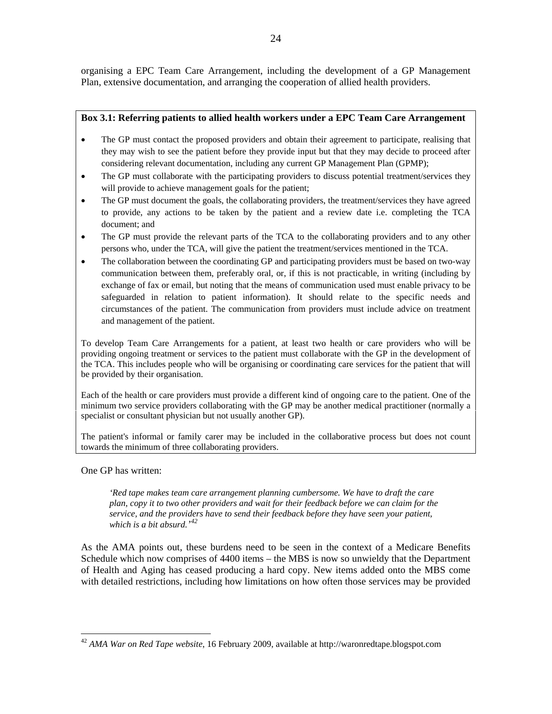<span id="page-25-0"></span>organising a EPC Team Care Arrangement, including the development of a GP Management Plan, extensive documentation, and arranging the cooperation of allied health providers.

# **Box 3.1: Referring patients to allied health workers under a EPC Team Care Arrangement**

- The GP must contact the proposed providers and obtain their agreement to participate, realising that they may wish to see the patient before they provide input but that they may decide to proceed after considering relevant documentation, including any current GP Management Plan (GPMP);
- The GP must collaborate with the participating providers to discuss potential treatment/services they will provide to achieve management goals for the patient;
- The GP must document the goals, the collaborating providers, the treatment/services they have agreed to provide, any actions to be taken by the patient and a review date i.e. completing the TCA document; and
- The GP must provide the relevant parts of the TCA to the collaborating providers and to any other persons who, under the TCA, will give the patient the treatment/services mentioned in the TCA.
- The collaboration between the coordinating GP and participating providers must be based on two-way communication between them, preferably oral, or, if this is not practicable, in writing (including by exchange of fax or email, but noting that the means of communication used must enable privacy to be safeguarded in relation to patient information). It should relate to the specific needs and circumstances of the patient. The communication from providers must include advice on treatment and management of the patient.

To develop Team Care Arrangements for a patient, at least two health or care providers who will be providing ongoing treatment or services to the patient must collaborate with the GP in the development of the TCA. This includes people who will be organising or coordinating care services for the patient that will be provided by their organisation.

Each of the health or care providers must provide a different kind of ongoing care to the patient. One of the minimum two service providers collaborating with the GP may be another medical practitioner (normally a specialist or consultant physician but not usually another GP).

The patient's informal or family carer may be included in the collaborative process but does not count towards the minimum of three collaborating providers.

One GP has written:

 $\overline{a}$ 

*'Red tape makes team care arrangement planning cumbersome. We have to draft the care plan, copy it to two other providers and wait for their feedback before we can claim for the service, and the providers have to send their feedback before they have seen your patient, which is a bit absurd.' [42](#page-25-0)*

As the AMA points out, these burdens need to be seen in the context of a Medicare Benefits Schedule which now comprises of 4400 items – the MBS is now so unwieldy that the Department of Health and Aging has ceased producing a hard copy. New items added onto the MBS come with detailed restrictions, including how limitations on how often those services may be provided

<sup>42</sup> *AMA War on Red Tape website*, 16 February 2009, available at http://waronredtape.blogspot.com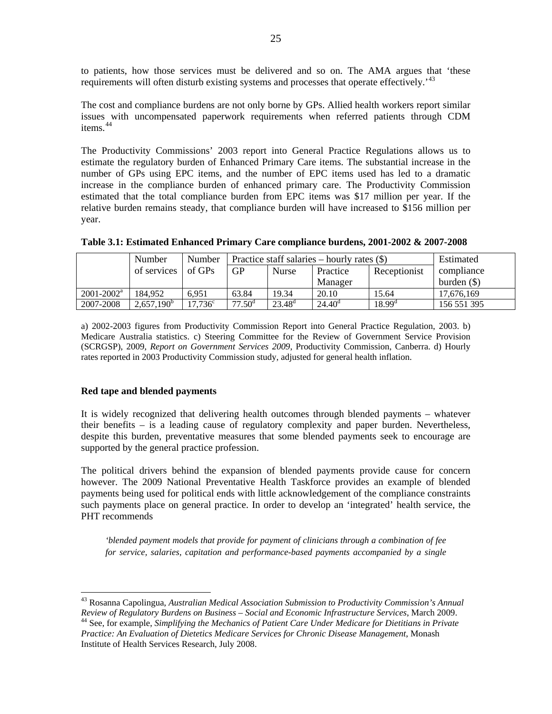<span id="page-26-0"></span>to patients, how those services must be delivered and so on. The AMA argues that 'these requirements will often disturb existing systems and processes that operate effectively.<sup>1[43](#page-26-0)</sup>

The cost and compliance burdens are not only borne by GPs. Allied health workers report similar issues with uncompensated paperwork requirements when referred patients through CDM items.<sup>44</sup>

relative burden remains steady, that compliance burden will have increased to \$156 million per year. The Productivity Commissions' 2003 report into General Practice Regulations allows us to estimate the regulatory burden of Enhanced Primary Care items. The substantial increase in the number of GPs using EPC items, and the number of EPC items used has led to a dramatic increase in the compliance burden of enhanced primary care. The Productivity Commission estimated that the total compliance burden from EPC items was \$17 million per year. If the

|                 | Number        | Number     | Practice staff salaries – hourly rates $(\$)$ |              |                    |                    | Estimated     |
|-----------------|---------------|------------|-----------------------------------------------|--------------|--------------------|--------------------|---------------|
|                 | of services   | of GPs     | GP                                            | <b>Nurse</b> | Practice           | Receptionist       | compliance    |
|                 |               |            |                                               |              | Manager            |                    | burden $(\$)$ |
| $2001 - 2002^a$ | 184.952       | 6.951      | 63.84                                         | 19.34        | 20.10              | 15.64              | 17.676.169    |
| 2007-2008       | $2,657,190^b$ | $17,736^c$ | $77.50^{\rm d}$                               | $23.48^d$    | 24.40 <sup>d</sup> | $18.99^{\text{d}}$ | 156 551 395   |

a) 2002-2003 figures from Productivity Commission Report into General Practice Regulation, 2003. b) Medicare Australia statistics. c) Steering Committee for the Review of Government Service Provision (SCRGSP), 2009, *Report on Government Services 2009*, Productivity Commission, Canberra. d) Hourly rates reported in 2003 Productivity Commission study, adjusted for general health inflation.

# **ed tape and blended payments R**

 $\overline{a}$ 

despite this burden, preventative measures that some blended payments seek to encourage are supported by the general practice profession. It is widely recognized that delivering health outcomes through blended payments – whatever their benefits – is a leading cause of regulatory complexity and paper burden. Nevertheless,

such payments place on general practice. In order to develop an 'integrated' health service, the PHT recommends The political drivers behind the expansion of blended payments provide cause for concern however. The 2009 National Preventative Health Taskforce provides an example of blended payments being used for political ends with little acknowledgement of the compliance constraints

*for service, salaries, capitation and performance-based payments accompanied by a single 'blended payment models that provide for payment of clinicians through a combination of fee* 

<sup>43</sup> Rosanna Capolingua, *Australian Medical Association Submission to Productivity Commission's Annual Review of Regulatory Burdens on Business – Social and Economic Infrastructure Services*, March 2009. 44 See, for example, *Simplifying the Mechanics of Patient Care Under Medicare for Dietitians in Private* 

*Practice: An Evaluation of Dietetics Medicare Services for Chronic Disease Management*, Monash Institute of Health Services Research, July 2008.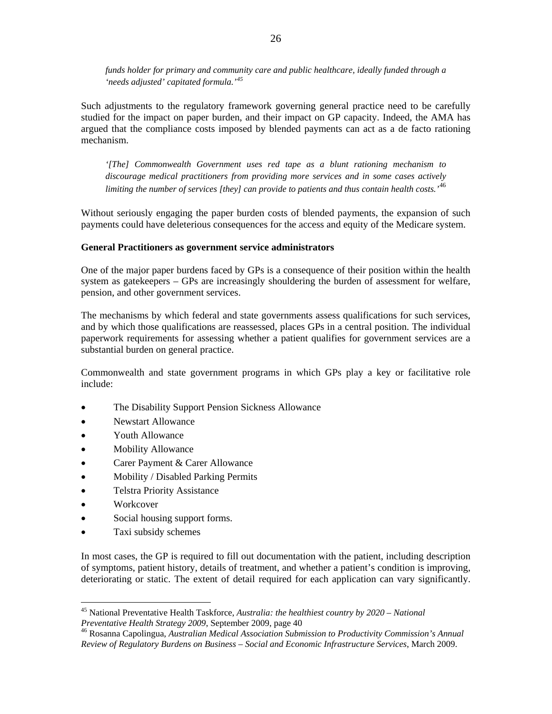<span id="page-27-0"></span>*funds holder for primary and community care and public healthcare, ideally funded through a 'needs adjusted' capitated formula.'[45](#page-27-0)*

Such adjustments to the regulatory framework governing general practice need to be carefully studied for the impact on paper burden, and their impact on GP capacity. Indeed, the AMA has argued that the compliance costs imposed by blended payments can act as a de facto rationing mechanism.

*'[The] Commonwealth Government uses red tape as a blunt rationing mechanism to discourage medical practitioners from providing more services and in some cases actively limiting the number of services [they] can provide to patients and thus contain health costs.'*[46](#page-27-0)

Without seriously engaging the paper burden costs of blended payments, the expansion of such payments could have deleterious consequences for the access and equity of the Medicare system.

#### **General Practitioners as government service administrators**

One of the major paper burdens faced by GPs is a consequence of their position within the health system as gatekeepers – GPs are increasingly shouldering the burden of assessment for welfare, pension, and other government services.

The mechanisms by which federal and state governments assess qualifications for such services, and by which those qualifications are reassessed, places GPs in a central position. The individual paperwork requirements for assessing whether a patient qualifies for government services are a substantial burden on general practice.

Commonwealth and state government programs in which GPs play a key or facilitative role include:

- The Disability Support Pension Sickness Allowance
- Newstart Allowance
- Youth Allowance
- Mobility Allowance
- Carer Payment & Carer Allowance
- Mobility / Disabled Parking Permits
- Telstra Priority Assistance
- Workcover

 $\overline{a}$ 

- Social housing support forms.
- Taxi subsidy schemes

In most cases, the GP is required to fill out documentation with the patient, including description of symptoms, patient history, details of treatment, and whether a patient's condition is improving, deteriorating or static. The extent of detail required for each application can vary significantly.

<sup>&</sup>lt;sup>45</sup> National Preventative Health Taskforce, *Australia: the healthiest country by 2020 – National Preventative Health Strategy 2009, September 2009, page 40* 

<sup>&</sup>lt;sup>46</sup> Rosanna Capolingua, Australian Medical Association Submission to Productivity Commission's Annual *Review of Regulatory Burdens on Business – Social and Economic Infrastructure Services*, March 2009.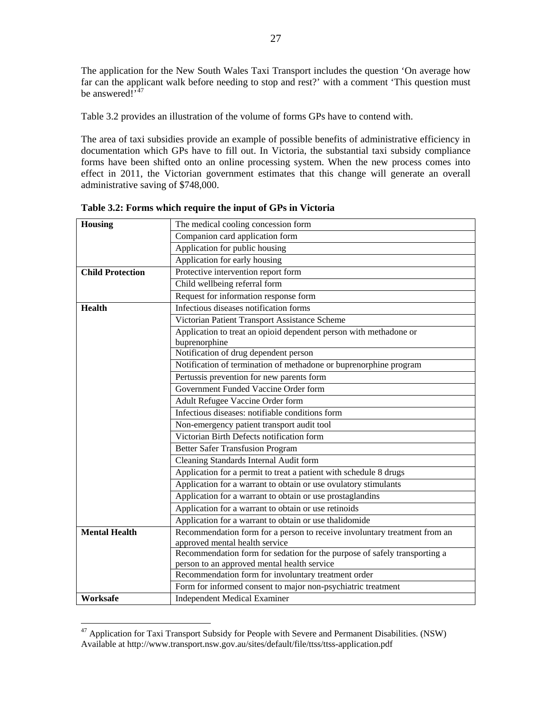<span id="page-28-0"></span>The application for the New South Wales Taxi Transport includes the question 'On average how far can the applicant walk before needing to stop and rest?' with a comment 'This question must be answered $\tilde{I}^{47}$  $\tilde{I}^{47}$  $\tilde{I}^{47}$ 

Table 3.2 provides an illustration of the volume of forms GPs have to contend with.

The area of taxi subsidies provide an example of possible benefits of administrative efficiency in documentation which GPs have to fill out. In Victoria, the substantial taxi subsidy compliance forms have been shifted onto an online processing system. When the new process comes into effect in 2011, the Victorian government estimates that this change will generate an overall administrative saving of \$748,000.

| Housing                 | The medical cooling concession form                                                                |  |  |  |  |  |
|-------------------------|----------------------------------------------------------------------------------------------------|--|--|--|--|--|
|                         | Companion card application form                                                                    |  |  |  |  |  |
|                         | Application for public housing                                                                     |  |  |  |  |  |
|                         | Application for early housing                                                                      |  |  |  |  |  |
| <b>Child Protection</b> | Protective intervention report form                                                                |  |  |  |  |  |
|                         | Child wellbeing referral form                                                                      |  |  |  |  |  |
|                         | Request for information response form                                                              |  |  |  |  |  |
| <b>Health</b>           | Infectious diseases notification forms                                                             |  |  |  |  |  |
|                         | Victorian Patient Transport Assistance Scheme                                                      |  |  |  |  |  |
|                         | Application to treat an opioid dependent person with methadone or                                  |  |  |  |  |  |
|                         | buprenorphine<br>Notification of drug dependent person                                             |  |  |  |  |  |
|                         | Notification of termination of methadone or buprenorphine program                                  |  |  |  |  |  |
|                         | Pertussis prevention for new parents form                                                          |  |  |  |  |  |
|                         | Government Funded Vaccine Order form                                                               |  |  |  |  |  |
|                         |                                                                                                    |  |  |  |  |  |
|                         | Adult Refugee Vaccine Order form<br>Infectious diseases: notifiable conditions form                |  |  |  |  |  |
|                         |                                                                                                    |  |  |  |  |  |
|                         | Non-emergency patient transport audit tool<br>Victorian Birth Defects notification form            |  |  |  |  |  |
|                         |                                                                                                    |  |  |  |  |  |
|                         | <b>Better Safer Transfusion Program</b>                                                            |  |  |  |  |  |
|                         | Cleaning Standards Internal Audit form                                                             |  |  |  |  |  |
|                         | Application for a permit to treat a patient with schedule 8 drugs                                  |  |  |  |  |  |
|                         | Application for a warrant to obtain or use ovulatory stimulants                                    |  |  |  |  |  |
|                         | Application for a warrant to obtain or use prostaglandins                                          |  |  |  |  |  |
|                         | Application for a warrant to obtain or use retinoids                                               |  |  |  |  |  |
|                         | Application for a warrant to obtain or use thalidomide                                             |  |  |  |  |  |
| <b>Mental Health</b>    | Recommendation form for a person to receive involuntary treatment from an                          |  |  |  |  |  |
|                         | approved mental health service                                                                     |  |  |  |  |  |
|                         | Recommendation form for sedation for the purpose of safely transporting a                          |  |  |  |  |  |
|                         | person to an approved mental health service<br>Recommendation form for involuntary treatment order |  |  |  |  |  |
|                         |                                                                                                    |  |  |  |  |  |
|                         | Form for informed consent to major non-psychiatric treatment                                       |  |  |  |  |  |
| Worksafe                | <b>Independent Medical Examiner</b>                                                                |  |  |  |  |  |

**Table 3.2: Forms which require the input of GPs in Victoria** 

 $47$  Application for Taxi Transport Subsidy for People with Severe and Permanent Disabilities. (NSW) Available at http://www.transport.nsw.gov.au/sites/default/file/ttss/ttss-application.pdf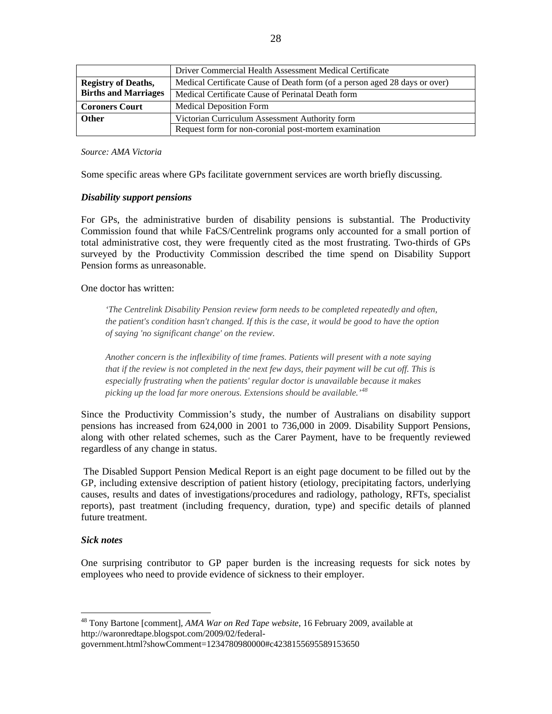<span id="page-29-0"></span>

|                             | Driver Commercial Health Assessment Medical Certificate                    |
|-----------------------------|----------------------------------------------------------------------------|
| <b>Registry of Deaths,</b>  | Medical Certificate Cause of Death form (of a person aged 28 days or over) |
| <b>Births and Marriages</b> | Medical Certificate Cause of Perinatal Death form                          |
| <b>Coroners Court</b>       | <b>Medical Deposition Form</b>                                             |
| <b>Other</b>                | Victorian Curriculum Assessment Authority form                             |
|                             | Request form for non-coronial post-mortem examination                      |

*Source: AMA Victoria* 

Some specific areas where GPs facilitate government services are worth briefly discussing.

#### *Disability support pensions*

For GPs, the administrative burden of disability pensions is substantial. The Productivity Commission found that while FaCS/Centrelink programs only accounted for a small portion of total administrative cost, they were frequently cited as the most frustrating. Two-thirds of GPs surveyed by the Productivity Commission described the time spend on Disability Support Pension forms as unreasonable.

One doctor has written:

*'The Centrelink Disability Pension review form needs to be completed repeatedly and often, the patient's condition hasn't changed. If this is the case, it would be good to have the option of saying 'no significant change' on the review.*

*Another concern is the inflexibility of time frames. Patients will present with a note saying that if the review is not completed in the next few days, their payment will be cut off. This is especially frustrating when the patients' regular doctor is unavailable because it makes picking up the load far more onerous. Extensions should be available.'[48](#page-29-0)*

Since the Productivity Commission's study, the number of Australians on disability support pensions has increased from 624,000 in 2001 to 736,000 in 2009. Disability Support Pensions, along with other related schemes, such as the Carer Payment, have to be frequently reviewed regardless of any change in status.

 The Disabled Support Pension Medical Report is an eight page document to be filled out by the GP, including extensive description of patient history (etiology, precipitating factors, underlying causes, results and dates of investigations/procedures and radiology, pathology, RFTs, specialist reports), past treatment (including frequency, duration, type) and specific details of planned future treatment.

#### *Sick notes*

 $\overline{a}$ 

One surprising contributor to GP paper burden is the increasing requests for sick notes by employees who need to provide evidence of sickness to their employer.

<sup>48</sup> Tony Bartone [comment], *AMA War on Red Tape website*, 16 February 2009, available at http://waronredtape.blogspot.com/2009/02/federal-

government.html?showComment=1234780980000#c4238155695589153650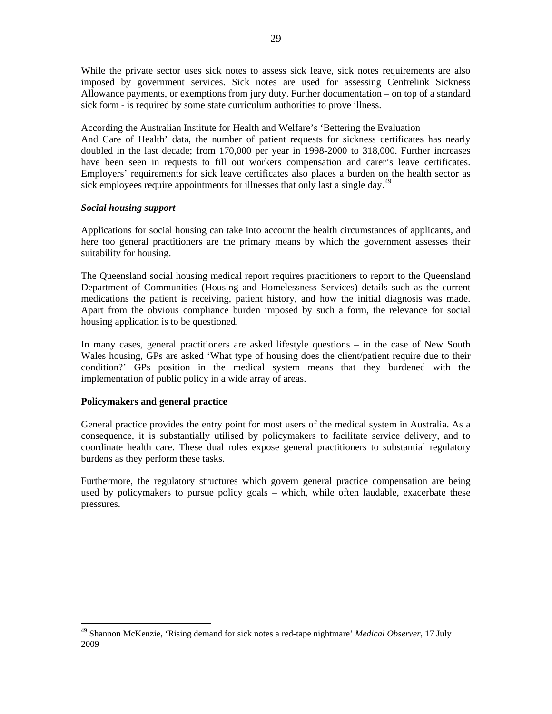<span id="page-30-0"></span>While the private sector uses sick notes to assess sick leave, sick notes requirements are also imposed by government services. Sick notes are used for assessing Centrelink Sickness Allowance payments, or exemptions from jury duty. Further documentation – on top of a standard sick form - is required by some state curriculum authorities to prove illness.

According the Australian Institute for Health and Welfare's 'Bettering the Evaluation And Care of Health' data, the number of patient requests for sickness certificates has nearly doubled in the last decade; from 170,000 per year in 1998-2000 to 318,000. Further increases have been seen in requests to fill out workers compensation and carer's leave certificates. Employers' requirements for sick leave certificates also places a burden on the health sector as sick employees require appointments for illnesses that only last a single day.<sup>[49](#page-30-0)</sup>

## *Social housing support*

Applications for social housing can take into account the health circumstances of applicants, and here too general practitioners are the primary means by which the government assesses their suitability for housing.

The Queensland social housing medical report requires practitioners to report to the Queensland Department of Communities (Housing and Homelessness Services) details such as the current medications the patient is receiving, patient history, and how the initial diagnosis was made. Apart from the obvious compliance burden imposed by such a form, the relevance for social housing application is to be questioned.

In many cases, general practitioners are asked lifestyle questions – in the case of New South Wales housing, GPs are asked 'What type of housing does the client/patient require due to their condition?' GPs position in the medical system means that they burdened with the implementation of public policy in a wide array of areas.

# **Policymakers and general practice**

 $\overline{a}$ 

General practice provides the entry point for most users of the medical system in Australia. As a consequence, it is substantially utilised by policymakers to facilitate service delivery, and to coordinate health care. These dual roles expose general practitioners to substantial regulatory burdens as they perform these tasks.

Furthermore, the regulatory structures which govern general practice compensation are being used by policymakers to pursue policy goals – which, while often laudable, exacerbate these pressures.

<sup>49</sup> Shannon McKenzie, 'Rising demand for sick notes a red-tape nightmare' *Medical Observer*, 17 July 2009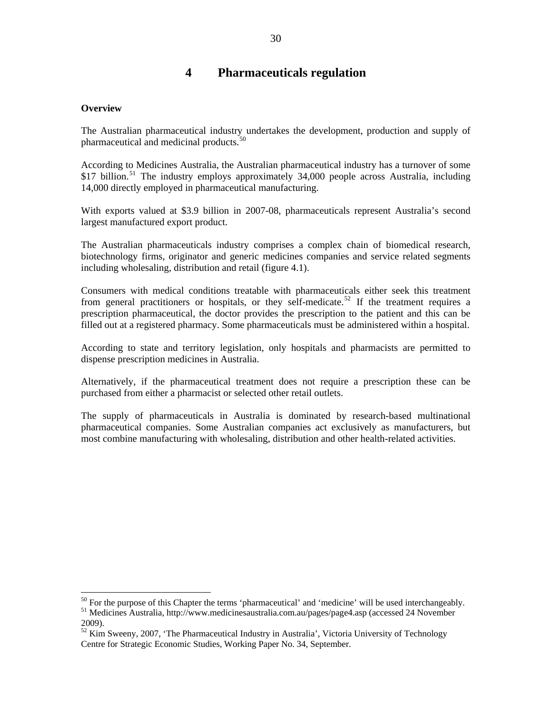# **4 Pharmaceuticals regulation**

#### <span id="page-31-0"></span>**Overview**

 $\overline{a}$ 

The Australian pharmaceutical industry undertakes the development, production and supply of pharmaceutical and medicinal products. $50$ 

According to Medicines Australia, the Australian pharmaceutical industry has a turnover of some  $$17$  billion.<sup>[51](#page-31-0)</sup> The industry employs approximately 34,000 people across Australia, including 14,000 directly employed in pharmaceutical manufacturing.

With exports valued at \$3.9 billion in 2007-08, pharmaceuticals represent Australia's second largest manufactured export product.

The Australian pharmaceuticals industry comprises a complex chain of biomedical research, biotechnology firms, originator and generic medicines companies and service related segments including wholesaling, distribution and retail (figure 4.1).

Consumers with medical conditions treatable with pharmaceuticals either seek this treatment from general practitioners or hospitals, or they self-medicate.<sup>[52](#page-31-0)</sup> If the treatment requires a prescription pharmaceutical, the doctor provides the prescription to the patient and this can be filled out at a registered pharmacy. Some pharmaceuticals must be administered within a hospital.

According to state and territory legislation, only hospitals and pharmacists are permitted to dispense prescription medicines in Australia.

Alternatively, if the pharmaceutical treatment does not require a prescription these can be purchased from either a pharmacist or selected other retail outlets.

The supply of pharmaceuticals in Australia is dominated by research-based multinational pharmaceutical companies. Some Australian companies act exclusively as manufacturers, but most combine manufacturing with wholesaling, distribution and other health-related activities.

<sup>&</sup>lt;sup>50</sup> For the purpose of this Chapter the terms 'pharmaceutical' and 'medicine' will be used interchangeably.<br><sup>51</sup> Medicines Australia, http://www.medicinesaustralia.com.au/pages/page4.asp (accessed 24 November 2009).

 $52$  Kim Sweeny, 2007, 'The Pharmaceutical Industry in Australia', Victoria University of Technology Centre for Strategic Economic Studies, Working Paper No. 34, September.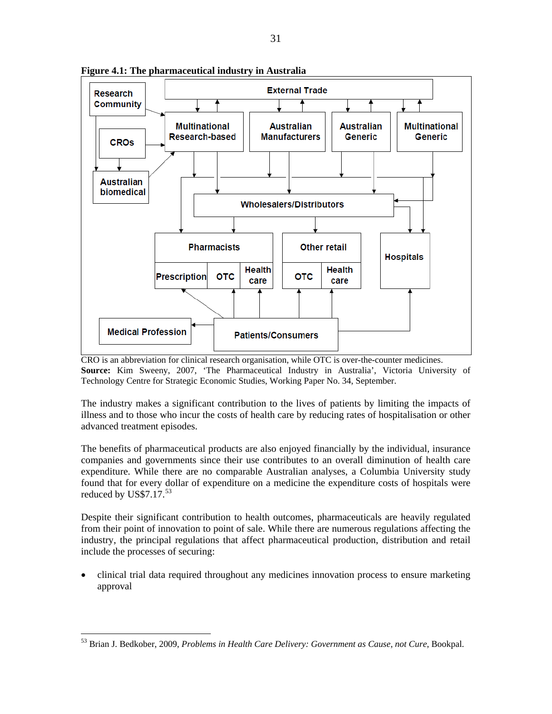

<span id="page-32-0"></span>**Figure 4.1: The pharmaceutical industry in Australia** 

CRO is an abbreviation for clinical research organisation, while OTC is over-the-counter medicines. **Source:** Kim Sweeny, 2007, 'The Pharmaceutical Industry in Australia', Victoria University of Technology Centre for Strategic Economic Studies, Working Paper No. 34, September.

The industry makes a significant contribution to the lives of patients by limiting the impacts of illness and to those who incur the costs of health care by reducing rates of hospitalisation or other advanced treatment episodes.

The benefits of pharmaceutical products are also enjoyed financially by the individual, insurance companies and governments since their use contributes to an overall diminution of health care expenditure. While there are no comparable Australian analyses, a Columbia University study found that for every dollar of expenditure on a medicine the expenditure costs of hospitals were reduced by US\$7.17. $^{53}$  $^{53}$  $^{53}$ 

Despite their significant contribution to health outcomes, pharmaceuticals are heavily regulated from their point of innovation to point of sale. While there are numerous regulations affecting the industry, the principal regulations that affect pharmaceutical production, distribution and retail include the processes of securing:

• clinical trial data required throughout any medicines innovation process to ensure marketing approval

<sup>53</sup> Brian J. Bedkober, 2009, *Problems in Health Care Delivery: Government as Cause, not Cure*, Bookpal.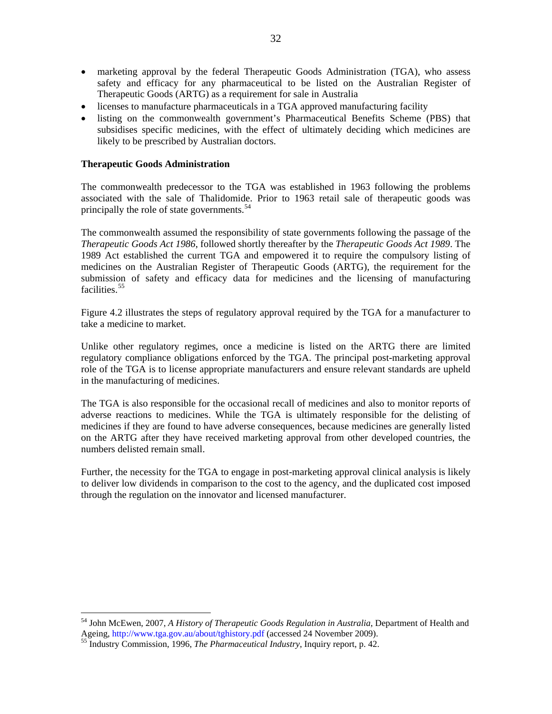- <span id="page-33-0"></span>• marketing approval by the federal Therapeutic Goods Administration (TGA), who assess safety and efficacy for any pharmaceutical to be listed on the Australian Register of Therapeutic Goods (ARTG) as a requirement for sale in Australia
- licenses to manufacture pharmaceuticals in a TGA approved manufacturing facility
- listing on the commonwealth government's Pharmaceutical Benefits Scheme (PBS) that subsidises specific medicines, with the effect of ultimately deciding which medicines are likely to be prescribed by Australian doctors.

# **Therapeutic Goods Administration**

The commonwealth predecessor to the TGA was established in 1963 following the problems associated with the sale of Thalidomide. Prior to 1963 retail sale of therapeutic goods was principally the role of state governments.<sup>[54](#page-33-0)</sup>

The commonwealth assumed the responsibility of state governments following the passage of the *Therapeutic Goods Act 1986*, followed shortly thereafter by the *Therapeutic Goods Act 1989*. The 1989 Act established the current TGA and empowered it to require the compulsory listing of medicines on the Australian Register of Therapeutic Goods (ARTG), the requirement for the submission of safety and efficacy data for medicines and the licensing of manufacturing facilities.<sup>[55](#page-33-0)</sup>

Figure 4.2 illustrates the steps of regulatory approval required by the TGA for a manufacturer to take a medicine to market.

Unlike other regulatory regimes, once a medicine is listed on the ARTG there are limited regulatory compliance obligations enforced by the TGA. The principal post-marketing approval role of the TGA is to license appropriate manufacturers and ensure relevant standards are upheld in the manufacturing of medicines.

The TGA is also responsible for the occasional recall of medicines and also to monitor reports of adverse reactions to medicines. While the TGA is ultimately responsible for the delisting of medicines if they are found to have adverse consequences, because medicines are generally listed on the ARTG after they have received marketing approval from other developed countries, the numbers delisted remain small.

Further, the necessity for the TGA to engage in post-marketing approval clinical analysis is likely to deliver low dividends in comparison to the cost to the agency, and the duplicated cost imposed through the regulation on the innovator and licensed manufacturer.

<sup>&</sup>lt;sup>54</sup> John McEwen, 2007, *A History of Therapeutic Goods Regulation in Australia*, Department of Health and Ageing, http://www.tga.gov.au/about/tghistory.pdf (accessed 24 November 2009).

<sup>&</sup>lt;sup>55</sup> Industry Commission, 1996, *The Pharmaceutical Industry*, Inquiry report, p. 42.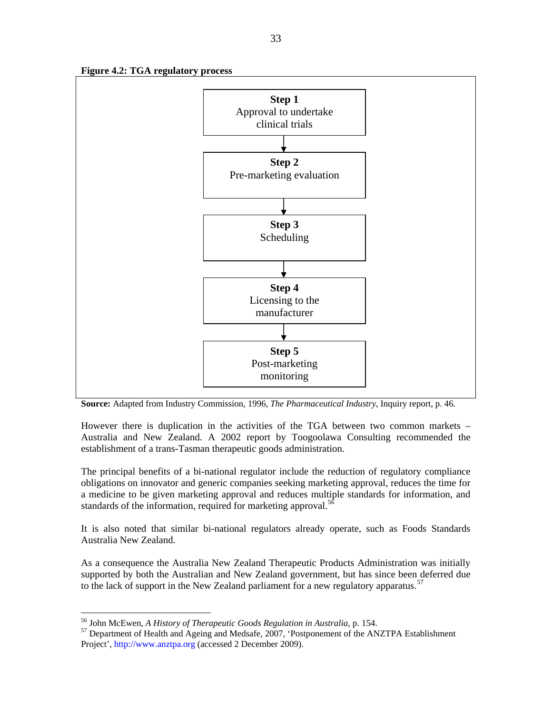<span id="page-34-0"></span>



**Source:** Adapted from Industry Commission, 1996, *The Pharmaceutical Industry*, Inquiry report, p. 46.

However there is duplication in the activities of the TGA between two common markets – Australia and New Zealand. A 2002 report by Toogoolawa Consulting recommended the establishment of a trans-Tasman therapeutic goods administration.

The principal benefits of a bi-national regulator include the reduction of regulatory compliance obligations on innovator and generic companies seeking marketing approval, reduces the time for a medicine to be given marketing approval and reduces multiple standards for information, and standards of the information, required for marketing approval.<sup>[56](#page-34-0)</sup>

It is also noted that similar bi-national regulators already operate, such as Foods Standards Australia New Zealand.

As a consequence the Australia New Zealand Therapeutic Products Administration was initially supported by both the Australian and New Zealand government, but has since been deferred due to the lack of support in the New Zealand parliament for a new regulatory apparatus.<sup>[57](#page-34-0)</sup>

<sup>&</sup>lt;sup>56</sup> John McEwen, *A History of Therapeutic Goods Regulation in Australia*, p. 154.<br><sup>57</sup> Department of Health and Ageing and Medsafe, 2007, 'Postponement of the ANZTPA Establishment Project', [http://www.anztpa.org](http://www.anztpa.org/) (accessed 2 December 2009).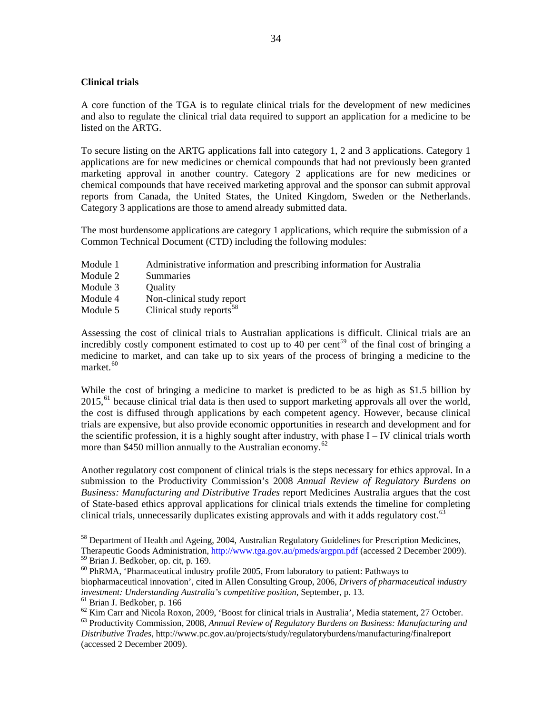# <span id="page-35-0"></span>**Clinical trials**

A core function of the TGA is to regulate clinical trials for the development of new medicines and also to regulate the clinical trial data required to support an application for a medicine to be listed on the ARTG.

To secure listing on the ARTG applications fall into category 1, 2 and 3 applications. Category 1 applications are for new medicines or chemical compounds that had not previously been granted marketing approval in another country. Category 2 applications are for new medicines or chemical compounds that have received marketing approval and the sponsor can submit approval reports from Canada, the United States, the United Kingdom, Sweden or the Netherlands. Category 3 applications are those to amend already submitted data.

The most burdensome applications are category 1 applications, which require the submission of a Common Technical Document (CTD) including the following modules:

- Module 1 Administrative information and prescribing information for Australia
- Module 2 Summaries
- Module 3 Quality
- Module 4 Non-clinical study report
- Module 5 Clinical study reports $<sup>58</sup>$  $<sup>58</sup>$  $<sup>58</sup>$ </sup>

Assessing the cost of clinical trials to Australian applications is difficult. Clinical trials are an incredibly costly component estimated to cost up to 40 per cent<sup>[59](#page-35-0)</sup> of the final cost of bringing a medicine to market, and can take up to six years of the process of bringing a medicine to the market.<sup>[60](#page-35-0)</sup>

While the cost of bringing a medicine to market is predicted to be as high as \$1.5 billion by  $2015<sup>61</sup>$  $2015<sup>61</sup>$  $2015<sup>61</sup>$  because clinical trial data is then used to support marketing approvals all over the world, the cost is diffused through applications by each competent agency. However, because clinical trials are expensive, but also provide economic opportunities in research and development and for the scientific profession, it is a highly sought after industry, with phase  $I - IV$  clinical trials worth more than \$450 million annually to the Australian economy.<sup>[62](#page-35-0)</sup>

Another regulatory cost component of clinical trials is the steps necessary for ethics approval. In a submission to the Productivity Commission's 2008 *Annual Review of Regulatory Burdens on Business: Manufacturing and Distributive Trades* report Medicines Australia argues that the cost of State-based ethics approval applications for clinical trials extends the timeline for completing clinical trials, unnecessarily duplicates existing approvals and with it adds regulatory cost.<sup>[63](#page-35-0)</sup>

 $58$  Department of Health and Ageing, 2004, Australian Regulatory Guidelines for Prescription Medicines, Therapeutic Goods Administration,<http://www.tga.gov.au/pmeds/argpm.pdf> (accessed 2 December 2009).

<sup>59</sup> Brian J. Bedkober, op. cit, p. 169.

<sup>60</sup> PhRMA, 'Pharmaceutical industry profile 2005, From laboratory to patient: Pathways to biopharmaceutical innovation', cited in Allen Consulting Group, 2006, *Drivers of pharmaceutical industry investment: Understanding Australia's competitive position*, September, p. 13.<br><sup>61</sup> Brian J. Bedkober, p. 166<br><sup>62</sup> Kim Carr and Nicola Roxon, 2009, 'Boost for clinical trials in Australia', Media statement, 27 October.

<sup>&</sup>lt;sup>63</sup> Productivity Commission, 2008, Annual Review of Regulatory Burdens on Business: Manufacturing and *Distributive Trades*, http://www.pc.gov.au/projects/study/regulatoryburdens/manufacturing/finalreport (accessed 2 December 2009).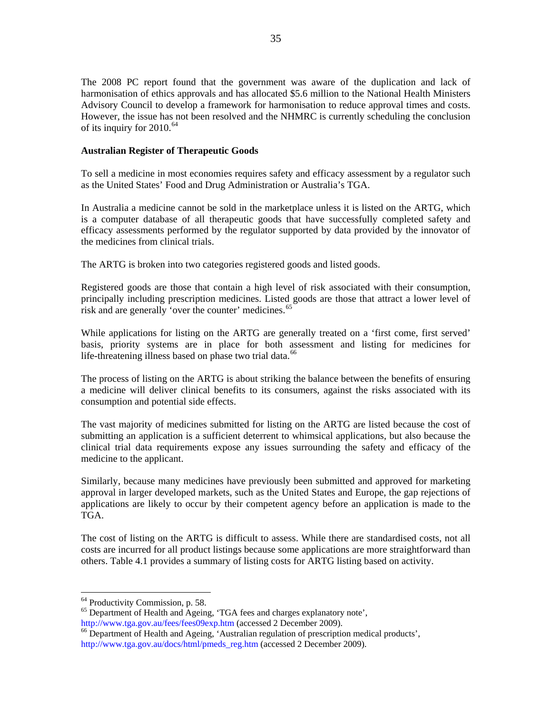<span id="page-36-0"></span>The 2008 PC report found that the government was aware of the duplication and lack of harmonisation of ethics approvals and has allocated \$5.6 million to the National Health Ministers Advisory Council to develop a framework for harmonisation to reduce approval times and costs. However, the issue has not been resolved and the NHMRC is currently scheduling the conclusion of its inquiry for  $2010.<sup>64</sup>$  $2010.<sup>64</sup>$  $2010.<sup>64</sup>$ 

## **Australian Register of Therapeutic Goods**

To sell a medicine in most economies requires safety and efficacy assessment by a regulator such as the United States' Food and Drug Administration or Australia's TGA.

In Australia a medicine cannot be sold in the marketplace unless it is listed on the ARTG, which is a computer database of all therapeutic goods that have successfully completed safety and efficacy assessments performed by the regulator supported by data provided by the innovator of the medicines from clinical trials.

The ARTG is broken into two categories registered goods and listed goods.

Registered goods are those that contain a high level of risk associated with their consumption, principally including prescription medicines. Listed goods are those that attract a lower level of risk and are generally 'over the counter' medicines.<sup>[65](#page-36-0)</sup>

While applications for listing on the ARTG are generally treated on a 'first come, first served' basis, priority systems are in place for both assessment and listing for medicines for life-threatening illness based on phase two trial data.<sup>[66](#page-36-0)</sup>

The process of listing on the ARTG is about striking the balance between the benefits of ensuring a medicine will deliver clinical benefits to its consumers, against the risks associated with its consumption and potential side effects.

The vast majority of medicines submitted for listing on the ARTG are listed because the cost of submitting an application is a sufficient deterrent to whimsical applications, but also because the clinical trial data requirements expose any issues surrounding the safety and efficacy of the medicine to the applicant.

Similarly, because many medicines have previously been submitted and approved for marketing approval in larger developed markets, such as the United States and Europe, the gap rejections of applications are likely to occur by their competent agency before an application is made to the TGA.

The cost of listing on the ARTG is difficult to assess. While there are standardised costs, not all costs are incurred for all product listings because some applications are more straightforward than others. Table 4.1 provides a summary of listing costs for ARTG listing based on activity.

<sup>&</sup>lt;sup>64</sup> Productivity Commission, p. 58.

<sup>&</sup>lt;sup>65</sup> Department of Health and Ageing, 'TGA fees and charges explanatory note',  $\frac{http://www.tga.gov.au/fees/fees09exp.html}{http://www.tga.gov.au/fees/fees09exp.html}$  (accessed 2 December 2009).

<sup>&</sup>lt;sup>[66](http://www.tga.gov.au/fees/fees09exp.htm)</sup> Department of Health and Ageing, 'Australian regulation of prescription medical products', [http://www.tga.gov.au/docs/html/pmeds\\_reg.htm](http://www.tga.gov.au/docs/html/pmeds_reg.htm) (accessed 2 December 2009).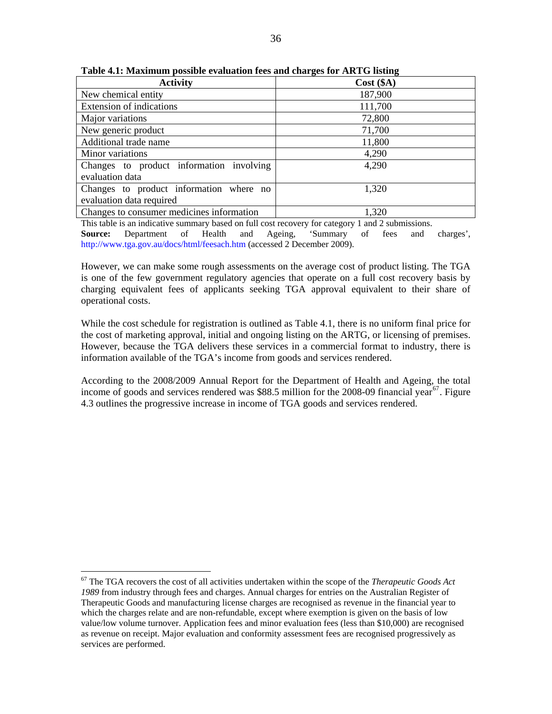| <b>Activity</b>                           | Cost (§A) |
|-------------------------------------------|-----------|
| New chemical entity                       | 187,900   |
| Extension of indications                  | 111,700   |
| Major variations                          | 72,800    |
| New generic product                       | 71,700    |
| Additional trade name                     | 11,800    |
| Minor variations                          | 4,290     |
| Changes to product information involving  | 4,290     |
| evaluation data                           |           |
| Changes to product information where no   | 1,320     |
| evaluation data required                  |           |
| Changes to consumer medicines information | 1,320     |

<span id="page-37-0"></span>**Table 4.1: Maximum possible evaluation fees and charges for ARTG listing** 

This table is an indicative summary based on full cost recovery for category 1 and 2 submissions. **Source:** Department of Health and Ageing, 'Summary of fees and charges', <http://www.tga.gov.au/docs/html/feesach.htm>(accessed 2 December 2009).

However, we can make some rough assessments on the average cost of product listing. The TGA is one of the few government regulatory agencies that operate on a full cost recovery basis by charging equivalent fees of applicants seeking TGA approval equivalent to their share of operational costs.

While the cost schedule for registration is outlined as Table 4.1, there is no uniform final price for the cost of marketing approval, initial and ongoing listing on the ARTG, or licensing of premises. However, because the TGA delivers these services in a commercial format to industry, there is information available of the TGA's income from goods and services rendered.

According to the 2008/2009 Annual Report for the Department of Health and Ageing, the total income of goods and services rendered was \$88.5 million for the 2008-09 financial year<sup>[67](#page-37-0)</sup>. Figure 4.3 outlines the progressive increase in income of TGA goods and services rendered.

<sup>67</sup> The TGA recovers the cost of all activities undertaken within the scope of the *Therapeutic Goods Act 1989* from industry through fees and charges. Annual charges for entries on the Australian Register of Therapeutic Goods and manufacturing license charges are recognised as revenue in the financial year to which the charges relate and are non-refundable, except where exemption is given on the basis of low value/low volume turnover. Application fees and minor evaluation fees (less than \$10,000) are recognised as revenue on receipt. Major evaluation and conformity assessment fees are recognised progressively as services are performed.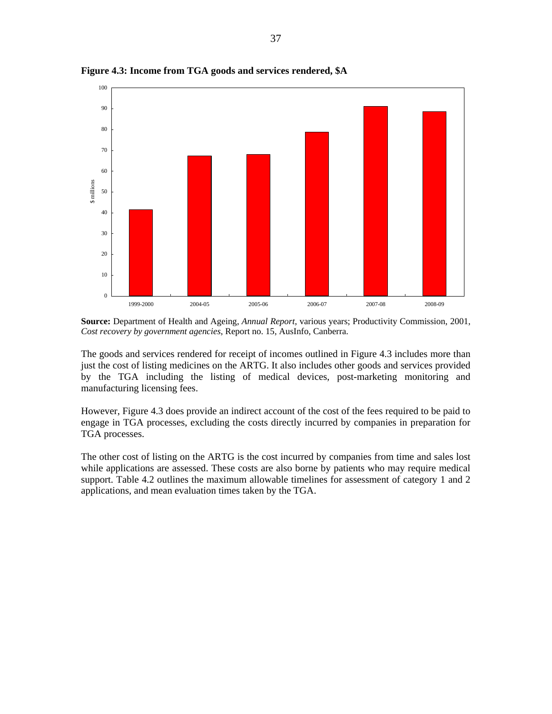

**Figure 4.3: Income from TGA goods and services rendered, \$A** 

**Source:** Department of Health and Ageing, *Annual Report*, various years; Productivity Commission, 2001, *Cost recovery by government agencies*, Report no. 15, AusInfo, Canberra.

The goods and services rendered for receipt of incomes outlined in Figure 4.3 includes more than just the cost of listing medicines on the ARTG. It also includes other goods and services provided by the TGA including the listing of medical devices, post-marketing monitoring and manufacturing licensing fees.

However, Figure 4.3 does provide an indirect account of the cost of the fees required to be paid to engage in TGA processes, excluding the costs directly incurred by companies in preparation for TGA processes.

The other cost of listing on the ARTG is the cost incurred by companies from time and sales lost while applications are assessed. These costs are also borne by patients who may require medical support. Table 4.2 outlines the maximum allowable timelines for assessment of category 1 and 2 applications, and mean evaluation times taken by the TGA.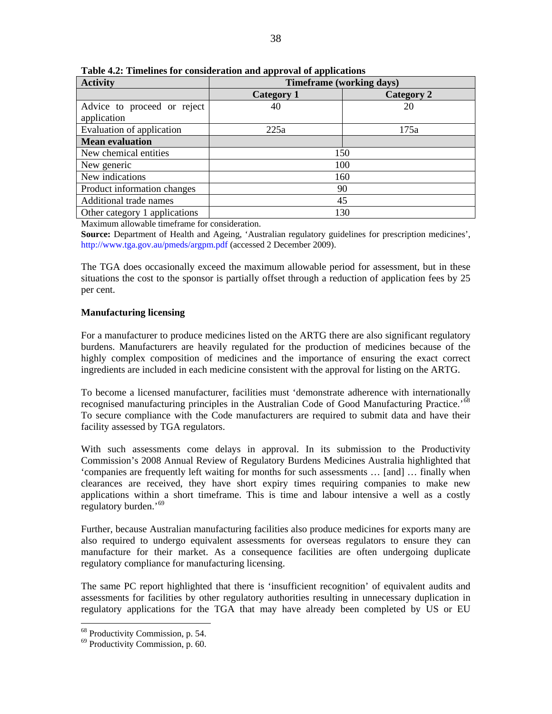| <b>Activity</b>               | <b>Timeframe (working days)</b> |            |  |  |  |
|-------------------------------|---------------------------------|------------|--|--|--|
|                               | <b>Category 1</b>               | Category 2 |  |  |  |
| Advice to proceed or reject   | 40                              | 20         |  |  |  |
| application                   |                                 |            |  |  |  |
| Evaluation of application     | 225a                            | 175a       |  |  |  |
| <b>Mean evaluation</b>        |                                 |            |  |  |  |
| New chemical entities         | 150                             |            |  |  |  |
| New generic                   | 100                             |            |  |  |  |
| New indications               | 160                             |            |  |  |  |
| Product information changes   | 90                              |            |  |  |  |
| Additional trade names        | 45                              |            |  |  |  |
| Other category 1 applications |                                 | 130        |  |  |  |

<span id="page-39-0"></span>**Table 4.2: Timelines for consideration and approval of applications** 

Maximum allowable timeframe for consideration.

**Source:** Department of Health and Ageing, 'Australian regulatory guidelines for prescription medicines', <http://www.tga.gov.au/pmeds/argpm.pdf>(accessed 2 December 2009).

The TGA does occasionally exceed the maximum allowable period for assessment, but in these situations the cost to the sponsor is partially offset through a reduction of application fees by 25 per cent.

# **Manufacturing licensing**

For a manufacturer to produce medicines listed on the ARTG there are also significant regulatory burdens. Manufacturers are heavily regulated for the production of medicines because of the highly complex composition of medicines and the importance of ensuring the exact correct ingredients are included in each medicine consistent with the approval for listing on the ARTG.

To become a licensed manufacturer, facilities must 'demonstrate adherence with internationally recognised manufacturing principles in the Australian Code of Good Manufacturing Practice.<sup>[68](#page-39-0)</sup> To secure compliance with the Code manufacturers are required to submit data and have their facility assessed by TGA regulators.

With such assessments come delays in approval. In its submission to the Productivity Commission's 2008 Annual Review of Regulatory Burdens Medicines Australia highlighted that 'companies are frequently left waiting for months for such assessments … [and] … finally when clearances are received, they have short expiry times requiring companies to make new applications within a short timeframe. This is time and labour intensive a well as a costly regulatory burden.'[69](#page-39-0)

Further, because Australian manufacturing facilities also produce medicines for exports many are also required to undergo equivalent assessments for overseas regulators to ensure they can manufacture for their market. As a consequence facilities are often undergoing duplicate regulatory compliance for manufacturing licensing.

The same PC report highlighted that there is 'insufficient recognition' of equivalent audits and assessments for facilities by other regulatory authorities resulting in unnecessary duplication in regulatory applications for the TGA that may have already been completed by US or EU

<sup>&</sup>lt;sup>68</sup> Productivity Commission, p. 54.

<sup>69</sup> Productivity Commission, p. 60.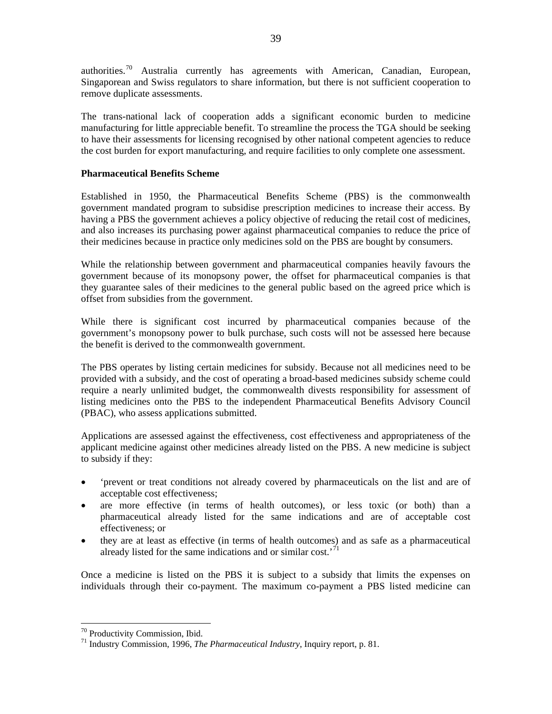<span id="page-40-0"></span>authorities.[70](#page-40-0) Australia currently has agreements with American, Canadian, European, Singaporean and Swiss regulators to share information, but there is not sufficient cooperation to remove duplicate assessments.

The trans-national lack of cooperation adds a significant economic burden to medicine manufacturing for little appreciable benefit. To streamline the process the TGA should be seeking to have their assessments for licensing recognised by other national competent agencies to reduce the cost burden for export manufacturing, and require facilities to only complete one assessment.

## **Pharmaceutical Benefits Scheme**

Established in 1950, the Pharmaceutical Benefits Scheme (PBS) is the commonwealth government mandated program to subsidise prescription medicines to increase their access. By having a PBS the government achieves a policy objective of reducing the retail cost of medicines, and also increases its purchasing power against pharmaceutical companies to reduce the price of their medicines because in practice only medicines sold on the PBS are bought by consumers.

While the relationship between government and pharmaceutical companies heavily favours the government because of its monopsony power, the offset for pharmaceutical companies is that they guarantee sales of their medicines to the general public based on the agreed price which is offset from subsidies from the government.

While there is significant cost incurred by pharmaceutical companies because of the government's monopsony power to bulk purchase, such costs will not be assessed here because the benefit is derived to the commonwealth government.

The PBS operates by listing certain medicines for subsidy. Because not all medicines need to be provided with a subsidy, and the cost of operating a broad-based medicines subsidy scheme could require a nearly unlimited budget, the commonwealth divests responsibility for assessment of listing medicines onto the PBS to the independent Pharmaceutical Benefits Advisory Council (PBAC), who assess applications submitted.

Applications are assessed against the effectiveness, cost effectiveness and appropriateness of the applicant medicine against other medicines already listed on the PBS. A new medicine is subject to subsidy if they:

- 'prevent or treat conditions not already covered by pharmaceuticals on the list and are of acceptable cost effectiveness;
- are more effective (in terms of health outcomes), or less toxic (or both) than a pharmaceutical already listed for the same indications and are of acceptable cost effectiveness; or
- they are at least as effective (in terms of health outcomes) and as safe as a pharmaceutical already listed for the same indications and or similar cost.'[71](#page-40-0)

Once a medicine is listed on the PBS it is subject to a subsidy that limits the expenses on individuals through their co-payment. The maximum co-payment a PBS listed medicine can

<sup>70</sup> Productivity Commission, Ibid.

<sup>71</sup> Industry Commission, 1996, *The Pharmaceutical Industry*, Inquiry report, p. 81.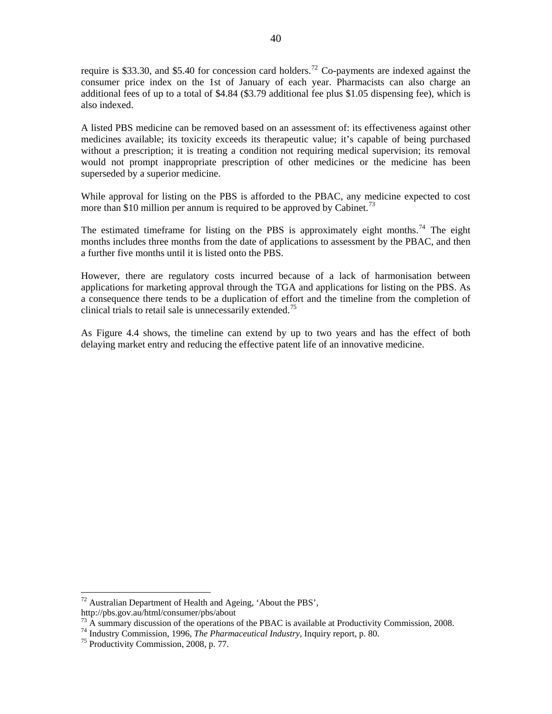<span id="page-41-0"></span>require is \$33.30, and \$5.40 for concession card holders.<sup>[72](#page-41-0)</sup> Co-payments are indexed against the consumer price index on the 1st of January of each year. Pharmacists can also charge an additional fees of up to a total of \$4.84 (\$3.79 additional fee plus \$1.05 dispensing fee), which is also indexed.

A listed PBS medicine can be removed based on an assessment of: its effectiveness against other medicines available; its toxicity exceeds its therapeutic value; it's capable of being purchased without a prescription; it is treating a condition not requiring medical supervision; its removal would not prompt inappropriate prescription of other medicines or the medicine has been superseded by a superior medicine.

While approval for listing on the PBS is afforded to the PBAC, any medicine expected to cost more than \$10 million per annum is required to be approved by Cabinet.<sup>[73](#page-41-0)</sup>

The estimated timeframe for listing on the PBS is approximately eight months.<sup>[74](#page-41-0)</sup> The eight months includes three months from the date of applications to assessment by the PBAC, and then a further five months until it is listed onto the PBS.

However, there are regulatory costs incurred because of a lack of harmonisation between applications for marketing approval through the TGA and applications for listing on the PBS. As a consequence there tends to be a duplication of effort and the timeline from the completion of clinical trials to retail sale is unnecessarily extended.<sup>[75](#page-41-0)</sup>

As Figure 4.4 shows, the timeline can extend by up to two years and has the effect of both delaying market entry and reducing the effective patent life of an innovative medicine.

 $72$  Australian Department of Health and Ageing, 'About the PBS',

http://pbs.gov.au/html/consumer/pbs/about

<sup>&</sup>lt;sup>73</sup> A summary discussion of the operations of the PBAC is available at Productivity Commission, 2008.<br><sup>74</sup> Industry Commission, 1996, *The Pharmaceutical Industry*, Inquiry report, p. 80.<br><sup>75</sup> Productivity Commission, 20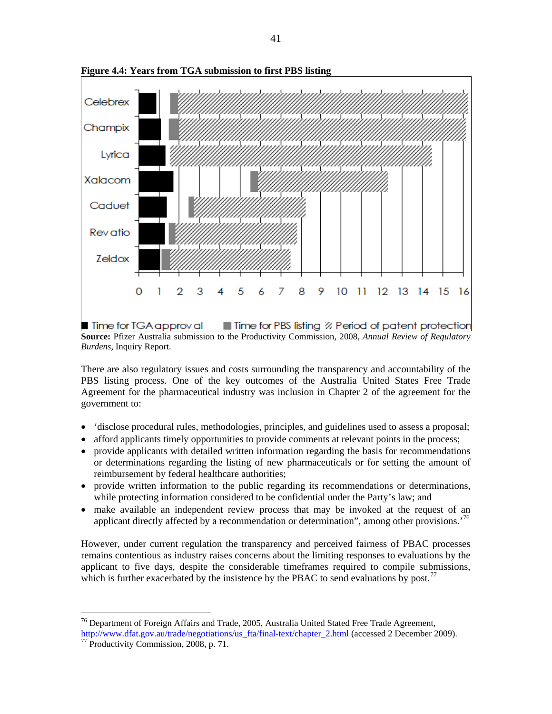

<span id="page-42-0"></span>**Figure 4.4: Years from TGA submission to first PBS listing** 

**Source:** Pfizer Australia submission to the Productivity Commission, 2008, *Annual Review of Regulatory Burdens*, Inquiry Report.

There are also regulatory issues and costs surrounding the transparency and accountability of the PBS listing process. One of the key outcomes of the Australia United States Free Trade Agreement for the pharmaceutical industry was inclusion in Chapter 2 of the agreement for the government to:

- 'disclose procedural rules, methodologies, principles, and guidelines used to assess a proposal;
- afford applicants timely opportunities to provide comments at relevant points in the process;
- provide applicants with detailed written information regarding the basis for recommendations or determinations regarding the listing of new pharmaceuticals or for setting the amount of reimbursement by federal healthcare authorities;
- provide written information to the public regarding its recommendations or determinations, while protecting information considered to be confidential under the Party's law; and
- make available an independent review process that may be invoked at the request of an applicant directly affected by a recommendation or determination", among other provisions.<sup>[76](#page-42-0)</sup>

However, under current regulation the transparency and perceived fairness of PBAC processes remains contentious as industry raises concerns about the limiting responses to evaluations by the applicant to five days, despite the considerable timeframes required to compile submissions, which is further exacerbated by the insistence by the PBAC to send evaluations by post.<sup>[77](#page-42-0)</sup>

 $76$  Department of Foreign Affairs and Trade, 2005, Australia United Stated Free Trade Agreement, [http://www.dfat.gov.au/trade/negotiations/us\\_fta/final-text/chapter\\_2.html](http://www.dfat.gov.au/trade/negotiations/us_fta/final-text/chapter_2.html) (accessed 2 December 2009). [77](http://www.dfat.gov.au/trade/negotiations/us_fta/final-text/chapter_2.html) Productivity Commission, 2008, p. 71.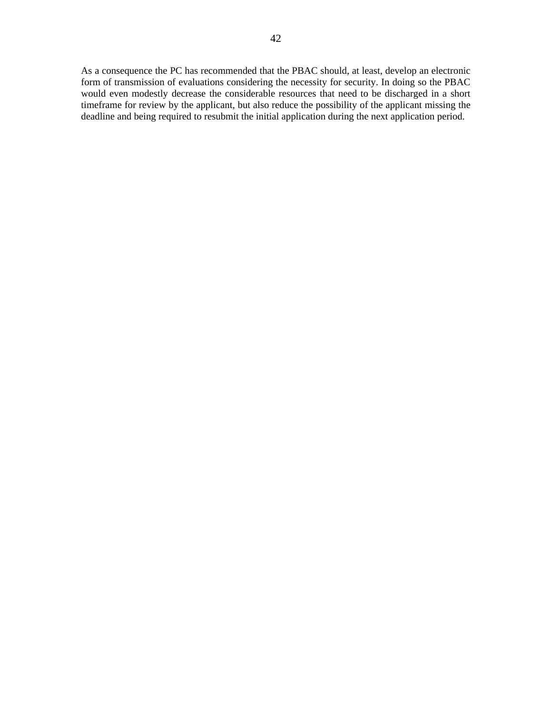As a consequence the PC has recommended that the PBAC should, at least, develop an electronic form of transmission of evaluations considering the necessity for security. In doing so the PBAC would even modestly decrease the considerable resources that need to be discharged in a short timeframe for review by the applicant, but also reduce the possibility of the applicant missing the deadline and being required to resubmit the initial application during the next application period.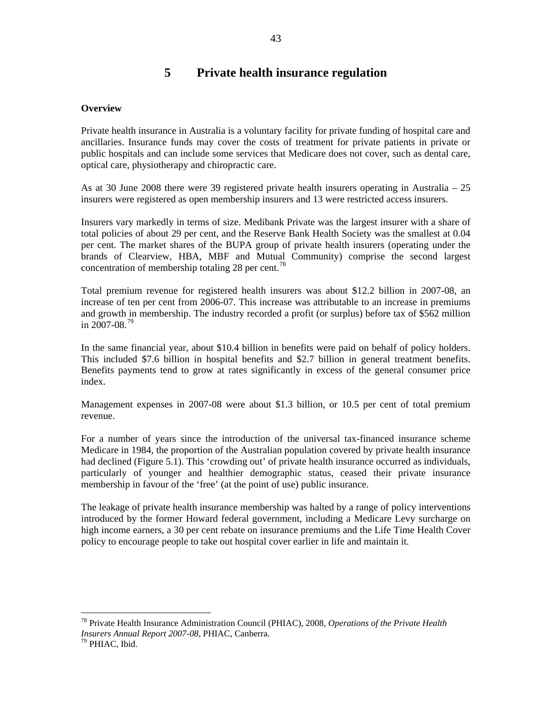# **5 Private health insurance regulation**

## <span id="page-44-0"></span>**Overview**

Private health insurance in Australia is a voluntary facility for private funding of hospital care and ancillaries. Insurance funds may cover the costs of treatment for private patients in private or public hospitals and can include some services that Medicare does not cover, such as dental care, optical care, physiotherapy and chiropractic care.

As at 30 June 2008 there were 39 registered private health insurers operating in Australia – 25 insurers were registered as open membership insurers and 13 were restricted access insurers.

Insurers vary markedly in terms of size. Medibank Private was the largest insurer with a share of total policies of about 29 per cent, and the Reserve Bank Health Society was the smallest at 0.04 per cent. The market shares of the BUPA group of private health insurers (operating under the brands of Clearview, HBA, MBF and Mutual Community) comprise the second largest concentration of membership totaling 28 per cent.<sup>[78](#page-44-0)</sup>

Total premium revenue for registered health insurers was about \$12.2 billion in 2007-08, an increase of ten per cent from 2006-07. This increase was attributable to an increase in premiums and growth in membership. The industry recorded a profit (or surplus) before tax of \$562 million in  $2007 - 08.79$  $2007 - 08.79$ 

In the same financial year, about \$10.4 billion in benefits were paid on behalf of policy holders. This included \$7.6 billion in hospital benefits and \$2.7 billion in general treatment benefits. Benefits payments tend to grow at rates significantly in excess of the general consumer price index.

Management expenses in 2007-08 were about \$1.3 billion, or 10.5 per cent of total premium revenue.

For a number of years since the introduction of the universal tax-financed insurance scheme Medicare in 1984, the proportion of the Australian population covered by private health insurance had declined (Figure 5.1). This 'crowding out' of private health insurance occurred as individuals, particularly of younger and healthier demographic status, ceased their private insurance membership in favour of the 'free' (at the point of use) public insurance.

The leakage of private health insurance membership was halted by a range of policy interventions introduced by the former Howard federal government, including a Medicare Levy surcharge on high income earners, a 30 per cent rebate on insurance premiums and the Life Time Health Cover policy to encourage people to take out hospital cover earlier in life and maintain it.

<sup>78</sup> Private Health Insurance Administration Council (PHIAC), 2008, *Operations of the Private Health Insurers Annual Report 2007-08*, PHIAC, Canberra. 79 PHIAC, Ibid.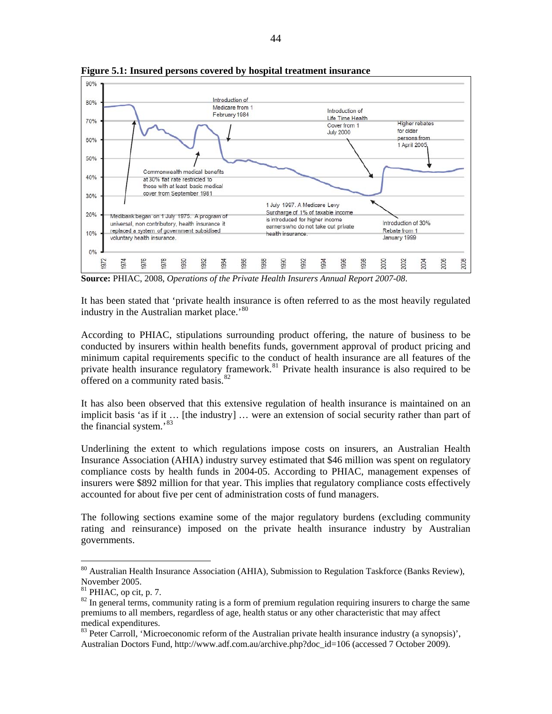

<span id="page-45-0"></span>**Figure 5.1: Insured persons covered by hospital treatment insurance** 

**Source:** PHIAC, 2008, *Operations of the Private Health Insurers Annual Report 2007-08*.

It has been stated that 'private health insurance is often referred to as the most heavily regulated industry in the Australian market place.<sup>[80](#page-45-0)</sup>

According to PHIAC, stipulations surrounding product offering, the nature of business to be conducted by insurers within health benefits funds, government approval of product pricing and minimum capital requirements specific to the conduct of health insurance are all features of the private health insurance regulatory framework.<sup>[81](#page-45-0)</sup> Private health insurance is also required to be offered on a community rated basis.<sup>[82](#page-45-0)</sup>

It has also been observed that this extensive regulation of health insurance is maintained on an implicit basis 'as if it ... [the industry] ... were an extension of social security rather than part of the financial system.'[83](#page-45-0)

Underlining the extent to which regulations impose costs on insurers, an Australian Health Insurance Association (AHIA) industry survey estimated that \$46 million was spent on regulatory compliance costs by health funds in 2004-05. According to PHIAC, management expenses of insurers were \$892 million for that year. This implies that regulatory compliance costs effectively accounted for about five per cent of administration costs of fund managers.

The following sections examine some of the major regulatory burdens (excluding community rating and reinsurance) imposed on the private health insurance industry by Australian governments.

<sup>&</sup>lt;sup>80</sup> Australian Health Insurance Association (AHIA), Submission to Regulation Taskforce (Banks Review), November 2005.

 $81$  PHIAC, op cit, p. 7.

<sup>&</sup>lt;sup>82</sup> In general terms, community rating is a form of premium regulation requiring insurers to charge the same premiums to all members, regardless of age, health status or any other characteristic that may affect medical expenditures.

<sup>&</sup>lt;sup>83</sup> Peter Carroll, 'Microeconomic reform of the Australian private health insurance industry (a synopsis)', Australian Doctors Fund, http://www.adf.com.au/archive.php?doc\_id=106 (accessed 7 October 2009).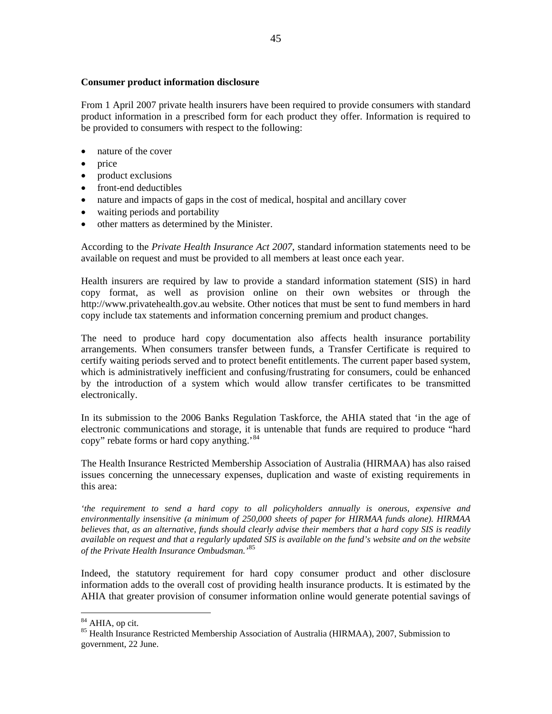#### <span id="page-46-0"></span>**Consumer product information disclosure**

From 1 April 2007 private health insurers have been required to provide consumers with standard product information in a prescribed form for each product they offer. Information is required to be provided to consumers with respect to the following:

- nature of the cover
- price
- product exclusions
- front-end deductibles
- nature and impacts of gaps in the cost of medical, hospital and ancillary cover
- waiting periods and portability
- other matters as determined by the Minister.

According to the *Private Health Insurance Act 2007*, standard information statements need to be available on request and must be provided to all members at least once each year.

Health insurers are required by law to provide a standard information statement (SIS) in hard copy format, as well as provision online on their own websites or through the http://www.privatehealth.gov.au website. Other notices that must be sent to fund members in hard copy include tax statements and information concerning premium and product changes.

The need to produce hard copy documentation also affects health insurance portability arrangements. When consumers transfer between funds, a Transfer Certificate is required to certify waiting periods served and to protect benefit entitlements. The current paper based system, which is administratively inefficient and confusing/frustrating for consumers, could be enhanced by the introduction of a system which would allow transfer certificates to be transmitted electronically.

In its submission to the 2006 Banks Regulation Taskforce, the AHIA stated that 'in the age of electronic communications and storage, it is untenable that funds are required to produce "hard copy" rebate forms or hard copy anything.<sup>[84](#page-46-0)</sup>

The Health Insurance Restricted Membership Association of Australia (HIRMAA) has also raised issues concerning the unnecessary expenses, duplication and waste of existing requirements in this area:

*'the requirement to send a hard copy to all policyholders annually is onerous, expensive and environmentally insensitive (a minimum of 250,000 sheets of paper for HIRMAA funds alone). HIRMAA believes that, as an alternative, funds should clearly advise their members that a hard copy SIS is readily available on request and that a regularly updated SIS is available on the fund's website and on the website of the Private Health Insurance Ombudsman.'*[85](#page-46-0)

Indeed, the statutory requirement for hard copy consumer product and other disclosure information adds to the overall cost of providing health insurance products. It is estimated by the AHIA that greater provision of consumer information online would generate potential savings of

<sup>&</sup>lt;sup>84</sup> AHIA, op cit.

<sup>&</sup>lt;sup>85</sup> Health Insurance Restricted Membership Association of Australia (HIRMAA), 2007, Submission to government, 22 June.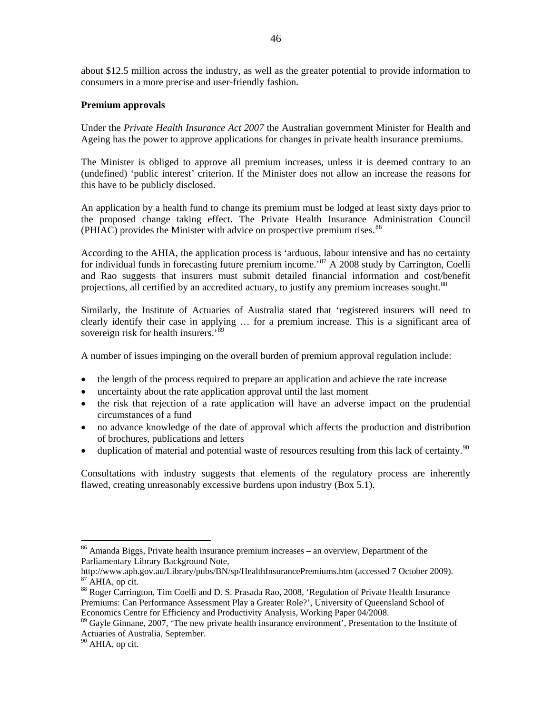<span id="page-47-0"></span>about \$12.5 million across the industry, as well as the greater potential to provide information to consumers in a more precise and user-friendly fashion.

## **Premium approvals**

Under the *Private Health Insurance Act 2007* the Australian government Minister for Health and Ageing has the power to approve applications for changes in private health insurance premiums.

The Minister is obliged to approve all premium increases, unless it is deemed contrary to an (undefined) 'public interest' criterion. If the Minister does not allow an increase the reasons for this have to be publicly disclosed.

An application by a health fund to change its premium must be lodged at least sixty days prior to the proposed change taking effect. The Private Health Insurance Administration Council (PHIAC) provides the Minister with advice on prospective premium rises.  $86$ 

According to the AHIA, the application process is 'arduous, labour intensive and has no certainty for individual funds in forecasting future premium income.<sup>[87](#page-47-0)</sup> A 2008 study by Carrington, Coelli and Rao suggests that insurers must submit detailed financial information and cost/benefit projections, all certified by an accredited actuary, to justify any premium increases sought.<sup>[88](#page-47-0)</sup>

Similarly, the Institute of Actuaries of Australia stated that 'registered insurers will need to clearly identify their case in applying … for a premium increase. This is a significant area of sovereign risk for health insurers.<sup>[89](#page-47-0)</sup>

A number of issues impinging on the overall burden of premium approval regulation include:

- the length of the process required to prepare an application and achieve the rate increase
- uncertainty about the rate application approval until the last moment
- the risk that rejection of a rate application will have an adverse impact on the prudential circumstances of a fund
- no advance knowledge of the date of approval which affects the production and distribution of brochures, publications and letters
- duplication of material and potential waste of resources resulting from this lack of certainty.<sup>[90](#page-47-0)</sup>

Consultations with industry suggests that elements of the regulatory process are inherently flawed, creating unreasonably excessive burdens upon industry (Box 5.1).

<sup>86</sup> Amanda Biggs, Private health insurance premium increases – an overview, Department of the Parliamentary Library Background Note,

http://www.aph.gov.au/Library/pubs/BN/sp/HealthInsurancePremiums.htm (accessed 7 October 2009). 87 AHIA, op cit.

<sup>88</sup> Roger Carrington, Tim Coelli and D. S. Prasada Rao, 2008, 'Regulation of Private Health Insurance Premiums: Can Performance Assessment Play a Greater Role?', University of Queensland School of Economics Centre for Efficiency and Productivity Analysis, Working Paper 04/2008.

<sup>&</sup>lt;sup>89</sup> Gayle Ginnane, 2007, 'The new private health insurance environment', Presentation to the Institute of Actuaries of Australia, September.

 $90$  AHIA, op cit.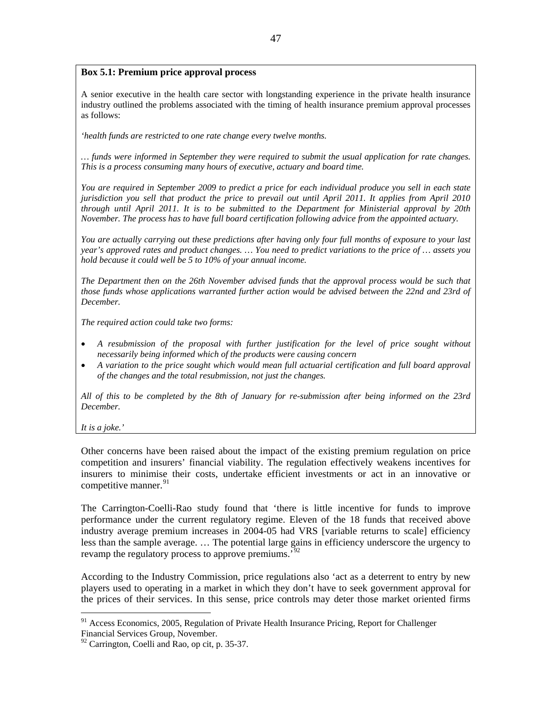# <span id="page-48-0"></span>**Box 5.1: Premium price approval process**

A senior executive in the health care sector with longstanding experience in the private health insurance industry outlined the problems associated with the timing of health insurance premium approval processes as follows:

*'health funds are restricted to one rate change every twelve months.* 

*… funds were informed in September they were required to submit the usual application for rate changes. This is a process consuming many hours of executive, actuary and board time.* 

*You are required in September 2009 to predict a price for each individual produce you sell in each state jurisdiction you sell that product the price to prevail out until April 2011. It applies from April 2010 through until April 2011. It is to be submitted to the Department for Ministerial approval by 20th November. The process has to have full board certification following advice from the appointed actuary.* 

*You are actually carrying out these predictions after having only four full months of exposure to your last year's approved rates and product changes. … You need to predict variations to the price of … assets you hold because it could well be 5 to 10% of your annual income.* 

*The Department then on the 26th November advised funds that the approval process would be such that those funds whose applications warranted further action would be advised between the 22nd and 23rd of December.* 

*The required action could take two forms:* 

- *A resubmission of the proposal with further justification for the level of price sought without necessarily being informed which of the products were causing concern*
- *A variation to the price sought which would mean full actuarial certification and full board approval of the changes and the total resubmission, not just the changes.*

*All of this to be completed by the 8th of January for re-submission after being informed on the 23rd December.* 

*It is a joke.'* 

 $\overline{a}$ 

Other concerns have been raised about the impact of the existing premium regulation on price competition and insurers' financial viability. The regulation effectively weakens incentives for insurers to minimise their costs, undertake efficient investments or act in an innovative or competitive manner.<sup>[91](#page-48-0)</sup>

The Carrington-Coelli-Rao study found that 'there is little incentive for funds to improve performance under the current regulatory regime. Eleven of the 18 funds that received above industry average premium increases in 2004-05 had VRS [variable returns to scale] efficiency less than the sample average. … The potential large gains in efficiency underscore the urgency to revamp the regulatory process to approve premiums.<sup>[92](#page-48-0)</sup>

According to the Industry Commission, price regulations also 'act as a deterrent to entry by new players used to operating in a market in which they don't have to seek government approval for the prices of their services. In this sense, price controls may deter those market oriented firms

 $91$  Access Economics, 2005, Regulation of Private Health Insurance Pricing, Report for Challenger Financial Services Group, November.

 $92$  Carrington, Coelli and Rao, op cit, p. 35-37.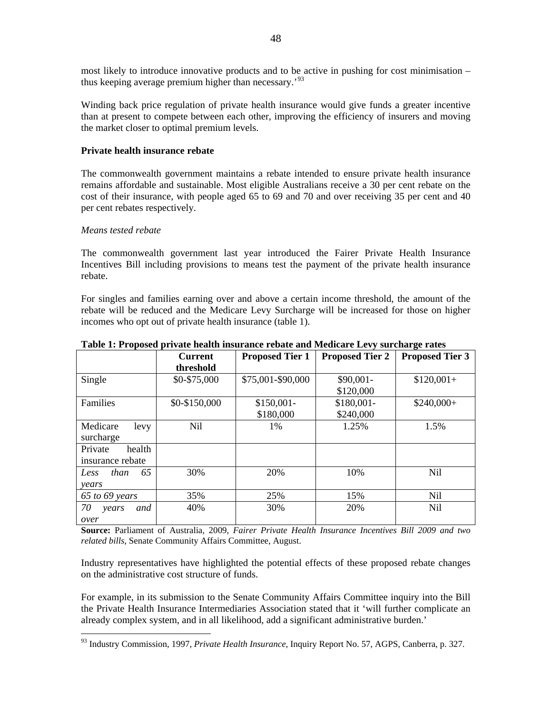<span id="page-49-0"></span>most likely to introduce innovative products and to be active in pushing for cost minimisation – thus keeping average premium higher than necessary.'[93](#page-49-0)

Winding back price regulation of private health insurance would give funds a greater incentive than at present to compete between each other, improving the efficiency of insurers and moving the market closer to optimal premium levels.

## **Private health insurance rebate**

The commonwealth government maintains a rebate intended to ensure private health insurance remains affordable and sustainable. Most eligible Australians receive a 30 per cent rebate on the cost of their insurance, with people aged 65 to 69 and 70 and over receiving 35 per cent and 40 per cent rebates respectively.

#### *Means tested rebate*

 $\overline{a}$ 

The commonwealth government last year introduced the Fairer Private Health Insurance Incentives Bill including provisions to means test the payment of the private health insurance rebate.

For singles and families earning over and above a certain income threshold, the amount of the rebate will be reduced and the Medicare Levy Surcharge will be increased for those on higher incomes who opt out of private health insurance (table 1).

|                    | <b>Current</b> | <b>Proposed Tier 1</b> | <b>Proposed Tier 2</b> | <b>Proposed Tier 3</b> |
|--------------------|----------------|------------------------|------------------------|------------------------|
|                    | threshold      |                        |                        |                        |
| Single             | \$0-\$75,000   | \$75,001-\$90,000      | $$90,001-$             | $$120,001+$            |
|                    |                |                        | \$120,000              |                        |
| Families           | \$0-\$150,000  | $$150,001-$            | \$180,001-             | $$240,000+$            |
|                    |                | \$180,000              | \$240,000              |                        |
| Medicare<br>levy   | <b>Nil</b>     | $1\%$                  | 1.25%                  | 1.5%                   |
| surcharge          |                |                        |                        |                        |
| Private<br>health  |                |                        |                        |                        |
| insurance rebate   |                |                        |                        |                        |
| 65<br>than<br>Less | 30%            | 20%                    | 10%                    | <b>Nil</b>             |
| years              |                |                        |                        |                        |
| $65$ to $69$ years | 35%            | 25%                    | 15%                    | N <sub>il</sub>        |
| 70<br>and<br>years | 40%            | 30%                    | 20%                    | <b>Nil</b>             |
| over               |                |                        |                        |                        |

**Table 1: Proposed private health insurance rebate and Medicare Levy surcharge rates** 

**Source:** Parliament of Australia, 2009, *Fairer Private Health Insurance Incentives Bill 2009 and two related bills*, Senate Community Affairs Committee, August.

Industry representatives have highlighted the potential effects of these proposed rebate changes on the administrative cost structure of funds.

For example, in its submission to the Senate Community Affairs Committee inquiry into the Bill the Private Health Insurance Intermediaries Association stated that it 'will further complicate an already complex system, and in all likelihood, add a significant administrative burden.'

<sup>93</sup> Industry Commission, 1997, *Private Health Insurance*, Inquiry Report No. 57, AGPS, Canberra, p. 327.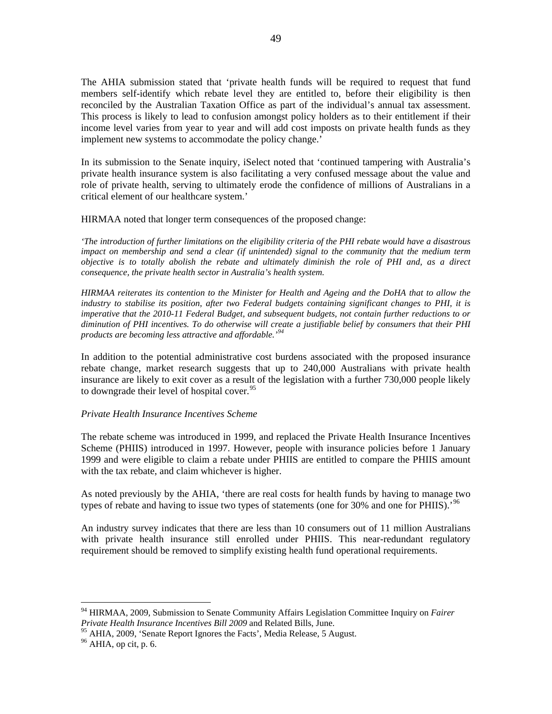<span id="page-50-0"></span>The AHIA submission stated that 'private health funds will be required to request that fund members self-identify which rebate level they are entitled to, before their eligibility is then reconciled by the Australian Taxation Office as part of the individual's annual tax assessment. This process is likely to lead to confusion amongst policy holders as to their entitlement if their income level varies from year to year and will add cost imposts on private health funds as they implement new systems to accommodate the policy change.'

In its submission to the Senate inquiry, iSelect noted that 'continued tampering with Australia's private health insurance system is also facilitating a very confused message about the value and role of private health, serving to ultimately erode the confidence of millions of Australians in a critical element of our healthcare system.'

HIRMAA noted that longer term consequences of the proposed change:

*'The introduction of further limitations on the eligibility criteria of the PHI rebate would have a disastrous impact on membership and send a clear (if unintended) signal to the community that the medium term objective is to totally abolish the rebate and ultimately diminish the role of PHI and, as a direct consequence, the private health sector in Australia's health system.* 

*HIRMAA reiterates its contention to the Minister for Health and Ageing and the DoHA that to allow the industry to stabilise its position, after two Federal budgets containing significant changes to PHI, it is imperative that the 2010-11 Federal Budget, and subsequent budgets, not contain further reductions to or diminution of PHI incentives. To do otherwise will create a justifiable belief by consumers that their PHI products are becoming less attractive and affordable.'[94](#page-50-0)*

In addition to the potential administrative cost burdens associated with the proposed insurance rebate change, market research suggests that up to 240,000 Australians with private health insurance are likely to exit cover as a result of the legislation with a further 730,000 people likely to downgrade their level of hospital cover.  $95$ 

# *Private Health Insurance Incentives Scheme*

The rebate scheme was introduced in 1999, and replaced the Private Health Insurance Incentives Scheme (PHIIS) introduced in 1997. However, people with insurance policies before 1 January 1999 and were eligible to claim a rebate under PHIIS are entitled to compare the PHIIS amount with the tax rebate, and claim whichever is higher.

As noted previously by the AHIA, 'there are real costs for health funds by having to manage two types of rebate and having to issue two types of statements (one for 30% and one for PHIIS).<sup>[96](#page-50-0)</sup>

An industry survey indicates that there are less than 10 consumers out of 11 million Australians with private health insurance still enrolled under PHIIS. This near-redundant regulatory requirement should be removed to simplify existing health fund operational requirements.

<sup>94</sup> HIRMAA, 2009, Submission to Senate Community Affairs Legislation Committee Inquiry on *Fairer Private Health Insurance Incentives Bill 2009* and Related Bills, June.

<sup>&</sup>lt;sup>95</sup> AHIA, 2009, 'Senate Report Ignores the Facts', Media Release, 5 August.<br><sup>96</sup> AHIA, op cit, p. 6.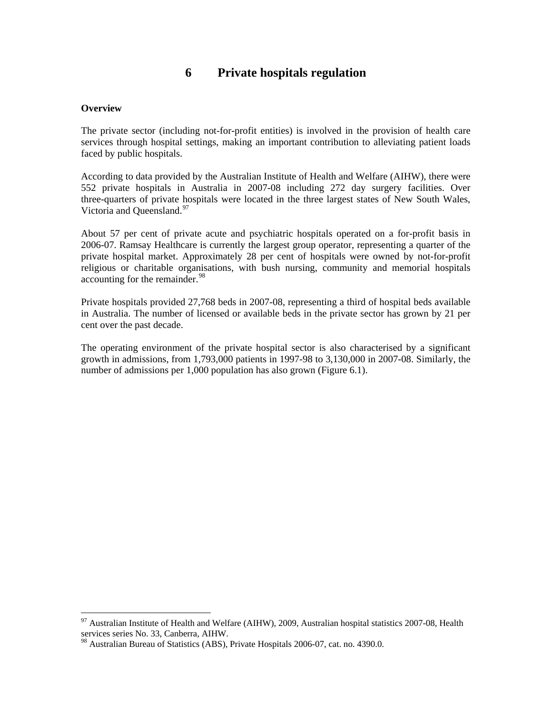# **6 Private hospitals regulation**

## <span id="page-51-0"></span>**Overview**

 $\overline{a}$ 

The private sector (including not-for-profit entities) is involved in the provision of health care services through hospital settings, making an important contribution to alleviating patient loads faced by public hospitals.

According to data provided by the Australian Institute of Health and Welfare (AIHW), there were 552 private hospitals in Australia in 2007-08 including 272 day surgery facilities. Over three-quarters of private hospitals were located in the three largest states of New South Wales, Victoria and Queensland.<sup>[97](#page-51-0)</sup>

About 57 per cent of private acute and psychiatric hospitals operated on a for-profit basis in 2006-07. Ramsay Healthcare is currently the largest group operator, representing a quarter of the private hospital market. Approximately 28 per cent of hospitals were owned by not-for-profit religious or charitable organisations, with bush nursing, community and memorial hospitals accounting for the remainder.<sup>[98](#page-51-0)</sup>

Private hospitals provided 27,768 beds in 2007-08, representing a third of hospital beds available in Australia. The number of licensed or available beds in the private sector has grown by 21 per cent over the past decade.

The operating environment of the private hospital sector is also characterised by a significant growth in admissions, from 1,793,000 patients in 1997-98 to 3,130,000 in 2007-08. Similarly, the number of admissions per 1,000 population has also grown (Figure 6.1).

 $^{97}$  Australian Institute of Health and Welfare (AIHW), 2009, Australian hospital statistics 2007-08, Health services series No. 33, Canberra, AIHW.

<sup>98</sup> Australian Bureau of Statistics (ABS), Private Hospitals 2006-07, cat. no. 4390.0.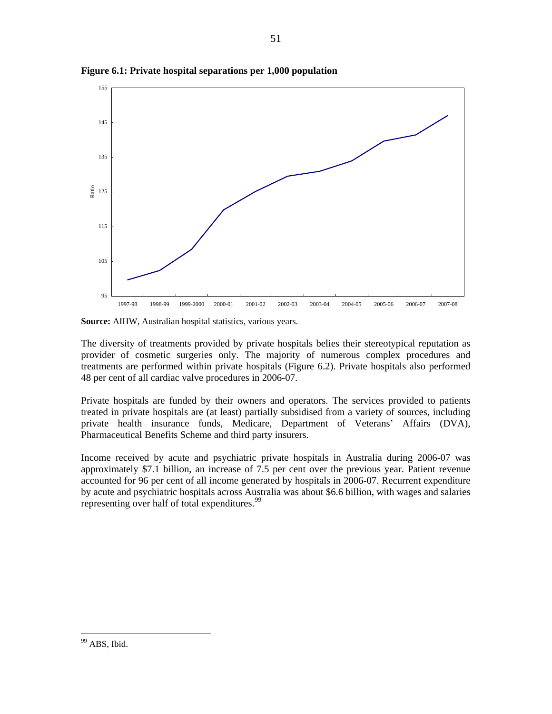

<span id="page-52-0"></span>**Figure 6.1: Private hospital separations per 1,000 population** 

**Source:** AIHW, Australian hospital statistics, various years.

The diversity of treatments provided by private hospitals belies their stereotypical reputation as provider of cosmetic surgeries only. The majority of numerous complex procedures and treatments are performed within private hospitals (Figure 6.2). Private hospitals also performed 48 per cent of all cardiac valve procedures in 2006-07.

Private hospitals are funded by their owners and operators. The services provided to patients treated in private hospitals are (at least) partially subsidised from a variety of sources, including private health insurance funds, Medicare, Department of Veterans' Affairs (DVA), Pharmaceutical Benefits Scheme and third party insurers.

Income received by acute and psychiatric private hospitals in Australia during 2006-07 was approximately \$7.1 billion, an increase of 7.5 per cent over the previous year. Patient revenue accounted for 96 per cent of all income generated by hospitals in 2006-07. Recurrent expenditure by acute and psychiatric hospitals across Australia was about \$6.6 billion, with wages and salaries representing over half of total expenditures.<sup>[99](#page-52-0)</sup>

<sup>&</sup>lt;sup>99</sup> ABS, Ibid.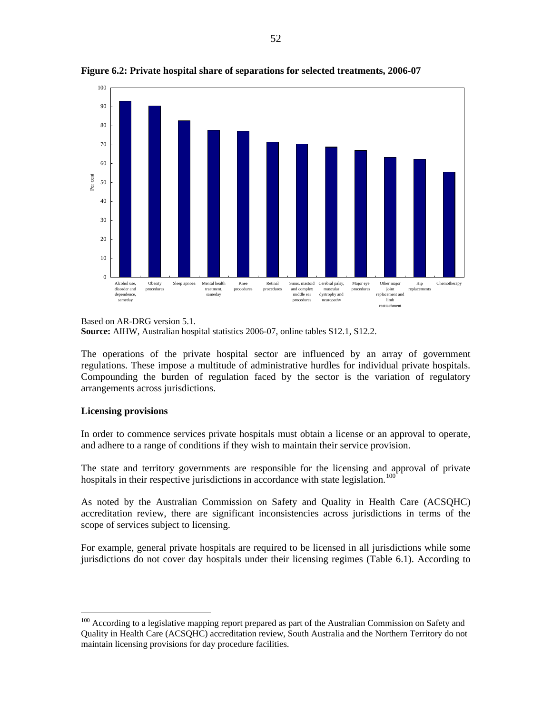

<span id="page-53-0"></span>**Figure 6.2: Private hospital share of separations for selected treatments, 2006-07** 

The operations of the private hospital sector are influenced by an array of government regulations. These impose a multitude of administrative hurdles for individual private hospitals. Compounding the burden of regulation faced by the sector is the variation of regulatory arrangements across jurisdictions.

#### **Licensing provisions**

 $\overline{a}$ 

In order to commence services private hospitals must obtain a license or an approval to operate, and adhere to a range of conditions if they wish to maintain their service provision.

The state and territory governments are responsible for the licensing and approval of private hospitals in their respective jurisdictions in accordance with state legislation.<sup>[100](#page-53-0)</sup>

As noted by the Australian Commission on Safety and Quality in Health Care (ACSQHC) accreditation review, there are significant inconsistencies across jurisdictions in terms of the scope of services subject to licensing.

For example, general private hospitals are required to be licensed in all jurisdictions while some jurisdictions do not cover day hospitals under their licensing regimes (Table 6.1). According to

Based on AR-DRG version 5.1.

**Source:** AIHW, Australian hospital statistics 2006-07, online tables S12.1, S12.2.

<sup>&</sup>lt;sup>100</sup> According to a legislative mapping report prepared as part of the Australian Commission on Safety and Quality in Health Care (ACSQHC) accreditation review, South Australia and the Northern Territory do not maintain licensing provisions for day procedure facilities.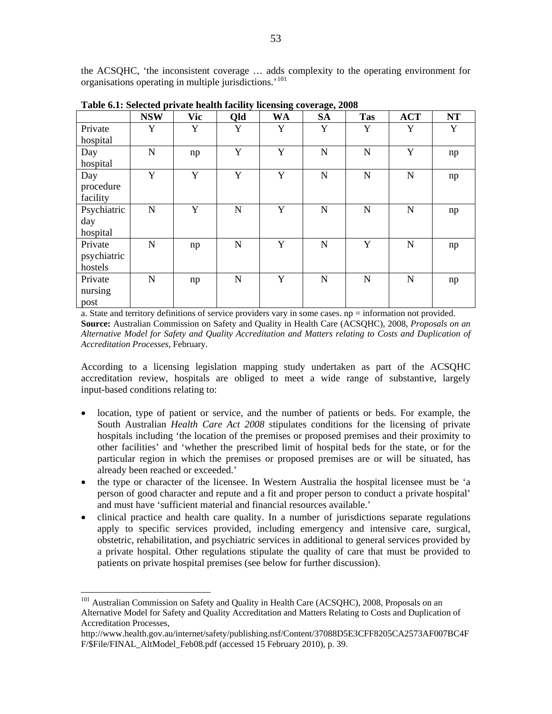<span id="page-54-0"></span>the ACSQHC, 'the inconsistent coverage … adds complexity to the operating environment for organisations operating in multiple jurisdictions.<sup>'[101](#page-54-0)</sup>

|             | <b>NSW</b>  | <b>Vic</b>  | Qld         | <b>WA</b>   | <b>SA</b>   | <b>Tas</b>  | <b>ACT</b>  | <b>NT</b> |
|-------------|-------------|-------------|-------------|-------------|-------------|-------------|-------------|-----------|
| Private     | Y           | Y           | Y           | Y           | Y           | Y           | Y           | Y         |
| hospital    |             |             |             |             |             |             |             |           |
| Day         | $\mathbf N$ | np          | Y           | Y           | $\mathbf N$ | $\mathbf N$ | Y           | np        |
| hospital    |             |             |             |             |             |             |             |           |
| Day         | Y           | $\mathbf Y$ | Y           | $\mathbf Y$ | $\mathbf N$ | $\mathbf N$ | $\mathbf N$ | np        |
| procedure   |             |             |             |             |             |             |             |           |
| facility    |             |             |             |             |             |             |             |           |
| Psychiatric | $\mathbf N$ | Y           | $\mathbf N$ | Y           | N           | $\mathbf N$ | $\mathbf N$ | np        |
| day         |             |             |             |             |             |             |             |           |
| hospital    |             |             |             |             |             |             |             |           |
| Private     | $\mathbf N$ | np          | $\mathbf N$ | Y           | N           | Y           | $\mathbf N$ | np        |
| psychiatric |             |             |             |             |             |             |             |           |
| hostels     |             |             |             |             |             |             |             |           |
| Private     | $\mathbf N$ | np          | $\mathbf N$ | Y           | N           | $\mathbf N$ | $\mathbf N$ | np        |
| nursing     |             |             |             |             |             |             |             |           |
| post        |             |             |             |             |             |             |             |           |

**Table 6.1: Selected private health facility licensing coverage, 2008** 

a. State and territory definitions of service providers vary in some cases. np = information not provided. **Source:** Australian Commission on Safety and Quality in Health Care (ACSQHC), 2008, *Proposals on an Alternative Model for Safety and Quality Accreditation and Matters relating to Costs and Duplication of Accreditation Processes*, February.

According to a licensing legislation mapping study undertaken as part of the ACSQHC accreditation review, hospitals are obliged to meet a wide range of substantive, largely input-based conditions relating to:

- location, type of patient or service, and the number of patients or beds. For example, the South Australian *Health Care Act 2008* stipulates conditions for the licensing of private hospitals including 'the location of the premises or proposed premises and their proximity to other facilities' and 'whether the prescribed limit of hospital beds for the state, or for the particular region in which the premises or proposed premises are or will be situated, has already been reached or exceeded.'
- the type or character of the licensee. In Western Australia the hospital licensee must be 'a person of good character and repute and a fit and proper person to conduct a private hospital' and must have 'sufficient material and financial resources available.'
- clinical practice and health care quality. In a number of jurisdictions separate regulations apply to specific services provided, including emergency and intensive care, surgical, obstetric, rehabilitation, and psychiatric services in additional to general services provided by a private hospital. Other regulations stipulate the quality of care that must be provided to patients on private hospital premises (see below for further discussion).

<sup>&</sup>lt;sup>101</sup> Australian Commission on Safety and Quality in Health Care (ACSQHC), 2008, Proposals on an Alternative Model for Safety and Quality Accreditation and Matters Relating to Costs and Duplication of Accreditation Processes,

http://www.health.gov.au/internet/safety/publishing.nsf/Content/37088D5E3CFF8205CA2573AF007BC4F F/\$File/FINAL\_AltModel\_Feb08.pdf (accessed 15 February 2010), p. 39.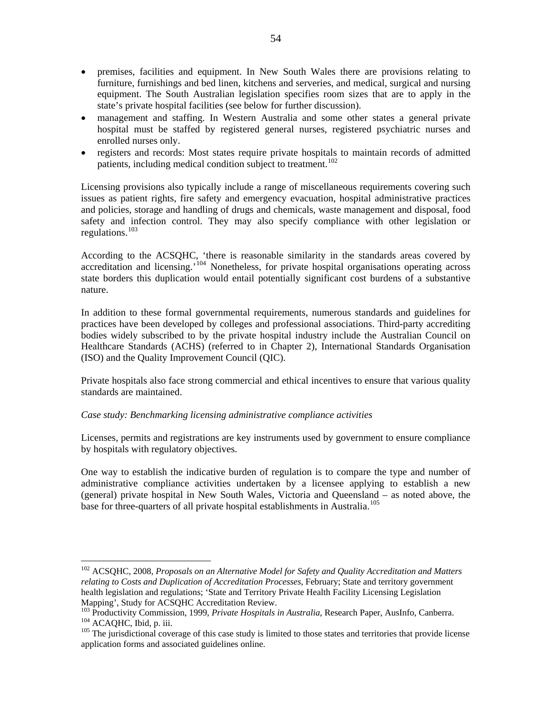- <span id="page-55-0"></span>• premises, facilities and equipment. In New South Wales there are provisions relating to furniture, furnishings and bed linen, kitchens and serveries, and medical, surgical and nursing equipment. The South Australian legislation specifies room sizes that are to apply in the state's private hospital facilities (see below for further discussion).
- management and staffing. In Western Australia and some other states a general private hospital must be staffed by registered general nurses, registered psychiatric nurses and enrolled nurses only.
- registers and records: Most states require private hospitals to maintain records of admitted patients, including medical condition subject to treatment.<sup>[102](#page-55-0)</sup>

Licensing provisions also typically include a range of miscellaneous requirements covering such issues as patient rights, fire safety and emergency evacuation, hospital administrative practices and policies, storage and handling of drugs and chemicals, waste management and disposal, food safety and infection control. They may also specify compliance with other legislation or regulations. $103$ 

According to the ACSQHC, 'there is reasonable similarity in the standards areas covered by accreditation and licensing.<sup>'[104](#page-55-0)</sup> Nonetheless, for private hospital organisations operating across state borders this duplication would entail potentially significant cost burdens of a substantive nature.

In addition to these formal governmental requirements, numerous standards and guidelines for practices have been developed by colleges and professional associations. Third-party accrediting bodies widely subscribed to by the private hospital industry include the Australian Council on Healthcare Standards (ACHS) (referred to in Chapter 2), International Standards Organisation (ISO) and the Quality Improvement Council (QIC).

Private hospitals also face strong commercial and ethical incentives to ensure that various quality standards are maintained.

# *Case study: Benchmarking licensing administrative compliance activities*

 $\overline{a}$ 

Licenses, permits and registrations are key instruments used by government to ensure compliance by hospitals with regulatory objectives.

One way to establish the indicative burden of regulation is to compare the type and number of administrative compliance activities undertaken by a licensee applying to establish a new (general) private hospital in New South Wales, Victoria and Queensland – as noted above, the base for three-quarters of all private hospital establishments in Australia.<sup>[105](#page-55-0)</sup>

<sup>102</sup> ACSQHC, 2008, *Proposals on an Alternative Model for Safety and Quality Accreditation and Matters relating to Costs and Duplication of Accreditation Processes*, February; State and territory government health legislation and regulations; 'State and Territory Private Health Facility Licensing Legislation Mapping', Study for ACSQHC Accreditation Review.<br><sup>103</sup> Productivity Commission, 1999, *Private Hospitals in Australia*, Research Paper, AusInfo, Canberra.

 $^{104}$  ACAQHC, Ibid, p. iii.<br> $^{105}$  The jurisdictional coverage of this case study is limited to those states and territories that provide license

application forms and associated guidelines online.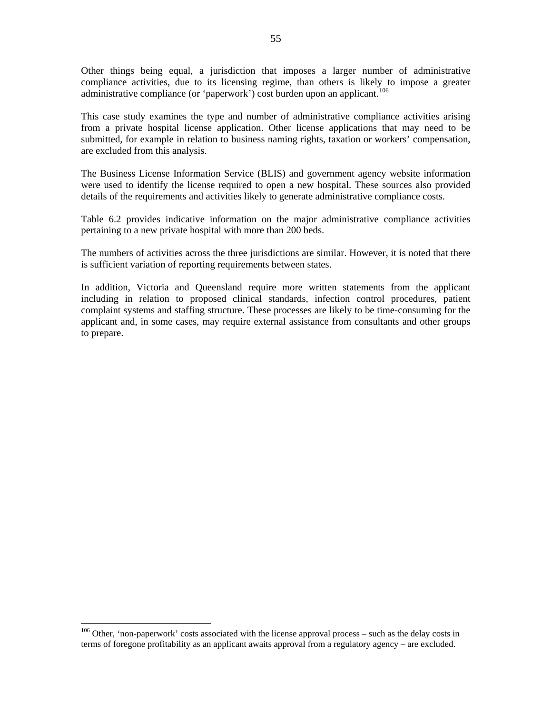<span id="page-56-0"></span>Other things being equal, a jurisdiction that imposes a larger number of administrative compliance activities, due to its licensing regime, than others is likely to impose a greater administrative compliance (or 'paperwork') cost burden upon an applicant.<sup>[106](#page-56-0)</sup>

This case study examines the type and number of administrative compliance activities arising from a private hospital license application. Other license applications that may need to be submitted, for example in relation to business naming rights, taxation or workers' compensation, are excluded from this analysis.

The Business License Information Service (BLIS) and government agency website information were used to identify the license required to open a new hospital. These sources also provided details of the requirements and activities likely to generate administrative compliance costs.

Table 6.2 provides indicative information on the major administrative compliance activities pertaining to a new private hospital with more than 200 beds.

The numbers of activities across the three jurisdictions are similar. However, it is noted that there is sufficient variation of reporting requirements between states.

In addition, Victoria and Queensland require more written statements from the applicant including in relation to proposed clinical standards, infection control procedures, patient complaint systems and staffing structure. These processes are likely to be time-consuming for the applicant and, in some cases, may require external assistance from consultants and other groups to prepare.

 $106$  Other, 'non-paperwork' costs associated with the license approval process – such as the delay costs in terms of foregone profitability as an applicant awaits approval from a regulatory agency – are excluded.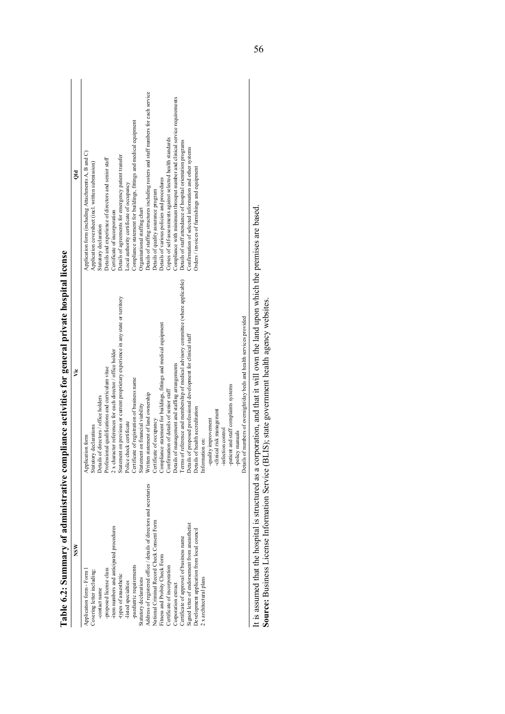| It is assumed that the hospital is structured as a corporation, and that it will own the land upon which the premises are based<br>Source: Business License Information Service (BLIS); state government health agency websites.<br>Details of numbers of overnight/day beds and health services provided<br>Details of proposed professional development for clinical staff<br>2 x character references for each director / office holder<br>Details of management and staffing arrangements<br>Professional qualifications and curriculum vitae<br>Certificate of registration of business name<br>-patient and staff complaints systems<br>Confirmation of details of senior staff<br>Written statement of land ownership<br>Details of directors / office holders<br>Statement on financial viability<br>Details of health accreditation<br>-clinical risk management<br>-quality improvement<br>Certificate of occupancy<br>Police check certificate<br>declarations<br>-infection control<br>-policy manuals<br>Application form<br>Information on:<br>Statutory<br>Terms of<br>Table 6.2: Summary of administrative comp<br>Address of registered office / details of directors and secretaries<br>National Criminal Record Check Consent Form<br>Signed letter of endorsement from aneasthetist<br>-item numbers and anticipated procedures<br>Development application from local council<br>Certificate of approval of business name<br><b>NSW</b><br>Fitness and Probity Check Form<br>-paediatric requirements<br>Certificate of incorporation<br>Application form - Form 1<br>-proposed license class<br>Covering letter including:<br>-types of anaesthetic<br>2 x architectural plans<br>Statutory declarations<br>-listed specialties<br>Corporation extract<br>-contact name | pliance activities for general private hospital license<br>Statement on previous or current proprietary experience in any state or territory<br>Compliance statement for buildings, fittings and medical equipment<br>Vic | Details of staffing structures including rosters and staff numbers for each service<br>Compliance with minimum throuput number and clinical service requirements<br>Compliance statement for buildings, fittings and medical equipment<br>Copies of self-assessments against selected health standards<br>Details of staff attendance of hospital orientation programs<br>Confirmation of selected information and other systems<br>Application form (including Attachments A, B and C)<br>Details of agreements for emergency patient transfer<br>Details and experience of directors and senior staff<br>Application coversheet (incl. written submission)<br>Orders / invoices of furnishings and equipment<br>$\mathbb{R}$<br>Details of various policies and procedures<br>Local authority certificate of occupancy<br>Details of quality assurance program<br>Organisational staffing chart<br>Certificate of incorporation<br>Statutory declaration |
|----------------------------------------------------------------------------------------------------------------------------------------------------------------------------------------------------------------------------------------------------------------------------------------------------------------------------------------------------------------------------------------------------------------------------------------------------------------------------------------------------------------------------------------------------------------------------------------------------------------------------------------------------------------------------------------------------------------------------------------------------------------------------------------------------------------------------------------------------------------------------------------------------------------------------------------------------------------------------------------------------------------------------------------------------------------------------------------------------------------------------------------------------------------------------------------------------------------------------------------------------------------------------------------------------------------------------------------------------------------------------------------------------------------------------------------------------------------------------------------------------------------------------------------------------------------------------------------------------------------------------------------------------------------------------------------------------------------------------------------------------------------------------------------------|---------------------------------------------------------------------------------------------------------------------------------------------------------------------------------------------------------------------------|------------------------------------------------------------------------------------------------------------------------------------------------------------------------------------------------------------------------------------------------------------------------------------------------------------------------------------------------------------------------------------------------------------------------------------------------------------------------------------------------------------------------------------------------------------------------------------------------------------------------------------------------------------------------------------------------------------------------------------------------------------------------------------------------------------------------------------------------------------------------------------------------------------------------------------------------------------|
|                                                                                                                                                                                                                                                                                                                                                                                                                                                                                                                                                                                                                                                                                                                                                                                                                                                                                                                                                                                                                                                                                                                                                                                                                                                                                                                                                                                                                                                                                                                                                                                                                                                                                                                                                                                              |                                                                                                                                                                                                                           |                                                                                                                                                                                                                                                                                                                                                                                                                                                                                                                                                                                                                                                                                                                                                                                                                                                                                                                                                            |
|                                                                                                                                                                                                                                                                                                                                                                                                                                                                                                                                                                                                                                                                                                                                                                                                                                                                                                                                                                                                                                                                                                                                                                                                                                                                                                                                                                                                                                                                                                                                                                                                                                                                                                                                                                                              |                                                                                                                                                                                                                           |                                                                                                                                                                                                                                                                                                                                                                                                                                                                                                                                                                                                                                                                                                                                                                                                                                                                                                                                                            |
|                                                                                                                                                                                                                                                                                                                                                                                                                                                                                                                                                                                                                                                                                                                                                                                                                                                                                                                                                                                                                                                                                                                                                                                                                                                                                                                                                                                                                                                                                                                                                                                                                                                                                                                                                                                              |                                                                                                                                                                                                                           |                                                                                                                                                                                                                                                                                                                                                                                                                                                                                                                                                                                                                                                                                                                                                                                                                                                                                                                                                            |
|                                                                                                                                                                                                                                                                                                                                                                                                                                                                                                                                                                                                                                                                                                                                                                                                                                                                                                                                                                                                                                                                                                                                                                                                                                                                                                                                                                                                                                                                                                                                                                                                                                                                                                                                                                                              |                                                                                                                                                                                                                           |                                                                                                                                                                                                                                                                                                                                                                                                                                                                                                                                                                                                                                                                                                                                                                                                                                                                                                                                                            |
|                                                                                                                                                                                                                                                                                                                                                                                                                                                                                                                                                                                                                                                                                                                                                                                                                                                                                                                                                                                                                                                                                                                                                                                                                                                                                                                                                                                                                                                                                                                                                                                                                                                                                                                                                                                              |                                                                                                                                                                                                                           |                                                                                                                                                                                                                                                                                                                                                                                                                                                                                                                                                                                                                                                                                                                                                                                                                                                                                                                                                            |
|                                                                                                                                                                                                                                                                                                                                                                                                                                                                                                                                                                                                                                                                                                                                                                                                                                                                                                                                                                                                                                                                                                                                                                                                                                                                                                                                                                                                                                                                                                                                                                                                                                                                                                                                                                                              |                                                                                                                                                                                                                           |                                                                                                                                                                                                                                                                                                                                                                                                                                                                                                                                                                                                                                                                                                                                                                                                                                                                                                                                                            |
|                                                                                                                                                                                                                                                                                                                                                                                                                                                                                                                                                                                                                                                                                                                                                                                                                                                                                                                                                                                                                                                                                                                                                                                                                                                                                                                                                                                                                                                                                                                                                                                                                                                                                                                                                                                              |                                                                                                                                                                                                                           |                                                                                                                                                                                                                                                                                                                                                                                                                                                                                                                                                                                                                                                                                                                                                                                                                                                                                                                                                            |
|                                                                                                                                                                                                                                                                                                                                                                                                                                                                                                                                                                                                                                                                                                                                                                                                                                                                                                                                                                                                                                                                                                                                                                                                                                                                                                                                                                                                                                                                                                                                                                                                                                                                                                                                                                                              |                                                                                                                                                                                                                           |                                                                                                                                                                                                                                                                                                                                                                                                                                                                                                                                                                                                                                                                                                                                                                                                                                                                                                                                                            |
|                                                                                                                                                                                                                                                                                                                                                                                                                                                                                                                                                                                                                                                                                                                                                                                                                                                                                                                                                                                                                                                                                                                                                                                                                                                                                                                                                                                                                                                                                                                                                                                                                                                                                                                                                                                              |                                                                                                                                                                                                                           |                                                                                                                                                                                                                                                                                                                                                                                                                                                                                                                                                                                                                                                                                                                                                                                                                                                                                                                                                            |
|                                                                                                                                                                                                                                                                                                                                                                                                                                                                                                                                                                                                                                                                                                                                                                                                                                                                                                                                                                                                                                                                                                                                                                                                                                                                                                                                                                                                                                                                                                                                                                                                                                                                                                                                                                                              |                                                                                                                                                                                                                           |                                                                                                                                                                                                                                                                                                                                                                                                                                                                                                                                                                                                                                                                                                                                                                                                                                                                                                                                                            |
|                                                                                                                                                                                                                                                                                                                                                                                                                                                                                                                                                                                                                                                                                                                                                                                                                                                                                                                                                                                                                                                                                                                                                                                                                                                                                                                                                                                                                                                                                                                                                                                                                                                                                                                                                                                              |                                                                                                                                                                                                                           |                                                                                                                                                                                                                                                                                                                                                                                                                                                                                                                                                                                                                                                                                                                                                                                                                                                                                                                                                            |
|                                                                                                                                                                                                                                                                                                                                                                                                                                                                                                                                                                                                                                                                                                                                                                                                                                                                                                                                                                                                                                                                                                                                                                                                                                                                                                                                                                                                                                                                                                                                                                                                                                                                                                                                                                                              | f reference and membership of medical advisory committee (where applicable)                                                                                                                                               |                                                                                                                                                                                                                                                                                                                                                                                                                                                                                                                                                                                                                                                                                                                                                                                                                                                                                                                                                            |
|                                                                                                                                                                                                                                                                                                                                                                                                                                                                                                                                                                                                                                                                                                                                                                                                                                                                                                                                                                                                                                                                                                                                                                                                                                                                                                                                                                                                                                                                                                                                                                                                                                                                                                                                                                                              |                                                                                                                                                                                                                           |                                                                                                                                                                                                                                                                                                                                                                                                                                                                                                                                                                                                                                                                                                                                                                                                                                                                                                                                                            |
|                                                                                                                                                                                                                                                                                                                                                                                                                                                                                                                                                                                                                                                                                                                                                                                                                                                                                                                                                                                                                                                                                                                                                                                                                                                                                                                                                                                                                                                                                                                                                                                                                                                                                                                                                                                              |                                                                                                                                                                                                                           |                                                                                                                                                                                                                                                                                                                                                                                                                                                                                                                                                                                                                                                                                                                                                                                                                                                                                                                                                            |
|                                                                                                                                                                                                                                                                                                                                                                                                                                                                                                                                                                                                                                                                                                                                                                                                                                                                                                                                                                                                                                                                                                                                                                                                                                                                                                                                                                                                                                                                                                                                                                                                                                                                                                                                                                                              |                                                                                                                                                                                                                           |                                                                                                                                                                                                                                                                                                                                                                                                                                                                                                                                                                                                                                                                                                                                                                                                                                                                                                                                                            |
|                                                                                                                                                                                                                                                                                                                                                                                                                                                                                                                                                                                                                                                                                                                                                                                                                                                                                                                                                                                                                                                                                                                                                                                                                                                                                                                                                                                                                                                                                                                                                                                                                                                                                                                                                                                              |                                                                                                                                                                                                                           |                                                                                                                                                                                                                                                                                                                                                                                                                                                                                                                                                                                                                                                                                                                                                                                                                                                                                                                                                            |
|                                                                                                                                                                                                                                                                                                                                                                                                                                                                                                                                                                                                                                                                                                                                                                                                                                                                                                                                                                                                                                                                                                                                                                                                                                                                                                                                                                                                                                                                                                                                                                                                                                                                                                                                                                                              |                                                                                                                                                                                                                           |                                                                                                                                                                                                                                                                                                                                                                                                                                                                                                                                                                                                                                                                                                                                                                                                                                                                                                                                                            |
|                                                                                                                                                                                                                                                                                                                                                                                                                                                                                                                                                                                                                                                                                                                                                                                                                                                                                                                                                                                                                                                                                                                                                                                                                                                                                                                                                                                                                                                                                                                                                                                                                                                                                                                                                                                              |                                                                                                                                                                                                                           |                                                                                                                                                                                                                                                                                                                                                                                                                                                                                                                                                                                                                                                                                                                                                                                                                                                                                                                                                            |
|                                                                                                                                                                                                                                                                                                                                                                                                                                                                                                                                                                                                                                                                                                                                                                                                                                                                                                                                                                                                                                                                                                                                                                                                                                                                                                                                                                                                                                                                                                                                                                                                                                                                                                                                                                                              |                                                                                                                                                                                                                           |                                                                                                                                                                                                                                                                                                                                                                                                                                                                                                                                                                                                                                                                                                                                                                                                                                                                                                                                                            |
|                                                                                                                                                                                                                                                                                                                                                                                                                                                                                                                                                                                                                                                                                                                                                                                                                                                                                                                                                                                                                                                                                                                                                                                                                                                                                                                                                                                                                                                                                                                                                                                                                                                                                                                                                                                              |                                                                                                                                                                                                                           |                                                                                                                                                                                                                                                                                                                                                                                                                                                                                                                                                                                                                                                                                                                                                                                                                                                                                                                                                            |
|                                                                                                                                                                                                                                                                                                                                                                                                                                                                                                                                                                                                                                                                                                                                                                                                                                                                                                                                                                                                                                                                                                                                                                                                                                                                                                                                                                                                                                                                                                                                                                                                                                                                                                                                                                                              |                                                                                                                                                                                                                           |                                                                                                                                                                                                                                                                                                                                                                                                                                                                                                                                                                                                                                                                                                                                                                                                                                                                                                                                                            |
|                                                                                                                                                                                                                                                                                                                                                                                                                                                                                                                                                                                                                                                                                                                                                                                                                                                                                                                                                                                                                                                                                                                                                                                                                                                                                                                                                                                                                                                                                                                                                                                                                                                                                                                                                                                              |                                                                                                                                                                                                                           |                                                                                                                                                                                                                                                                                                                                                                                                                                                                                                                                                                                                                                                                                                                                                                                                                                                                                                                                                            |
|                                                                                                                                                                                                                                                                                                                                                                                                                                                                                                                                                                                                                                                                                                                                                                                                                                                                                                                                                                                                                                                                                                                                                                                                                                                                                                                                                                                                                                                                                                                                                                                                                                                                                                                                                                                              |                                                                                                                                                                                                                           |                                                                                                                                                                                                                                                                                                                                                                                                                                                                                                                                                                                                                                                                                                                                                                                                                                                                                                                                                            |
|                                                                                                                                                                                                                                                                                                                                                                                                                                                                                                                                                                                                                                                                                                                                                                                                                                                                                                                                                                                                                                                                                                                                                                                                                                                                                                                                                                                                                                                                                                                                                                                                                                                                                                                                                                                              |                                                                                                                                                                                                                           |                                                                                                                                                                                                                                                                                                                                                                                                                                                                                                                                                                                                                                                                                                                                                                                                                                                                                                                                                            |
|                                                                                                                                                                                                                                                                                                                                                                                                                                                                                                                                                                                                                                                                                                                                                                                                                                                                                                                                                                                                                                                                                                                                                                                                                                                                                                                                                                                                                                                                                                                                                                                                                                                                                                                                                                                              |                                                                                                                                                                                                                           |                                                                                                                                                                                                                                                                                                                                                                                                                                                                                                                                                                                                                                                                                                                                                                                                                                                                                                                                                            |
|                                                                                                                                                                                                                                                                                                                                                                                                                                                                                                                                                                                                                                                                                                                                                                                                                                                                                                                                                                                                                                                                                                                                                                                                                                                                                                                                                                                                                                                                                                                                                                                                                                                                                                                                                                                              |                                                                                                                                                                                                                           |                                                                                                                                                                                                                                                                                                                                                                                                                                                                                                                                                                                                                                                                                                                                                                                                                                                                                                                                                            |
|                                                                                                                                                                                                                                                                                                                                                                                                                                                                                                                                                                                                                                                                                                                                                                                                                                                                                                                                                                                                                                                                                                                                                                                                                                                                                                                                                                                                                                                                                                                                                                                                                                                                                                                                                                                              |                                                                                                                                                                                                                           |                                                                                                                                                                                                                                                                                                                                                                                                                                                                                                                                                                                                                                                                                                                                                                                                                                                                                                                                                            |
|                                                                                                                                                                                                                                                                                                                                                                                                                                                                                                                                                                                                                                                                                                                                                                                                                                                                                                                                                                                                                                                                                                                                                                                                                                                                                                                                                                                                                                                                                                                                                                                                                                                                                                                                                                                              |                                                                                                                                                                                                                           |                                                                                                                                                                                                                                                                                                                                                                                                                                                                                                                                                                                                                                                                                                                                                                                                                                                                                                                                                            |
|                                                                                                                                                                                                                                                                                                                                                                                                                                                                                                                                                                                                                                                                                                                                                                                                                                                                                                                                                                                                                                                                                                                                                                                                                                                                                                                                                                                                                                                                                                                                                                                                                                                                                                                                                                                              |                                                                                                                                                                                                                           |                                                                                                                                                                                                                                                                                                                                                                                                                                                                                                                                                                                                                                                                                                                                                                                                                                                                                                                                                            |
|                                                                                                                                                                                                                                                                                                                                                                                                                                                                                                                                                                                                                                                                                                                                                                                                                                                                                                                                                                                                                                                                                                                                                                                                                                                                                                                                                                                                                                                                                                                                                                                                                                                                                                                                                                                              |                                                                                                                                                                                                                           |                                                                                                                                                                                                                                                                                                                                                                                                                                                                                                                                                                                                                                                                                                                                                                                                                                                                                                                                                            |
|                                                                                                                                                                                                                                                                                                                                                                                                                                                                                                                                                                                                                                                                                                                                                                                                                                                                                                                                                                                                                                                                                                                                                                                                                                                                                                                                                                                                                                                                                                                                                                                                                                                                                                                                                                                              |                                                                                                                                                                                                                           |                                                                                                                                                                                                                                                                                                                                                                                                                                                                                                                                                                                                                                                                                                                                                                                                                                                                                                                                                            |
|                                                                                                                                                                                                                                                                                                                                                                                                                                                                                                                                                                                                                                                                                                                                                                                                                                                                                                                                                                                                                                                                                                                                                                                                                                                                                                                                                                                                                                                                                                                                                                                                                                                                                                                                                                                              |                                                                                                                                                                                                                           |                                                                                                                                                                                                                                                                                                                                                                                                                                                                                                                                                                                                                                                                                                                                                                                                                                                                                                                                                            |
|                                                                                                                                                                                                                                                                                                                                                                                                                                                                                                                                                                                                                                                                                                                                                                                                                                                                                                                                                                                                                                                                                                                                                                                                                                                                                                                                                                                                                                                                                                                                                                                                                                                                                                                                                                                              |                                                                                                                                                                                                                           |                                                                                                                                                                                                                                                                                                                                                                                                                                                                                                                                                                                                                                                                                                                                                                                                                                                                                                                                                            |
|                                                                                                                                                                                                                                                                                                                                                                                                                                                                                                                                                                                                                                                                                                                                                                                                                                                                                                                                                                                                                                                                                                                                                                                                                                                                                                                                                                                                                                                                                                                                                                                                                                                                                                                                                                                              |                                                                                                                                                                                                                           |                                                                                                                                                                                                                                                                                                                                                                                                                                                                                                                                                                                                                                                                                                                                                                                                                                                                                                                                                            |
|                                                                                                                                                                                                                                                                                                                                                                                                                                                                                                                                                                                                                                                                                                                                                                                                                                                                                                                                                                                                                                                                                                                                                                                                                                                                                                                                                                                                                                                                                                                                                                                                                                                                                                                                                                                              |                                                                                                                                                                                                                           |                                                                                                                                                                                                                                                                                                                                                                                                                                                                                                                                                                                                                                                                                                                                                                                                                                                                                                                                                            |
|                                                                                                                                                                                                                                                                                                                                                                                                                                                                                                                                                                                                                                                                                                                                                                                                                                                                                                                                                                                                                                                                                                                                                                                                                                                                                                                                                                                                                                                                                                                                                                                                                                                                                                                                                                                              |                                                                                                                                                                                                                           |                                                                                                                                                                                                                                                                                                                                                                                                                                                                                                                                                                                                                                                                                                                                                                                                                                                                                                                                                            |
|                                                                                                                                                                                                                                                                                                                                                                                                                                                                                                                                                                                                                                                                                                                                                                                                                                                                                                                                                                                                                                                                                                                                                                                                                                                                                                                                                                                                                                                                                                                                                                                                                                                                                                                                                                                              |                                                                                                                                                                                                                           |                                                                                                                                                                                                                                                                                                                                                                                                                                                                                                                                                                                                                                                                                                                                                                                                                                                                                                                                                            |
|                                                                                                                                                                                                                                                                                                                                                                                                                                                                                                                                                                                                                                                                                                                                                                                                                                                                                                                                                                                                                                                                                                                                                                                                                                                                                                                                                                                                                                                                                                                                                                                                                                                                                                                                                                                              |                                                                                                                                                                                                                           |                                                                                                                                                                                                                                                                                                                                                                                                                                                                                                                                                                                                                                                                                                                                                                                                                                                                                                                                                            |
|                                                                                                                                                                                                                                                                                                                                                                                                                                                                                                                                                                                                                                                                                                                                                                                                                                                                                                                                                                                                                                                                                                                                                                                                                                                                                                                                                                                                                                                                                                                                                                                                                                                                                                                                                                                              |                                                                                                                                                                                                                           |                                                                                                                                                                                                                                                                                                                                                                                                                                                                                                                                                                                                                                                                                                                                                                                                                                                                                                                                                            |
|                                                                                                                                                                                                                                                                                                                                                                                                                                                                                                                                                                                                                                                                                                                                                                                                                                                                                                                                                                                                                                                                                                                                                                                                                                                                                                                                                                                                                                                                                                                                                                                                                                                                                                                                                                                              |                                                                                                                                                                                                                           |                                                                                                                                                                                                                                                                                                                                                                                                                                                                                                                                                                                                                                                                                                                                                                                                                                                                                                                                                            |
|                                                                                                                                                                                                                                                                                                                                                                                                                                                                                                                                                                                                                                                                                                                                                                                                                                                                                                                                                                                                                                                                                                                                                                                                                                                                                                                                                                                                                                                                                                                                                                                                                                                                                                                                                                                              |                                                                                                                                                                                                                           |                                                                                                                                                                                                                                                                                                                                                                                                                                                                                                                                                                                                                                                                                                                                                                                                                                                                                                                                                            |
|                                                                                                                                                                                                                                                                                                                                                                                                                                                                                                                                                                                                                                                                                                                                                                                                                                                                                                                                                                                                                                                                                                                                                                                                                                                                                                                                                                                                                                                                                                                                                                                                                                                                                                                                                                                              |                                                                                                                                                                                                                           |                                                                                                                                                                                                                                                                                                                                                                                                                                                                                                                                                                                                                                                                                                                                                                                                                                                                                                                                                            |
|                                                                                                                                                                                                                                                                                                                                                                                                                                                                                                                                                                                                                                                                                                                                                                                                                                                                                                                                                                                                                                                                                                                                                                                                                                                                                                                                                                                                                                                                                                                                                                                                                                                                                                                                                                                              |                                                                                                                                                                                                                           |                                                                                                                                                                                                                                                                                                                                                                                                                                                                                                                                                                                                                                                                                                                                                                                                                                                                                                                                                            |
|                                                                                                                                                                                                                                                                                                                                                                                                                                                                                                                                                                                                                                                                                                                                                                                                                                                                                                                                                                                                                                                                                                                                                                                                                                                                                                                                                                                                                                                                                                                                                                                                                                                                                                                                                                                              |                                                                                                                                                                                                                           |                                                                                                                                                                                                                                                                                                                                                                                                                                                                                                                                                                                                                                                                                                                                                                                                                                                                                                                                                            |
|                                                                                                                                                                                                                                                                                                                                                                                                                                                                                                                                                                                                                                                                                                                                                                                                                                                                                                                                                                                                                                                                                                                                                                                                                                                                                                                                                                                                                                                                                                                                                                                                                                                                                                                                                                                              |                                                                                                                                                                                                                           |                                                                                                                                                                                                                                                                                                                                                                                                                                                                                                                                                                                                                                                                                                                                                                                                                                                                                                                                                            |
|                                                                                                                                                                                                                                                                                                                                                                                                                                                                                                                                                                                                                                                                                                                                                                                                                                                                                                                                                                                                                                                                                                                                                                                                                                                                                                                                                                                                                                                                                                                                                                                                                                                                                                                                                                                              |                                                                                                                                                                                                                           |                                                                                                                                                                                                                                                                                                                                                                                                                                                                                                                                                                                                                                                                                                                                                                                                                                                                                                                                                            |
|                                                                                                                                                                                                                                                                                                                                                                                                                                                                                                                                                                                                                                                                                                                                                                                                                                                                                                                                                                                                                                                                                                                                                                                                                                                                                                                                                                                                                                                                                                                                                                                                                                                                                                                                                                                              |                                                                                                                                                                                                                           |                                                                                                                                                                                                                                                                                                                                                                                                                                                                                                                                                                                                                                                                                                                                                                                                                                                                                                                                                            |
|                                                                                                                                                                                                                                                                                                                                                                                                                                                                                                                                                                                                                                                                                                                                                                                                                                                                                                                                                                                                                                                                                                                                                                                                                                                                                                                                                                                                                                                                                                                                                                                                                                                                                                                                                                                              |                                                                                                                                                                                                                           |                                                                                                                                                                                                                                                                                                                                                                                                                                                                                                                                                                                                                                                                                                                                                                                                                                                                                                                                                            |

| ו<br>ו    |
|-----------|
|           |
|           |
|           |
| l         |
|           |
|           |
|           |
|           |
|           |
|           |
|           |
|           |
|           |
| l         |
|           |
|           |
|           |
|           |
|           |
|           |
| )         |
|           |
|           |
|           |
| l         |
|           |
|           |
|           |
|           |
|           |
|           |
|           |
|           |
|           |
|           |
|           |
|           |
|           |
|           |
| l         |
|           |
|           |
|           |
|           |
|           |
|           |
|           |
|           |
|           |
|           |
|           |
|           |
|           |
|           |
|           |
|           |
|           |
|           |
|           |
|           |
|           |
|           |
|           |
|           |
|           |
|           |
|           |
| ļ         |
|           |
| ļ         |
|           |
|           |
|           |
|           |
|           |
|           |
|           |
| $\vec{a}$ |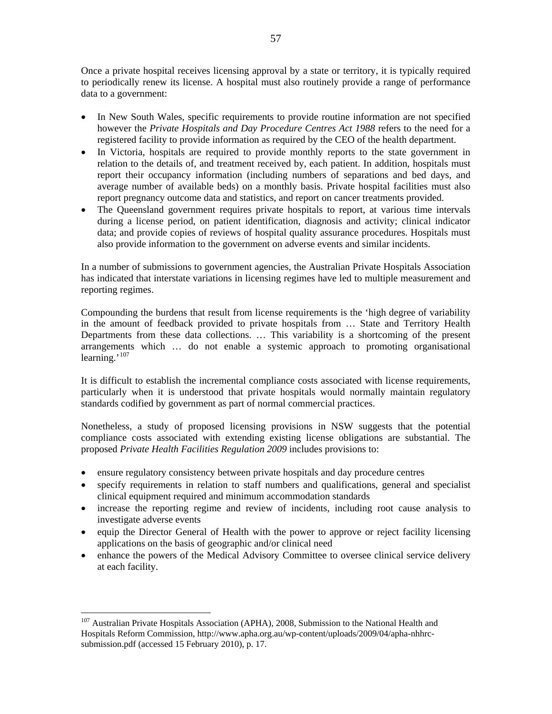<span id="page-58-0"></span>Once a private hospital receives licensing approval by a state or territory, it is typically required to periodically renew its license. A hospital must also routinely provide a range of performance data to a government:

- In New South Wales, specific requirements to provide routine information are not specified however the *Private Hospitals and Day Procedure Centres Act 1988* refers to the need for a registered facility to provide information as required by the CEO of the health department.
- In Victoria, hospitals are required to provide monthly reports to the state government in relation to the details of, and treatment received by, each patient. In addition, hospitals must report their occupancy information (including numbers of separations and bed days, and average number of available beds) on a monthly basis. Private hospital facilities must also report pregnancy outcome data and statistics, and report on cancer treatments provided.
- The Queensland government requires private hospitals to report, at various time intervals during a license period, on patient identification, diagnosis and activity; clinical indicator data; and provide copies of reviews of hospital quality assurance procedures. Hospitals must also provide information to the government on adverse events and similar incidents.

In a number of submissions to government agencies, the Australian Private Hospitals Association has indicated that interstate variations in licensing regimes have led to multiple measurement and reporting regimes.

Compounding the burdens that result from license requirements is the 'high degree of variability in the amount of feedback provided to private hospitals from … State and Territory Health Departments from these data collections. … This variability is a shortcoming of the present arrangements which … do not enable a systemic approach to promoting organisational learning.<sup>'[107](#page-58-0)</sup>

It is difficult to establish the incremental compliance costs associated with license requirements, particularly when it is understood that private hospitals would normally maintain regulatory standards codified by government as part of normal commercial practices.

Nonetheless, a study of proposed licensing provisions in NSW suggests that the potential compliance costs associated with extending existing license obligations are substantial. The proposed *Private Health Facilities Regulation 2009* includes provisions to:

- ensure regulatory consistency between private hospitals and day procedure centres
- specify requirements in relation to staff numbers and qualifications, general and specialist clinical equipment required and minimum accommodation standards
- increase the reporting regime and review of incidents, including root cause analysis to investigate adverse events
- equip the Director General of Health with the power to approve or reject facility licensing applications on the basis of geographic and/or clinical need
- enhance the powers of the Medical Advisory Committee to oversee clinical service delivery at each facility.

<sup>&</sup>lt;sup>107</sup> Australian Private Hospitals Association (APHA), 2008, Submission to the National Health and Hospitals Reform Commission, http://www.apha.org.au/wp-content/uploads/2009/04/apha-nhhrcsubmission.pdf (accessed 15 February 2010), p. 17.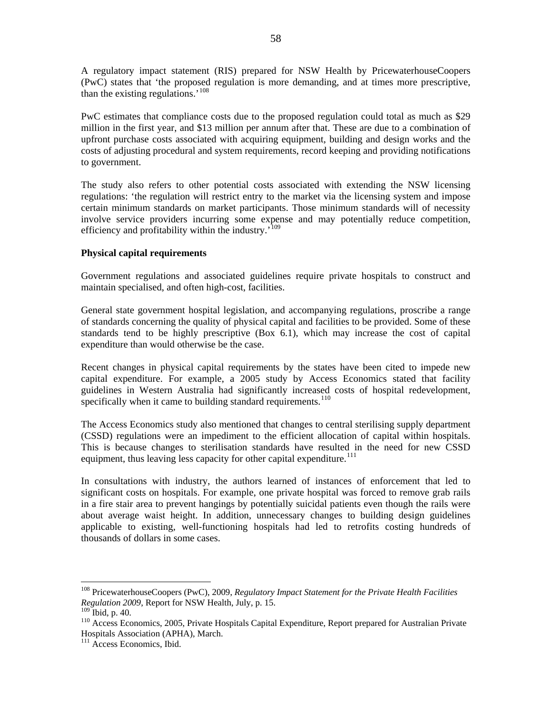<span id="page-59-0"></span>A regulatory impact statement (RIS) prepared for NSW Health by PricewaterhouseCoopers (PwC) states that 'the proposed regulation is more demanding, and at times more prescriptive, than the existing regulations.'[108](#page-59-0)

PwC estimates that compliance costs due to the proposed regulation could total as much as \$29 million in the first year, and \$13 million per annum after that. These are due to a combination of upfront purchase costs associated with acquiring equipment, building and design works and the costs of adjusting procedural and system requirements, record keeping and providing notifications to government.

The study also refers to other potential costs associated with extending the NSW licensing regulations: 'the regulation will restrict entry to the market via the licensing system and impose certain minimum standards on market participants. Those minimum standards will of necessity involve service providers incurring some expense and may potentially reduce competition, efficiency and profitability within the industry.<sup>'[109](#page-59-0)</sup>

## **Physical capital requirements**

Government regulations and associated guidelines require private hospitals to construct and maintain specialised, and often high-cost, facilities.

General state government hospital legislation, and accompanying regulations, proscribe a range of standards concerning the quality of physical capital and facilities to be provided. Some of these standards tend to be highly prescriptive (Box 6.1), which may increase the cost of capital expenditure than would otherwise be the case.

Recent changes in physical capital requirements by the states have been cited to impede new capital expenditure. For example, a 2005 study by Access Economics stated that facility guidelines in Western Australia had significantly increased costs of hospital redevelopment, specifically when it came to building standard requirements.<sup>[110](#page-59-0)</sup>

The Access Economics study also mentioned that changes to central sterilising supply department (CSSD) regulations were an impediment to the efficient allocation of capital within hospitals. This is because changes to sterilisation standards have resulted in the need for new CSSD equipment, thus leaving less capacity for other capital expenditure.<sup>[111](#page-59-0)</sup>

In consultations with industry, the authors learned of instances of enforcement that led to significant costs on hospitals. For example, one private hospital was forced to remove grab rails in a fire stair area to prevent hangings by potentially suicidal patients even though the rails were about average waist height. In addition, unnecessary changes to building design guidelines applicable to existing, well-functioning hospitals had led to retrofits costing hundreds of thousands of dollars in some cases.

<sup>108</sup> PricewaterhouseCoopers (PwC), 2009, *Regulatory Impact Statement for the Private Health Facilities Regulation 2009*, Report for NSW Health, July, p. 15.

<sup>&</sup>lt;sup>110</sup> Access Economics, 2005, Private Hospitals Capital Expenditure, Report prepared for Australian Private Hospitals Association (APHA), March.

<sup>&</sup>lt;sup>111</sup> Access Economics, Ibid.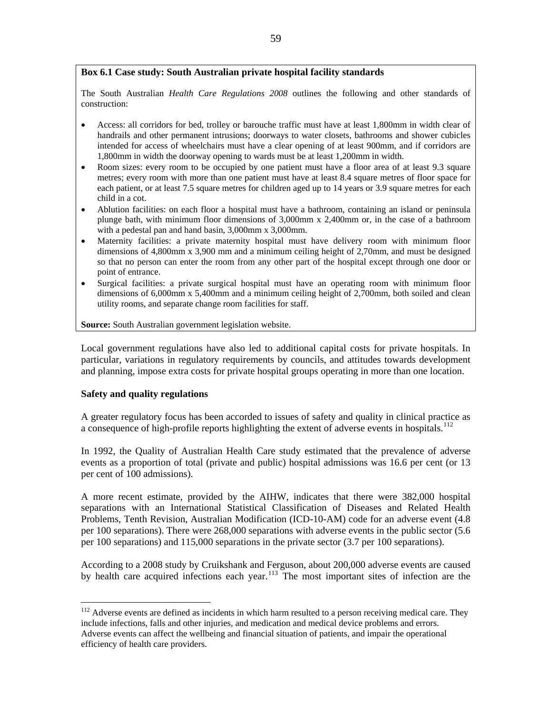# <span id="page-60-0"></span>**Box 6.1 Case study: South Australian private hospital facility standards**

The South Australian *Health Care Regulations 2008* outlines the following and other standards of construction:

- Access: all corridors for bed, trolley or barouche traffic must have at least 1,800mm in width clear of handrails and other permanent intrusions; doorways to water closets, bathrooms and shower cubicles intended for access of wheelchairs must have a clear opening of at least 900mm, and if corridors are 1,800mm in width the doorway opening to wards must be at least 1,200mm in width.
- Room sizes: every room to be occupied by one patient must have a floor area of at least 9.3 square metres; every room with more than one patient must have at least 8.4 square metres of floor space for each patient, or at least 7.5 square metres for children aged up to 14 years or 3.9 square metres for each child in a cot.
- Ablution facilities: on each floor a hospital must have a bathroom, containing an island or peninsula plunge bath, with minimum floor dimensions of 3,000mm x 2,400mm or, in the case of a bathroom with a pedestal pan and hand basin, 3,000mm x 3,000mm.
- Maternity facilities: a private maternity hospital must have delivery room with minimum floor dimensions of 4,800mm x 3,900 mm and a minimum ceiling height of 2,70mm, and must be designed so that no person can enter the room from any other part of the hospital except through one door or point of entrance.
- Surgical facilities: a private surgical hospital must have an operating room with minimum floor dimensions of 6,000mm x 5,400mm and a minimum ceiling height of 2,700mm, both soiled and clean utility rooms, and separate change room facilities for staff.

**Source:** South Australian government legislation website.

Local government regulations have also led to additional capital costs for private hospitals. In particular, variations in regulatory requirements by councils, and attitudes towards development and planning, impose extra costs for private hospital groups operating in more than one location.

# **Safety and quality regulations**

 $\overline{a}$ 

A greater regulatory focus has been accorded to issues of safety and quality in clinical practice as a consequence of high-profile reports highlighting the extent of adverse events in hospitals.<sup>[112](#page-60-0)</sup>

In 1992, the Quality of Australian Health Care study estimated that the prevalence of adverse events as a proportion of total (private and public) hospital admissions was 16.6 per cent (or 13 per cent of 100 admissions).

A more recent estimate, provided by the AIHW, indicates that there were 382,000 hospital separations with an International Statistical Classification of Diseases and Related Health Problems, Tenth Revision, Australian Modification (ICD-10-AM) code for an adverse event (4.8 per 100 separations). There were 268,000 separations with adverse events in the public sector (5.6 per 100 separations) and 115,000 separations in the private sector (3.7 per 100 separations).

According to a 2008 study by Cruikshank and Ferguson, about 200,000 adverse events are caused by health care acquired infections each year.<sup>[113](#page-60-0)</sup> The most important sites of infection are the

 $112$  Adverse events are defined as incidents in which harm resulted to a person receiving medical care. They include infections, falls and other injuries, and medication and medical device problems and errors. Adverse events can affect the wellbeing and financial situation of patients, and impair the operational efficiency of health care providers.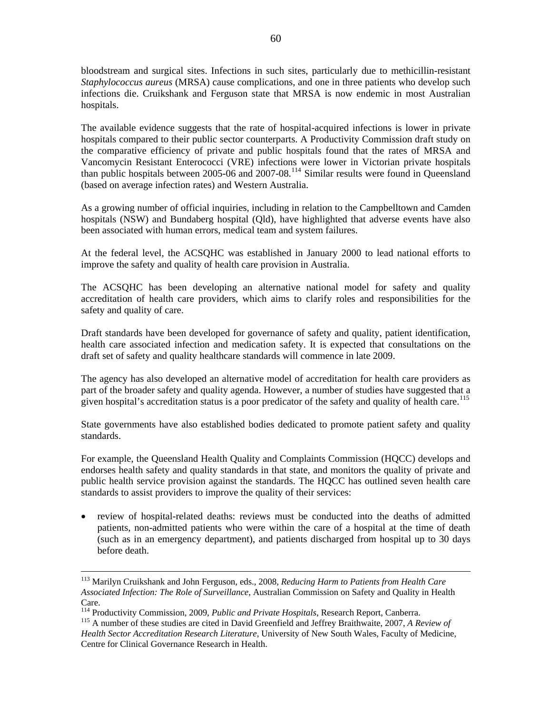<span id="page-61-0"></span>bloodstream and surgical sites. Infections in such sites, particularly due to methicillin-resistant *Staphylococcus aureus* (MRSA) cause complications, and one in three patients who develop such infections die. Cruikshank and Ferguson state that MRSA is now endemic in most Australian hospitals.

The available evidence suggests that the rate of hospital-acquired infections is lower in private hospitals compared to their public sector counterparts. A Productivity Commission draft study on the comparative efficiency of private and public hospitals found that the rates of MRSA and Vancomycin Resistant Enterococci (VRE) infections were lower in Victorian private hospitals than public hospitals between 2005-06 and 2007-08.<sup>[114](#page-61-0)</sup> Similar results were found in Queensland (based on average infection rates) and Western Australia.

As a growing number of official inquiries, including in relation to the Campbelltown and Camden hospitals (NSW) and Bundaberg hospital (Qld), have highlighted that adverse events have also been associated with human errors, medical team and system failures.

At the federal level, the ACSQHC was established in January 2000 to lead national efforts to improve the safety and quality of health care provision in Australia.

The ACSQHC has been developing an alternative national model for safety and quality accreditation of health care providers, which aims to clarify roles and responsibilities for the safety and quality of care.

Draft standards have been developed for governance of safety and quality, patient identification, health care associated infection and medication safety. It is expected that consultations on the draft set of safety and quality healthcare standards will commence in late 2009.

The agency has also developed an alternative model of accreditation for health care providers as part of the broader safety and quality agenda. However, a number of studies have suggested that a given hospital's accreditation status is a poor predicator of the safety and quality of health care.<sup>[115](#page-61-0)</sup>

State governments have also established bodies dedicated to promote patient safety and quality standards.

For example, the Queensland Health Quality and Complaints Commission (HQCC) develops and endorses health safety and quality standards in that state, and monitors the quality of private and public health service provision against the standards. The HQCC has outlined seven health care standards to assist providers to improve the quality of their services:

• review of hospital-related deaths: reviews must be conducted into the deaths of admitted patients, non-admitted patients who were within the care of a hospital at the time of death (such as in an emergency department), and patients discharged from hospital up to 30 days before death.

 <sup>113</sup> Marilyn Cruikshank and John Ferguson, eds., 2008, *Reducing Harm to Patients from Health Care Associated Infection: The Role of Surveillance*, Australian Commission on Safety and Quality in Health Care.

<sup>&</sup>lt;sup>114</sup> Productivity Commission, 2009, *Public and Private Hospitals*, Research Report, Canberra.<br><sup>115</sup> A number of these studies are cited in David Greenfield and Jeffrey Braithwaite, 2007, *A Review of Health Sector Accreditation Research Literature*, University of New South Wales, Faculty of Medicine, Centre for Clinical Governance Research in Health.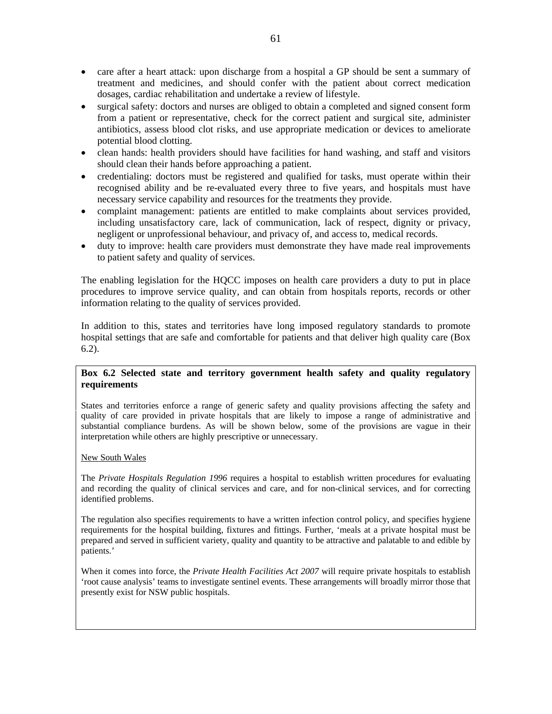- care after a heart attack: upon discharge from a hospital a GP should be sent a summary of treatment and medicines, and should confer with the patient about correct medication dosages, cardiac rehabilitation and undertake a review of lifestyle.
- surgical safety: doctors and nurses are obliged to obtain a completed and signed consent form from a patient or representative, check for the correct patient and surgical site, administer antibiotics, assess blood clot risks, and use appropriate medication or devices to ameliorate potential blood clotting.
- clean hands: health providers should have facilities for hand washing, and staff and visitors should clean their hands before approaching a patient.
- credentialing: doctors must be registered and qualified for tasks, must operate within their recognised ability and be re-evaluated every three to five years, and hospitals must have necessary service capability and resources for the treatments they provide.
- complaint management: patients are entitled to make complaints about services provided, including unsatisfactory care, lack of communication, lack of respect, dignity or privacy, negligent or unprofessional behaviour, and privacy of, and access to, medical records.
- duty to improve: health care providers must demonstrate they have made real improvements to patient safety and quality of services.

The enabling legislation for the HQCC imposes on health care providers a duty to put in place procedures to improve service quality, and can obtain from hospitals reports, records or other information relating to the quality of services provided.

In addition to this, states and territories have long imposed regulatory standards to promote hospital settings that are safe and comfortable for patients and that deliver high quality care (Box 6.2).

# **Box 6.2 Selected state and territory government health safety and quality regulatory requirements**

States and territories enforce a range of generic safety and quality provisions affecting the safety and quality of care provided in private hospitals that are likely to impose a range of administrative and substantial compliance burdens. As will be shown below, some of the provisions are vague in their interpretation while others are highly prescriptive or unnecessary.

#### New South Wales

The *Private Hospitals Regulation 1996* requires a hospital to establish written procedures for evaluating and recording the quality of clinical services and care, and for non-clinical services, and for correcting identified problems.

The regulation also specifies requirements to have a written infection control policy, and specifies hygiene requirements for the hospital building, fixtures and fittings. Further, 'meals at a private hospital must be prepared and served in sufficient variety, quality and quantity to be attractive and palatable to and edible by patients.'

When it comes into force, the *Private Health Facilities Act 2007* will require private hospitals to establish 'root cause analysis' teams to investigate sentinel events. These arrangements will broadly mirror those that presently exist for NSW public hospitals.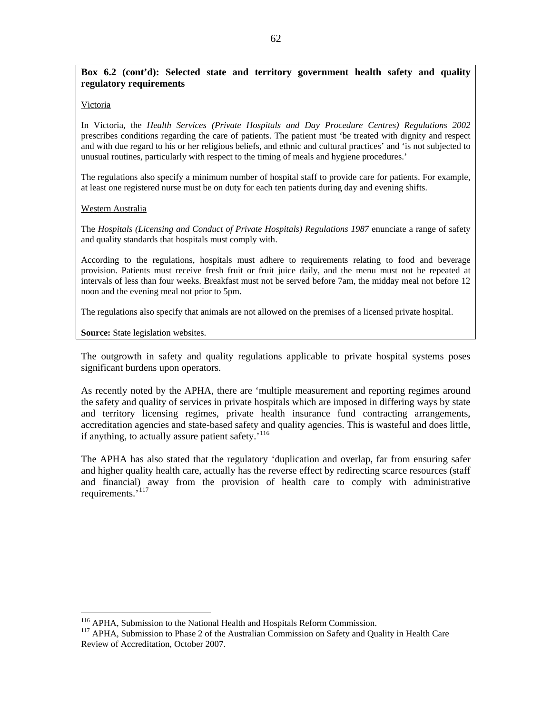# <span id="page-63-0"></span>**Box 6.2 (cont'd): Selected state and territory government health safety and quality regulatory requirements**

#### Victoria

In Victoria, the *Health Services (Private Hospitals and Day Procedure Centres) Regulations 2002* prescribes conditions regarding the care of patients. The patient must 'be treated with dignity and respect and with due regard to his or her religious beliefs, and ethnic and cultural practices' and 'is not subjected to unusual routines, particularly with respect to the timing of meals and hygiene procedures.'

The regulations also specify a minimum number of hospital staff to provide care for patients. For example, at least one registered nurse must be on duty for each ten patients during day and evening shifts.

#### Western Australia

 $\overline{a}$ 

The *Hospitals (Licensing and Conduct of Private Hospitals) Regulations 1987* enunciate a range of safety and quality standards that hospitals must comply with.

According to the regulations, hospitals must adhere to requirements relating to food and beverage provision. Patients must receive fresh fruit or fruit juice daily, and the menu must not be repeated at intervals of less than four weeks. Breakfast must not be served before 7am, the midday meal not before 12 noon and the evening meal not prior to 5pm.

The regulations also specify that animals are not allowed on the premises of a licensed private hospital.

**Source:** State legislation websites.

The outgrowth in safety and quality regulations applicable to private hospital systems poses significant burdens upon operators.

As recently noted by the APHA, there are 'multiple measurement and reporting regimes around the safety and quality of services in private hospitals which are imposed in differing ways by state and territory licensing regimes, private health insurance fund contracting arrangements, accreditation agencies and state-based safety and quality agencies. This is wasteful and does little, if anything, to actually assure patient safety.'[116](#page-63-0)

The APHA has also stated that the regulatory 'duplication and overlap, far from ensuring safer and higher quality health care, actually has the reverse effect by redirecting scarce resources (staff and financial) away from the provision of health care to comply with administrative requirements.'[117](#page-63-0)

<sup>&</sup>lt;sup>116</sup> APHA, Submission to the National Health and Hospitals Reform Commission.<br><sup>117</sup> APHA, Submission to Phase 2 of the Australian Commission on Safety and Quality in Health Care Review of Accreditation, October 2007.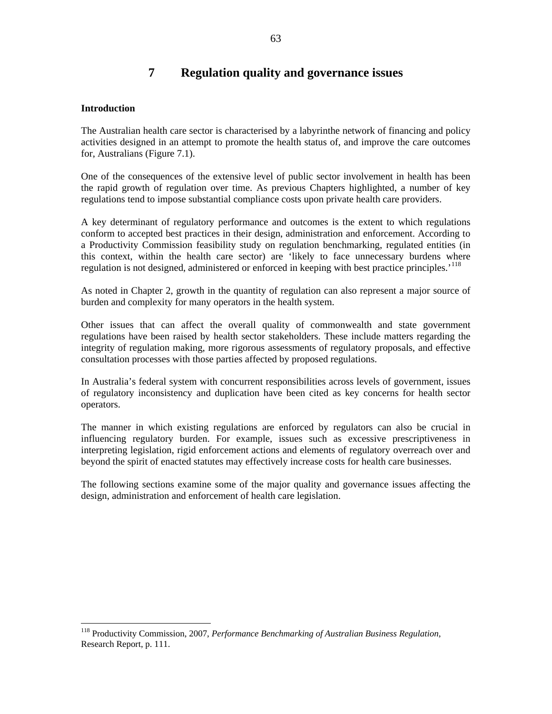# **7 Regulation quality and governance issues**

## <span id="page-64-0"></span>**Introduction**

 $\overline{a}$ 

The Australian health care sector is characterised by a labyrinthe network of financing and policy activities designed in an attempt to promote the health status of, and improve the care outcomes for, Australians (Figure 7.1).

One of the consequences of the extensive level of public sector involvement in health has been the rapid growth of regulation over time. As previous Chapters highlighted, a number of key regulations tend to impose substantial compliance costs upon private health care providers.

A key determinant of regulatory performance and outcomes is the extent to which regulations conform to accepted best practices in their design, administration and enforcement. According to a Productivity Commission feasibility study on regulation benchmarking, regulated entities (in this context, within the health care sector) are 'likely to face unnecessary burdens where regulation is not designed, administered or enforced in keeping with best practice principles.<sup>[118](#page-64-0)</sup>

As noted in Chapter 2, growth in the quantity of regulation can also represent a major source of burden and complexity for many operators in the health system.

Other issues that can affect the overall quality of commonwealth and state government regulations have been raised by health sector stakeholders. These include matters regarding the integrity of regulation making, more rigorous assessments of regulatory proposals, and effective consultation processes with those parties affected by proposed regulations.

In Australia's federal system with concurrent responsibilities across levels of government, issues of regulatory inconsistency and duplication have been cited as key concerns for health sector operators.

The manner in which existing regulations are enforced by regulators can also be crucial in influencing regulatory burden. For example, issues such as excessive prescriptiveness in interpreting legislation, rigid enforcement actions and elements of regulatory overreach over and beyond the spirit of enacted statutes may effectively increase costs for health care businesses.

The following sections examine some of the major quality and governance issues affecting the design, administration and enforcement of health care legislation.

<sup>118</sup> Productivity Commission, 2007, *Performance Benchmarking of Australian Business Regulation*, Research Report, p. 111.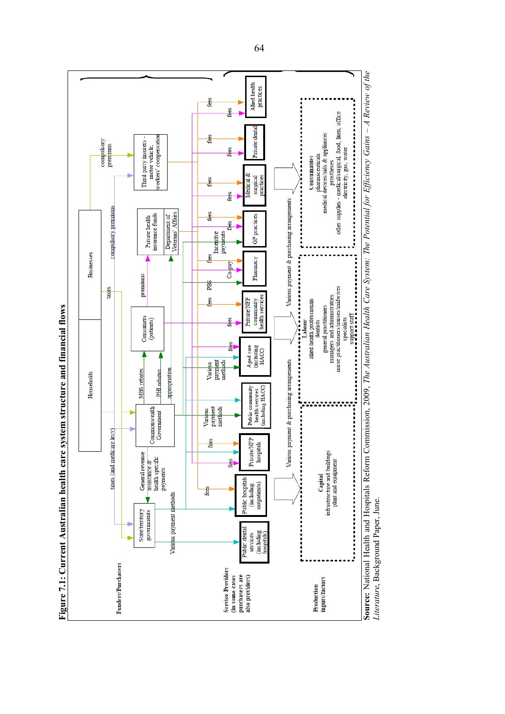

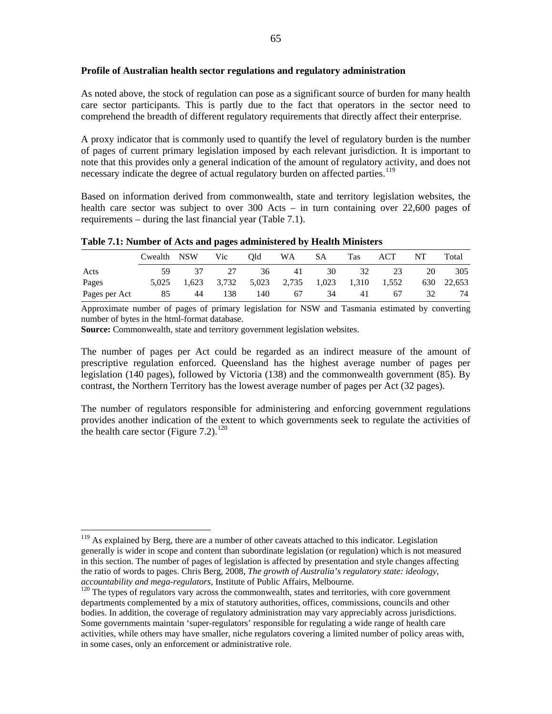#### <span id="page-66-0"></span>**Profile of Australian health sector regulations and regulatory administration**

As noted above, the stock of regulation can pose as a significant source of burden for many health care sector participants. This is partly due to the fact that operators in the sector need to comprehend the breadth of different regulatory requirements that directly affect their enterprise.

A proxy indicator that is commonly used to quantify the level of regulatory burden is the number of pages of current primary legislation imposed by each relevant jurisdiction. It is important to note that this provides only a general indication of the amount of regulatory activity, and does not necessary indicate the degree of actual regulatory burden on affected parties.<sup>[119](#page-66-0)</sup>

Based on information derived from commonwealth, state and territory legislation websites, the health care sector was subject to over 300 Acts – in turn containing over 22,600 pages of requirements – during the last financial year (Table 7.1).

|  |  |  |  |  |  |  | Table 7.1: Number of Acts and pages administered by Health Ministers |
|--|--|--|--|--|--|--|----------------------------------------------------------------------|
|  |  |  |  |  |  |  |                                                                      |

|               | Cwealth NSW |                                                 | V <sub>ic</sub> | Old | WA SA |    | <b>Tas</b> | ACT      | NT | Total      |
|---------------|-------------|-------------------------------------------------|-----------------|-----|-------|----|------------|----------|----|------------|
| Acts          | 59.         | 37                                              | 27              |     | 36 41 | 30 |            | 23<br>32 | 20 | 305        |
| Pages         |             | 5,025 1,623 3,732 5,023 2,735 1,023 1,310 1,552 |                 |     |       |    |            |          |    | 630 22,653 |
| Pages per Act | 85          | 44                                              | 138             | 140 | 67    | 34 | 41         | 67       | 32 | 74         |

Approximate number of pages of primary legislation for NSW and Tasmania estimated by converting number of bytes in the html-format database.

**Source:** Commonwealth, state and territory government legislation websites.

 $\overline{a}$ 

The number of pages per Act could be regarded as an indirect measure of the amount of prescriptive regulation enforced. Queensland has the highest average number of pages per legislation (140 pages), followed by Victoria (138) and the commonwealth government (85). By contrast, the Northern Territory has the lowest average number of pages per Act (32 pages).

The number of regulators responsible for administering and enforcing government regulations provides another indication of the extent to which governments seek to regulate the activities of the health care sector (Figure 7.2).<sup>[120](#page-66-0)</sup>

<sup>&</sup>lt;sup>119</sup> As explained by Berg, there are a number of other caveats attached to this indicator. Legislation generally is wider in scope and content than subordinate legislation (or regulation) which is not measured in this section. The number of pages of legislation is affected by presentation and style changes affecting the ratio of words to pages. Chris Berg, 2008, *The growth of Australia's regulatory state: ideology,* 

<sup>&</sup>lt;sup>120</sup> The types of regulators vary across the commonwealth, states and territories, with core government departments complemented by a mix of statutory authorities, offices, commissions, councils and other bodies. In addition, the coverage of regulatory administration may vary appreciably across jurisdictions. Some governments maintain 'super-regulators' responsible for regulating a wide range of health care activities, while others may have smaller, niche regulators covering a limited number of policy areas with, in some cases, only an enforcement or administrative role.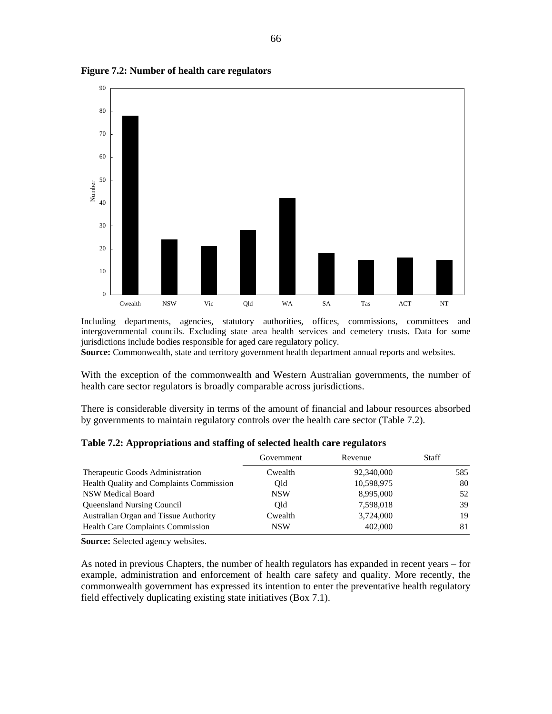

**Figure 7.2: Number of health care regulators** 

Including departments, agencies, statutory authorities, offices, commissions, committees and intergovernmental councils. Excluding state area health services and cemetery trusts. Data for some jurisdictions include bodies responsible for aged care regulatory policy.

**Source:** Commonwealth, state and territory government health department annual reports and websites.

With the exception of the commonwealth and Western Australian governments, the number of health care sector regulators is broadly comparable across jurisdictions.

There is considerable diversity in terms of the amount of financial and labour resources absorbed by governments to maintain regulatory controls over the health care sector (Table 7.2).

|                                          | Government | Revenue    | Staff |
|------------------------------------------|------------|------------|-------|
| Therapeutic Goods Administration         | Cwealth    | 92,340,000 | 585   |
| Health Quality and Complaints Commission | Old        | 10,598,975 | 80    |
| <b>NSW Medical Board</b>                 | <b>NSW</b> | 8,995,000  | 52    |
| <b>Queensland Nursing Council</b>        | Old        | 7,598,018  | 39    |
| Australian Organ and Tissue Authority    | Cwealth    | 3,724,000  | 19    |
| Health Care Complaints Commission        | <b>NSW</b> | 402,000    | 81    |

**Table 7.2: Appropriations and staffing of selected health care regulators** 

**Source:** Selected agency websites.

As noted in previous Chapters, the number of health regulators has expanded in recent years – for example, administration and enforcement of health care safety and quality. More recently, the commonwealth government has expressed its intention to enter the preventative health regulatory field effectively duplicating existing state initiatives (Box 7.1).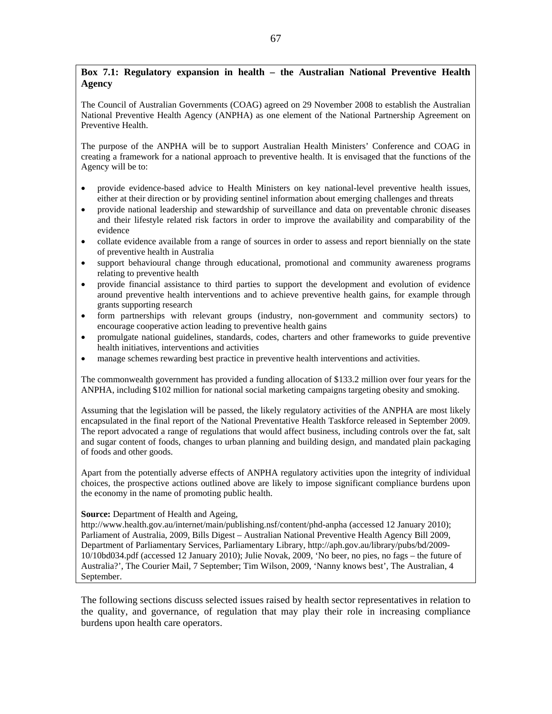# **Box 7.1: Regulatory expansion in health – the Australian National Preventive Health Agency**

The Council of Australian Governments (COAG) agreed on 29 November 2008 to establish the Australian National Preventive Health Agency (ANPHA) as one element of the National Partnership Agreement on Preventive Health.

The purpose of the ANPHA will be to support Australian Health Ministers' Conference and COAG in creating a framework for a national approach to preventive health. It is envisaged that the functions of the Agency will be to:

- provide evidence-based advice to Health Ministers on key national-level preventive health issues, either at their direction or by providing sentinel information about emerging challenges and threats
- provide national leadership and stewardship of surveillance and data on preventable chronic diseases and their lifestyle related risk factors in order to improve the availability and comparability of the evidence
- collate evidence available from a range of sources in order to assess and report biennially on the state of preventive health in Australia
- support behavioural change through educational, promotional and community awareness programs relating to preventive health
- provide financial assistance to third parties to support the development and evolution of evidence around preventive health interventions and to achieve preventive health gains, for example through grants supporting research
- form partnerships with relevant groups (industry, non-government and community sectors) to encourage cooperative action leading to preventive health gains
- promulgate national guidelines, standards, codes, charters and other frameworks to guide preventive health initiatives, interventions and activities
- manage schemes rewarding best practice in preventive health interventions and activities.

The commonwealth government has provided a funding allocation of \$133.2 million over four years for the ANPHA, including \$102 million for national social marketing campaigns targeting obesity and smoking.

Assuming that the legislation will be passed, the likely regulatory activities of the ANPHA are most likely encapsulated in the final report of the National Preventative Health Taskforce released in September 2009. The report advocated a range of regulations that would affect business, including controls over the fat, salt and sugar content of foods, changes to urban planning and building design, and mandated plain packaging of foods and other goods.

Apart from the potentially adverse effects of ANPHA regulatory activities upon the integrity of individual choices, the prospective actions outlined above are likely to impose significant compliance burdens upon the economy in the name of promoting public health.

#### **Source:** Department of Health and Ageing,

http://www.health.gov.au/internet/main/publishing.nsf/content/phd-anpha (accessed 12 January 2010); Parliament of Australia, 2009, Bills Digest – Australian National Preventive Health Agency Bill 2009, Department of Parliamentary Services, Parliamentary Library, http://aph.gov.au/library/pubs/bd/2009- 10/10bd034.pdf (accessed 12 January 2010); Julie Novak, 2009, 'No beer, no pies, no fags – the future of Australia?', The Courier Mail, 7 September; Tim Wilson, 2009, 'Nanny knows best', The Australian, 4 September.

The following sections discuss selected issues raised by health sector representatives in relation to the quality, and governance, of regulation that may play their role in increasing compliance burdens upon health care operators.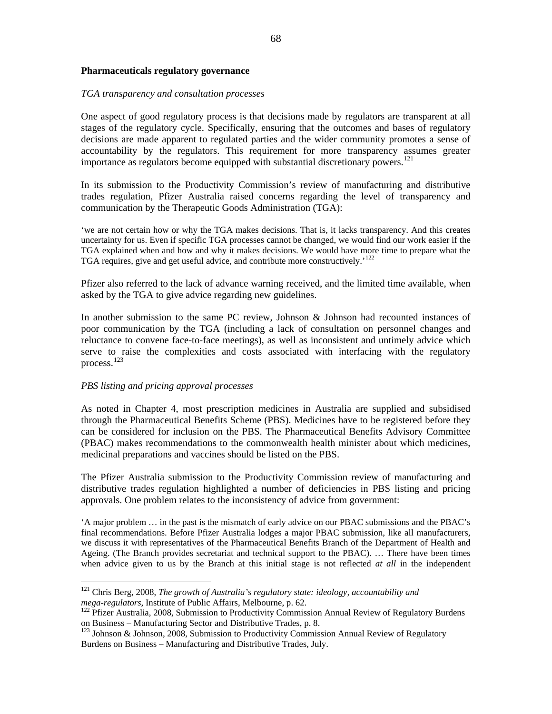#### <span id="page-69-0"></span>**Pharmaceuticals regulatory governance**

#### *GA transparency and consultation processes T*

One aspect of good regulatory process is that decisions made by regulators are transparent at all stages of the regulatory cycle. Specifically, ensuring that the outcomes and bases of regulatory decisions are made apparent to regulated parties and the wider community promotes a sense of accountability by the regulators. This requirement for more transparency assumes greater [i](#page-69-0)mportance as regulators become equipped with substantial discretionary powers.<sup>[121](#page-69-0)</sup>

In its submission to the Productivity Commission's review of manufacturing and distributive trades regulation, Pfizer Australia raised concerns regarding the level of transparency and communication by the Therapeutic Goods Administration (TGA):

'we are not certain how or why the TGA makes decisions. That is, it lacks transparency. And this creates uncertainty for us. Even if specific TGA processes cannot be changed, we would find our work easier if the TGA explained when and how and why it makes decisions. We would have more time to prepare what the [T](#page-69-0)GA requires, give and get useful advice, and contribute more constructively.'[122](#page-69-0)

Pfizer also referred to the lack of advance warning received, and the limited time available, when asked by the TGA to give advice regarding new guidelines.

In another submission to the same PC review, Johnson & Johnson had recounted instances of poor communication by the TGA (including a lack of consultation on personnel changes and reluctance to convene face-to-face meetings), as well as inconsistent and untimely advice which serve to raise the complexities and costs associated with interfacing with the regulatory [p](#page-69-0)rocess.[123](#page-69-0)

#### *BS listing and pricing approval processes P*

 $\overline{a}$ 

As noted in Chapter 4, most prescription medicines in Australia are supplied and subsidised through the Pharmaceutical Benefits Scheme (PBS). Medicines have to be registered before they can be considered for inclusion on the PBS. The Pharmaceutical Benefits Advisory Committee (PBAC) makes recommendations to the commonwealth health minister about which medicines, medicinal preparations and vaccines should be listed on the PBS.

The Pfizer Australia submission to the Productivity Commission review of manufacturing and distributive trades regulation highlighted a number of deficiencies in PBS listing and pricing approvals. One problem relates to the inconsistency of advice from government:

 major problem … in the past is the mismatch of early advice on our PBAC submissions and the PBAC's 'A final recommendations. Before Pfizer Australia lodges a major PBAC submission, like all manufacturers, we discuss it with representatives of the Pharmaceutical Benefits Branch of the Department of Health and Ageing. (The Branch provides secretariat and technical support to the PBAC). … There have been times when advice given to us by the Branch at this initial stage is not reflected *at all* in the independent

<sup>121</sup> Chris Berg, 2008, *The growth of Australia's regulatory state: ideology, accountability and mega-regulators*, Institute of Public Affairs, Melbourne, p. 62.<br><sup>122</sup> Pfizer Australia, 2008, Submission to Productivity Commission Annual Review of Regulatory Burdens

on Business – Manufacturing Sector and Distributive Trades, p. 8.

<sup>&</sup>lt;sup>123</sup> Johnson & Johnson, 2008, Submission to Productivity Commission Annual Review of Regulatory Burdens on Business – Manufacturing and Distributive Trades, July.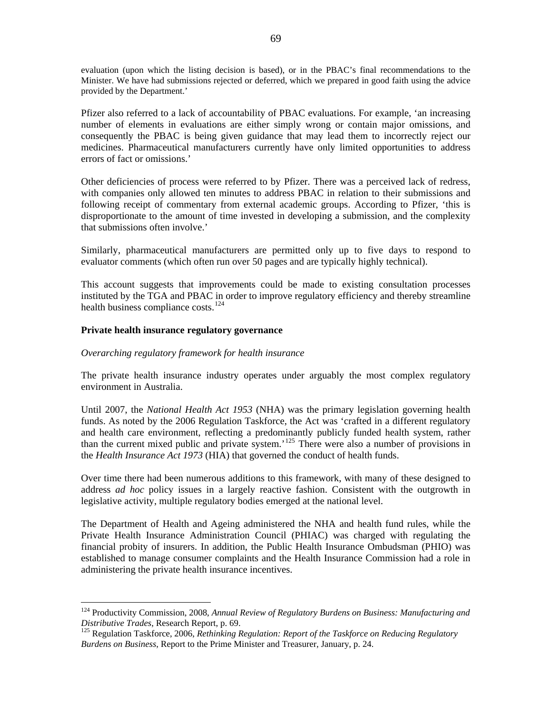<span id="page-70-0"></span>evaluation (upon which the listing decision is based), or in the PBAC's final recommendations to the Minister. We have had submissions rejected or deferred, which we prepared in good faith using the advice provided by the Department.'

Pfizer also referred to a lack of accountability of PBAC evaluations. For example, 'an increasing number of elements in evaluations are either simply wrong or contain major omissions, and consequently the PBAC is being given guidance that may lead them to incorrectly reject our medicines. Pharmaceutical manufacturers currently have only limited opportunities to address errors of fact or omissions.'

Other deficiencies of process were referred to by Pfizer. There was a perceived lack of redress, with companies only allowed ten minutes to address PBAC in relation to their submissions and following receipt of commentary from external academic groups. According to Pfizer, 'this is disproportionate to the amount of time invested in developing a submission, and the complexity that submissions often involve.'

Similarly, pharmaceutical manufacturers are permitted only up to five days to respond to evaluator comments (which often run over 50 pages and are typically highly technical).

This account suggests that improvements could be made to existing consultation processes instituted by the TGA and PBAC in order to improve regulatory efficiency and thereby streamline health business compliance costs.<sup>[124](#page-70-0)</sup>

## Private health insurance regulatory governance

 $\overline{a}$ 

#### *verarching regulatory framework for health insurance O*

The private health insurance industry operates under arguably the most complex regulatory environment in Australia.

Until 2007, the *National Health Act 1953* (NHA) was the primary legislation governing health funds. As noted by the 2006 Regulation Taskforce, the Act was 'crafted in a different regulatory and health care environment, reflecting a predominantly publicly funded health system, rather than the current mixed public and private system.<sup>'[125](#page-70-0)</sup> There were also a number of provisions in the *Health Insurance Act 1973* (HIA) that governed the conduct of health funds.

Over time there had been numerous additions to this framework, with many of these designed to address *ad hoc* policy issues in a largely reactive fashion. Consistent with the outgrowth in legislative activity, multiple regulatory bodies emerged at the national level.

The Department of Health and Ageing administered the NHA and health fund rules, while the Private Health Insurance Administration Council (PHIAC) was charged with regulating the financial probity of insurers. In addition, the Public Health Insurance Ombudsman (PHIO) was established to manage consumer complaints and the Health Insurance Commission had a role in administering the private health insurance incentives.

<sup>124</sup> Productivity Commission, 2008, *Annual Review of Regulatory Burdens on Business: Manufacturing and Distributive Trades*, Research Report, p. 69.<br><sup>125</sup> Regulation Taskforce, 2006, *Rethinking Regulation: Report of the Taskforce on Reducing Regulatory* 

*Burdens on Business*, Report to the Prime Minister and Treasurer, January, p. 24.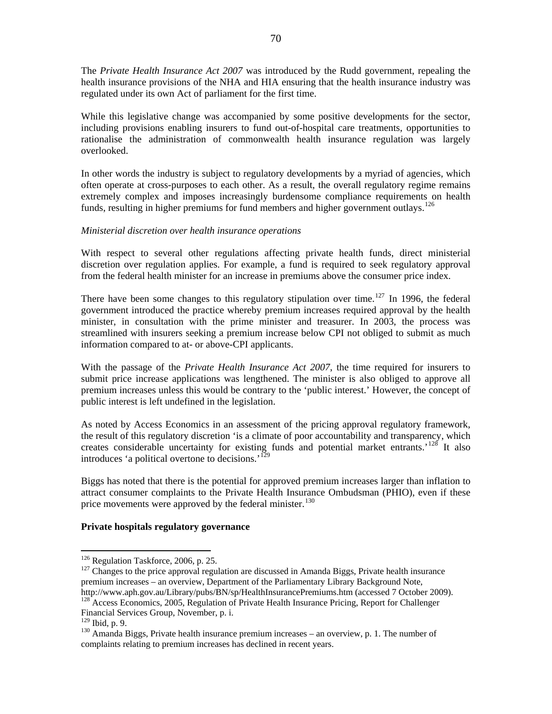<span id="page-71-0"></span>The *Private Health Insurance Act 2007* was introduced by the Rudd government, repealing the health insurance provisions of the NHA and HIA ensuring that the health insurance industry was regulated under its own Act of parliament for the first time.

While this legislative change was accompanied by some positive developments for the sector, including provisions enabling insurers to fund out-of-hospital care treatments, opportunities to rationalise the administration of commonwealth health insurance regulation was largely overlooked.

In other words the industry is subject to regulatory developments by a myriad of agencies, which often operate at cross-purposes to each other. As a result, the overall regulatory regime remains extremely complex and imposes increasingly burdensome compliance requirements on health [f](#page-71-0)unds, resulting in higher premiums for fund members and higher government outlays.<sup>[126](#page-71-0)</sup>

#### *Ministerial discretion over health insurance operations*

With respect to several other regulations affecting private health funds, direct ministerial discretion over regulation applies. For example, a fund is required to seek regulatory approval from the federal health minister for an increase in premiums above the consumer price index.

There have been some changes to this regulatory stipulation over time.<sup>127</sup> In 1996, the federal government introduced the practice whereby premium increases required approval by the health minister, in consultation with the prime minister and treasurer. In 2003, the process was streamlined with insurers seeking a premium increase below CPI not obliged to submit as much information compared to at- or above-CPI applicants.

With the passage of the *Private Health Insurance Act 2007*, the time required for insurers to submit price increase applications was lengthened. The minister is also obliged to approve all premium increases unless this would be contrary to the 'public interest.' However, the concept of public interest is left undefined in the legislation.

As noted by Access Economics in an assessment of the pricing approval regulatory framework, the result of this regulatory discretion 'is a climate of poor accountability and transparency, which creates considerable uncertainty for existing funds and potential market entrants.<sup>'[128](#page-71-0)</sup> It also [i](#page-71-0)ntroduces 'a political overtone to decisions.'[129](#page-71-0)

Biggs has noted that there is the potential for approved premium increases larger than inflation to attract consumer complaints to the Private Health Insurance Ombudsman (PHIO), even if these [p](#page-71-0)rice movements were approved by the federal minister.<sup>[130](#page-71-0)</sup>

## Private hospitals regulatory governance

<sup>&</sup>lt;sup>126</sup> Regulation Taskforce, 2006, p. 25.<br><sup>127</sup> Changes to the price approval regulation are discussed in Amanda Biggs, Private health insurance premium increases – an overview, Department of the Parliamentary Library Background Note,<br>http://www.aph.gov.au/Library/pubs/BN/sp/HealthInsurancePremiums.htm (accessed 7 October 2009).

 $h^{128}$  Access Economics, 2005, Regulation of Private Health Insurance Pricing, Report for Challenger Financial Services Group, November, p. i.

 $130$  Amanda Biggs, Private health insurance premium increases – an overview, p. 1. The number of complaints relating to premium increases has declined in recent years.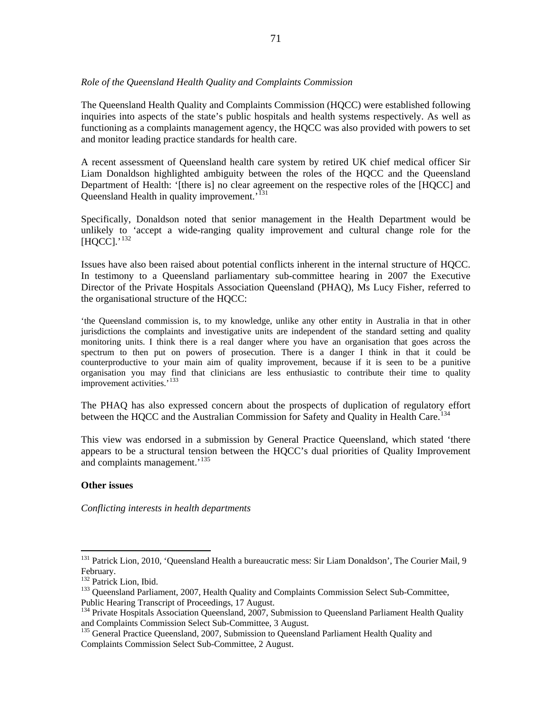### <span id="page-72-0"></span>*Role of the Queensland Health Quality and Complaints Commission*

The Queensland Health Quality and Complaints Commission (HQCC) were established following inquiries into aspects of the state's public hospitals and health systems respectively. As well as functioning as a complaints management agency, the HQCC was also provided with powers to set and monitor leading practice standards for health care.

A recent assessment of Queensland health care system by retired UK chief medical officer Sir Liam Donaldson highlighted ambiguity between the roles of the HQCC and the Queensland Department of Health: '[there is] no clear agreement on the respective roles of the [HQCC] and [Q](#page-72-0)ueensland Health in quality improvement.<sup>'[131](#page-72-0)</sup>

Specifically, Donaldson noted that senior management in the Health Department would be unlikely to 'accept a wide-ranging quality improvement and cultural change role for the  $[HQCC]$  $[HQCC]$ .'<sup>[132](#page-72-0)</sup>

Issues have also been raised about potential conflicts inherent in the internal structure of HQCC. In testimony to a Queensland parliamentary sub-committee hearing in 2007 the Executive Director of the Private Hospitals Association Queensland (PHAQ), Ms Lucy Fisher, referred to the organisational structure of the HQCC:

the Queensland commission is, to my knowledge, unlike any other entity in Australia in that in other jurisdictions the complaints and investigative units are independent of the standard setting and quality monitoring units. I think there is a real danger where you have an organisation that goes across the spectrum to then put on powers of prosecution. There is a danger I think in that it could be counterproductive to your main aim of quality improvement, because if it is seen to be a punitive organisation you may find that clinicians are less enthusiastic to contribute their time to quality [im](#page-72-0)provement activities.'<sup>[133](#page-72-0)</sup>

The PHAQ has also expressed concern about the prospects of duplication of regulatory effort [b](#page-72-0)etween the HQCC and the Australian Commission for Safety and Quality in Health Care.<sup>[134](#page-72-0)</sup>

This view was endorsed in a submission by General Practice Queensland, which stated 'there appears to be a structural tension between the HQCC's dual priorities of Quality Improvement [a](#page-72-0)nd complaints management.<sup>'[135](#page-72-0)</sup>

### **ther issues O**

 $\overline{a}$ 

Conflicting interests in health departments

<sup>&</sup>lt;sup>131</sup> Patrick Lion, 2010, 'Queensland Health a bureaucratic mess: Sir Liam Donaldson', The Courier Mail, 9 February.<br><sup>132</sup> Patrick Lion. Ibid.

<sup>&</sup>lt;sup>133</sup> Queensland Parliament, 2007, Health Quality and Complaints Commission Select Sub-Committee, Public Hearing Transcript of Proceedings, 17 August.<br><sup>134</sup> Private Hospitals Association Queensland, 2007, Submission to Queensland Parliament Health Quality

and Complaints Commission Select Sub-Committee, 3 August.

<sup>&</sup>lt;sup>135</sup> General Practice Queensland, 2007, Submission to Queensland Parliament Health Quality and Complaints Commission Select Sub-Committee, 2 August.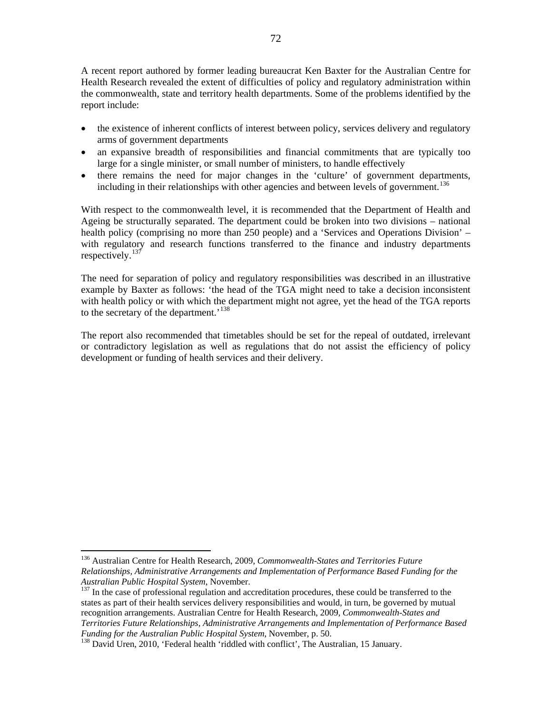<span id="page-73-0"></span>A recent report authored by former leading bureaucrat Ken Baxter for the Australian Centre for Health Research revealed the extent of difficulties of policy and regulatory administration within the commonwealth, state and territory health departments. Some of the problems identified by the report include:

- the existence of inherent conflicts of interest between policy, services delivery and regulatory arms of government departments
- an expansive breadth of responsibilities and financial commitments that are typically too large for a single minister, or small number of ministers, to handle effectively
- there remains the need for major changes in the 'culture' of government departments, including in their relationships with other agencies and between levels of government.<sup>[136](#page-73-0)</sup>

With respect to the commonwealth level, it is recommended that the Department of Health and Ageing be structurally separated. The department could be broken into two divisions – national health policy (comprising no more than 250 people) and a 'Services and Operations Division' – with regulatory and research functions transferred to the finance and industry departments respectively. $137$ 

The need for separation of policy and regulatory responsibilities was described in an illustrative example by Baxter as follows: 'the head of the TGA might need to take a decision inconsistent with health policy or with which the department might not agree, yet the head of the TGA reports to the secretary of the department.'<sup>[138](#page-73-0)</sup>

The report also recommended that timetables should be set for the repeal of outdated, irrelevant or contradictory legislation as well as regulations that do not assist the efficiency of policy development or funding of health services and their delivery.

 $\overline{a}$ 

<sup>136</sup> Australian Centre for Health Research, 2009, *Commonwealth-States and Territories Future Relationships, Administrative Arrangements and Implementation of Performance Based Funding for the Australian Public Hospital System*, November.<br><sup>137</sup> In the case of professional regulation and accreditation procedures, these could be transferred to the

states as part of their health services delivery responsibilities and would, in turn, be governed by mutual recognition arrangements. Australian Centre for Health Research, 2009, *Commonwealth-States and Territories Future Relationships, Administrative Arrangements and Implementation of Performance Based* 

<sup>&</sup>lt;sup>138</sup> David Uren, 2010, 'Federal health 'riddled with conflict', The Australian, 15 January.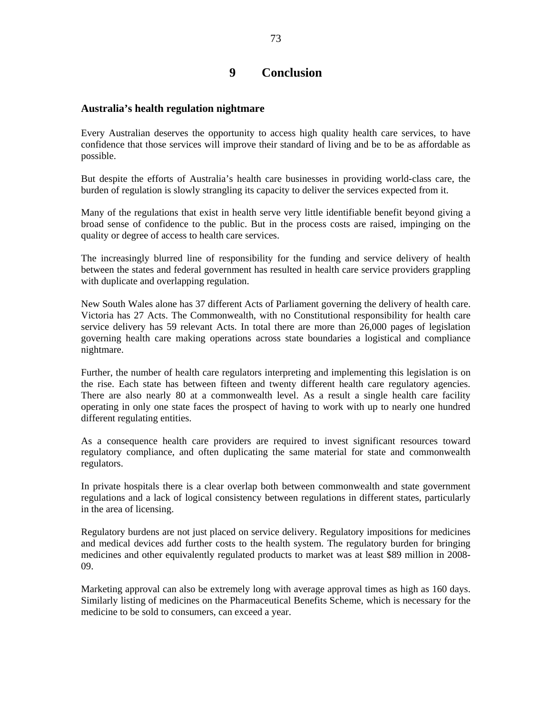# **9 Conclusion**

## **Australia's health regulation nightmare**

Every Australian deserves the opportunity to access high quality health care services, to have confidence that those services will improve their standard of living and be to be as affordable as possible.

But despite the efforts of Australia's health care businesses in providing world-class care, the burden of regulation is slowly strangling its capacity to deliver the services expected from it.

Many of the regulations that exist in health serve very little identifiable benefit beyond giving a broad sense of confidence to the public. But in the process costs are raised, impinging on the quality or degree of access to health care services.

The increasingly blurred line of responsibility for the funding and service delivery of health between the states and federal government has resulted in health care service providers grappling with duplicate and overlapping regulation.

New South Wales alone has 37 different Acts of Parliament governing the delivery of health care. Victoria has 27 Acts. The Commonwealth, with no Constitutional responsibility for health care service delivery has 59 relevant Acts. In total there are more than 26,000 pages of legislation governing health care making operations across state boundaries a logistical and compliance nightmare.

Further, the number of health care regulators interpreting and implementing this legislation is on the rise. Each state has between fifteen and twenty different health care regulatory agencies. There are also nearly 80 at a commonwealth level. As a result a single health care facility operating in only one state faces the prospect of having to work with up to nearly one hundred different regulating entities.

As a consequence health care providers are required to invest significant resources toward regulatory compliance, and often duplicating the same material for state and commonwealth regulators.

In private hospitals there is a clear overlap both between commonwealth and state government regulations and a lack of logical consistency between regulations in different states, particularly in the area of licensing.

Regulatory burdens are not just placed on service delivery. Regulatory impositions for medicines and medical devices add further costs to the health system. The regulatory burden for bringing medicines and other equivalently regulated products to market was at least \$89 million in 2008- 09.

Marketing approval can also be extremely long with average approval times as high as 160 days. Similarly listing of medicines on the Pharmaceutical Benefits Scheme, which is necessary for the medicine to be sold to consumers, can exceed a year.